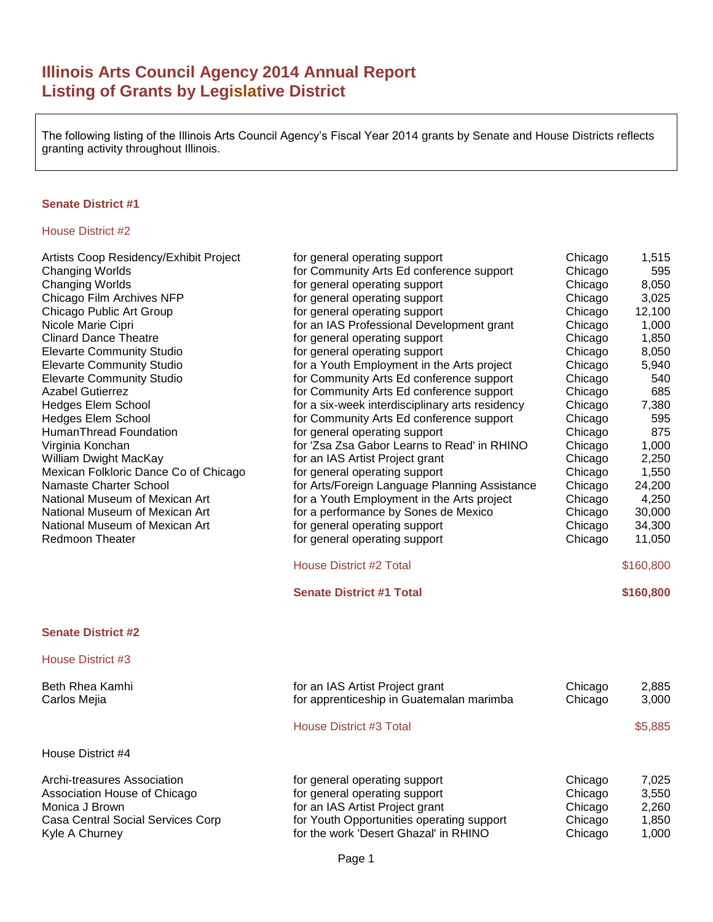# **Illinois Arts Council Agency 2014 Annual Report Listing of Grants by Legislative District**

The following listing of the Illinois Arts Council Agency's Fiscal Year 2014 grants by Senate and House Districts reflects granting activity throughout Illinois.

#### **Senate District #1**

| Artists Coop Residency/Exhibit Project | for general operating support                   | Chicago | 1,515     |
|----------------------------------------|-------------------------------------------------|---------|-----------|
| <b>Changing Worlds</b>                 | for Community Arts Ed conference support        | Chicago | 595       |
| <b>Changing Worlds</b>                 | for general operating support                   | Chicago | 8,050     |
| Chicago Film Archives NFP              | for general operating support                   | Chicago | 3,025     |
| Chicago Public Art Group               | for general operating support                   | Chicago | 12,100    |
| Nicole Marie Cipri                     | for an IAS Professional Development grant       | Chicago | 1,000     |
| <b>Clinard Dance Theatre</b>           | for general operating support                   | Chicago | 1,850     |
| <b>Elevarte Community Studio</b>       | for general operating support                   | Chicago | 8,050     |
| <b>Elevarte Community Studio</b>       | for a Youth Employment in the Arts project      | Chicago | 5,940     |
| <b>Elevarte Community Studio</b>       | for Community Arts Ed conference support        | Chicago | 540       |
| <b>Azabel Gutierrez</b>                | for Community Arts Ed conference support        | Chicago | 685       |
| <b>Hedges Elem School</b>              | for a six-week interdisciplinary arts residency | Chicago | 7,380     |
| <b>Hedges Elem School</b>              | for Community Arts Ed conference support        | Chicago | 595       |
| HumanThread Foundation                 | for general operating support                   | Chicago | 875       |
| Virginia Konchan                       | for 'Zsa Zsa Gabor Learns to Read' in RHINO     | Chicago | 1,000     |
| William Dwight MacKay                  | for an IAS Artist Project grant                 | Chicago | 2,250     |
| Mexican Folkloric Dance Co of Chicago  | for general operating support                   | Chicago | 1,550     |
| Namaste Charter School                 | for Arts/Foreign Language Planning Assistance   | Chicago | 24,200    |
| National Museum of Mexican Art         | for a Youth Employment in the Arts project      | Chicago | 4,250     |
| National Museum of Mexican Art         | for a performance by Sones de Mexico            | Chicago | 30,000    |
| National Museum of Mexican Art         | for general operating support                   | Chicago | 34,300    |
| Redmoon Theater                        | for general operating support                   | Chicago | 11,050    |
|                                        |                                                 |         |           |
|                                        |                                                 |         |           |
|                                        | House District #2 Total                         |         | \$160,800 |
|                                        | <b>Senate District #1 Total</b>                 |         | \$160,800 |
| <b>Senate District #2</b>              |                                                 |         |           |
| House District #3                      |                                                 |         |           |
| Beth Rhea Kamhi                        | for an IAS Artist Project grant                 | Chicago | 2,885     |
| Carlos Mejia                           | for apprenticeship in Guatemalan marimba        | Chicago | 3,000     |
|                                        | House District #3 Total                         |         | \$5,885   |
| House District #4                      |                                                 |         |           |
|                                        |                                                 |         |           |
| Archi-treasures Association            | for general operating support                   | Chicago | 7,025     |
| Association House of Chicago           | for general operating support                   | Chicago | 3,550     |
| Monica J Brown                         | for an IAS Artist Project grant                 | Chicago | 2,260     |
| Casa Central Social Services Corp      | for Youth Opportunities operating support       | Chicago | 1,850     |
| Kyle A Churney                         | for the work 'Desert Ghazal' in RHINO           | Chicago | 1,000     |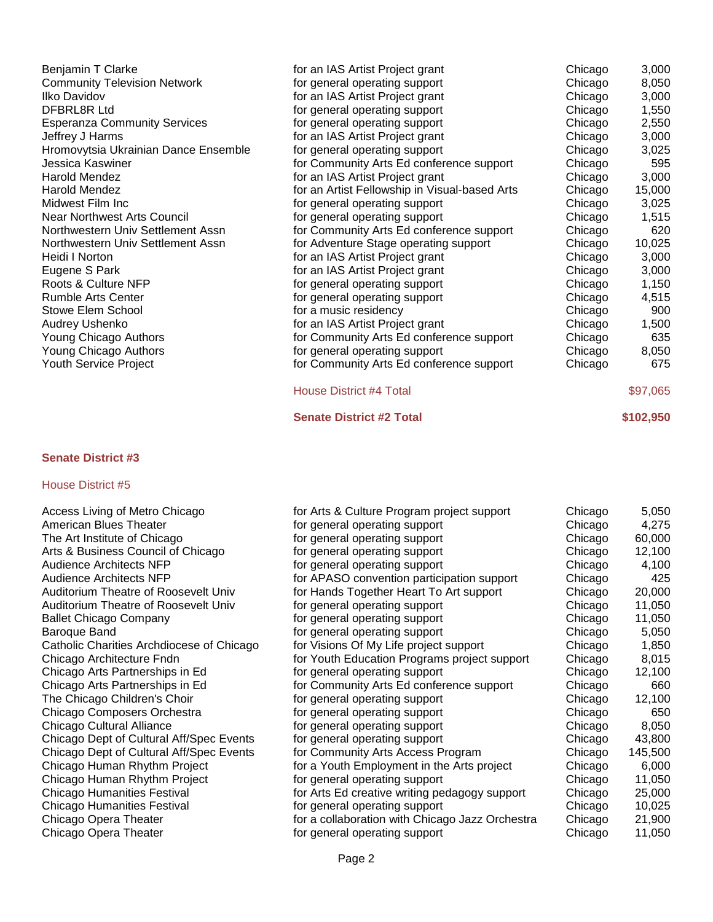| for an IAS Artist Project grant | Chicago                                                                                                                                                                                                                                                                                                                                                                                                                                                                                                                                                                                                                                                                                                                                                                                                                                                      | 3,000    |
|---------------------------------|--------------------------------------------------------------------------------------------------------------------------------------------------------------------------------------------------------------------------------------------------------------------------------------------------------------------------------------------------------------------------------------------------------------------------------------------------------------------------------------------------------------------------------------------------------------------------------------------------------------------------------------------------------------------------------------------------------------------------------------------------------------------------------------------------------------------------------------------------------------|----------|
|                                 | Chicago                                                                                                                                                                                                                                                                                                                                                                                                                                                                                                                                                                                                                                                                                                                                                                                                                                                      | 8,050    |
|                                 | Chicago                                                                                                                                                                                                                                                                                                                                                                                                                                                                                                                                                                                                                                                                                                                                                                                                                                                      | 3,000    |
|                                 | Chicago                                                                                                                                                                                                                                                                                                                                                                                                                                                                                                                                                                                                                                                                                                                                                                                                                                                      | 1,550    |
|                                 | Chicago                                                                                                                                                                                                                                                                                                                                                                                                                                                                                                                                                                                                                                                                                                                                                                                                                                                      | 2,550    |
|                                 | Chicago                                                                                                                                                                                                                                                                                                                                                                                                                                                                                                                                                                                                                                                                                                                                                                                                                                                      | 3,000    |
|                                 | Chicago                                                                                                                                                                                                                                                                                                                                                                                                                                                                                                                                                                                                                                                                                                                                                                                                                                                      | 3,025    |
|                                 | Chicago                                                                                                                                                                                                                                                                                                                                                                                                                                                                                                                                                                                                                                                                                                                                                                                                                                                      | 595      |
|                                 | Chicago                                                                                                                                                                                                                                                                                                                                                                                                                                                                                                                                                                                                                                                                                                                                                                                                                                                      | 3,000    |
|                                 | Chicago                                                                                                                                                                                                                                                                                                                                                                                                                                                                                                                                                                                                                                                                                                                                                                                                                                                      | 15,000   |
|                                 | Chicago                                                                                                                                                                                                                                                                                                                                                                                                                                                                                                                                                                                                                                                                                                                                                                                                                                                      | 3,025    |
|                                 | Chicago                                                                                                                                                                                                                                                                                                                                                                                                                                                                                                                                                                                                                                                                                                                                                                                                                                                      | 1,515    |
|                                 | Chicago                                                                                                                                                                                                                                                                                                                                                                                                                                                                                                                                                                                                                                                                                                                                                                                                                                                      | 620      |
|                                 | Chicago                                                                                                                                                                                                                                                                                                                                                                                                                                                                                                                                                                                                                                                                                                                                                                                                                                                      | 10,025   |
|                                 | Chicago                                                                                                                                                                                                                                                                                                                                                                                                                                                                                                                                                                                                                                                                                                                                                                                                                                                      | 3,000    |
|                                 | Chicago                                                                                                                                                                                                                                                                                                                                                                                                                                                                                                                                                                                                                                                                                                                                                                                                                                                      | 3,000    |
|                                 | Chicago                                                                                                                                                                                                                                                                                                                                                                                                                                                                                                                                                                                                                                                                                                                                                                                                                                                      | 1,150    |
|                                 | Chicago                                                                                                                                                                                                                                                                                                                                                                                                                                                                                                                                                                                                                                                                                                                                                                                                                                                      | 4,515    |
|                                 | Chicago                                                                                                                                                                                                                                                                                                                                                                                                                                                                                                                                                                                                                                                                                                                                                                                                                                                      | 900      |
|                                 | Chicago                                                                                                                                                                                                                                                                                                                                                                                                                                                                                                                                                                                                                                                                                                                                                                                                                                                      | 1,500    |
|                                 | Chicago                                                                                                                                                                                                                                                                                                                                                                                                                                                                                                                                                                                                                                                                                                                                                                                                                                                      | 635      |
|                                 | Chicago                                                                                                                                                                                                                                                                                                                                                                                                                                                                                                                                                                                                                                                                                                                                                                                                                                                      | 8,050    |
|                                 | Chicago                                                                                                                                                                                                                                                                                                                                                                                                                                                                                                                                                                                                                                                                                                                                                                                                                                                      | 675      |
|                                 |                                                                                                                                                                                                                                                                                                                                                                                                                                                                                                                                                                                                                                                                                                                                                                                                                                                              | \$97,065 |
|                                 | for general operating support<br>for an IAS Artist Project grant<br>for general operating support<br>for general operating support<br>for an IAS Artist Project grant<br>for general operating support<br>for Community Arts Ed conference support<br>for an IAS Artist Project grant<br>for an Artist Fellowship in Visual-based Arts<br>for general operating support<br>for general operating support<br>for Community Arts Ed conference support<br>for Adventure Stage operating support<br>for an IAS Artist Project grant<br>for an IAS Artist Project grant<br>for general operating support<br>for general operating support<br>for a music residency<br>for an IAS Artist Project grant<br>for Community Arts Ed conference support<br>for general operating support<br>for Community Arts Ed conference support<br><b>House District #4 Total</b> |          |

### House District #5

| Access Living of Metro Chicago              |
|---------------------------------------------|
| American Blues Theater                      |
| The Art Institute of Chicago                |
| Arts & Business Council of Chicago          |
| <b>Audience Architects NFP</b>              |
| <b>Audience Architects NFP</b>              |
| Auditorium Theatre of Roosevelt Univ        |
| <b>Auditorium Theatre of Roosevelt Univ</b> |
| <b>Ballet Chicago Company</b>               |
| Baroque Band                                |
| Catholic Charities Archdiocese of Chicago   |
| Chicago Architecture Fndn                   |
| Chicago Arts Partnerships in Ed             |
| Chicago Arts Partnerships in Ed             |
| The Chicago Children's Choir                |
| Chicago Composers Orchestra                 |
| Chicago Cultural Alliance                   |
| Chicago Dept of Cultural Aff/Spec Events    |
| Chicago Dept of Cultural Aff/Spec Events    |
| Chicago Human Rhythm Project                |
| Chicago Human Rhythm Project                |
| <b>Chicago Humanities Festival</b>          |
| <b>Chicago Humanities Festival</b>          |
| Chicago Opera Theater                       |
| Chicago Opera Theater                       |
|                                             |

| Access Living of Metro Chicago            | for Arts & Culture Program project support      | Chicago | 5,050   |
|-------------------------------------------|-------------------------------------------------|---------|---------|
| American Blues Theater                    | for general operating support                   | Chicago | 4,275   |
| The Art Institute of Chicago              | for general operating support                   | Chicago | 60,000  |
| Arts & Business Council of Chicago        | for general operating support                   | Chicago | 12,100  |
| Audience Architects NFP                   | for general operating support                   | Chicago | 4,100   |
| Audience Architects NFP                   | for APASO convention participation support      | Chicago | 425     |
| Auditorium Theatre of Roosevelt Univ      | for Hands Together Heart To Art support         | Chicago | 20,000  |
| Auditorium Theatre of Roosevelt Univ      | for general operating support                   | Chicago | 11,050  |
| <b>Ballet Chicago Company</b>             | for general operating support                   | Chicago | 11,050  |
| Baroque Band                              | for general operating support                   | Chicago | 5,050   |
| Catholic Charities Archdiocese of Chicago | for Visions Of My Life project support          | Chicago | 1,850   |
| Chicago Architecture Fndn                 | for Youth Education Programs project support    | Chicago | 8,015   |
| Chicago Arts Partnerships in Ed           | for general operating support                   | Chicago | 12,100  |
| Chicago Arts Partnerships in Ed           | for Community Arts Ed conference support        | Chicago | 660     |
| The Chicago Children's Choir              | for general operating support                   | Chicago | 12,100  |
| Chicago Composers Orchestra               | for general operating support                   | Chicago | 650     |
| Chicago Cultural Alliance                 | for general operating support                   | Chicago | 8,050   |
| Chicago Dept of Cultural Aff/Spec Events  | for general operating support                   | Chicago | 43,800  |
| Chicago Dept of Cultural Aff/Spec Events  | for Community Arts Access Program               | Chicago | 145,500 |
| Chicago Human Rhythm Project              | for a Youth Employment in the Arts project      | Chicago | 6,000   |
| Chicago Human Rhythm Project              | for general operating support                   | Chicago | 11,050  |
| Chicago Humanities Festival               | for Arts Ed creative writing pedagogy support   | Chicago | 25,000  |
| Chicago Humanities Festival               | for general operating support                   | Chicago | 10,025  |
| Chicago Opera Theater                     | for a collaboration with Chicago Jazz Orchestra | Chicago | 21,900  |
| Chicago Opera Theater                     | for general operating support                   | Chicago | 11,050  |

**Senate District #2 Total \$102,950**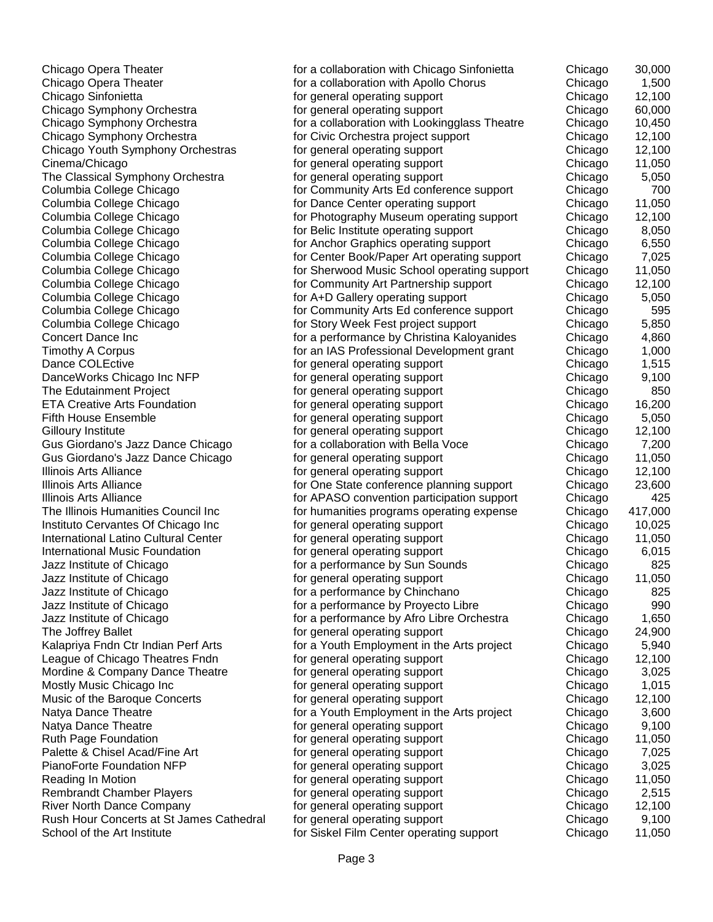Chicago Opera Theater for a collaboration with Chicago Sinfonietta Chicago 30,000 Chicago Opera Theater **for a collaboration with Apollo Chorus** Chicago 1,500 Chicago Sinfonietta for general operating support Chicago 12,100 Chicago Symphony Orchestra **for general operating support** Chicago 60,000 Chicago Symphony Orchestra **for a collaboration with Lookingglass Theatre** Chicago 10,450 Chicago Symphony Orchestra **for Civic Orchestra project support** Chicago 12,100 Chicago Youth Symphony Orchestras for general operating support Chicago 12,100 Cinema/Chicago for general operating support Chicago 11,050<br>The Classical Symphony Orchestra for general operating support Chicago 5,050 The Classical Symphony Orchestra for general operating support **Formula** Chicago 5,0500 Chicago Columbia College Chicago **for Community Arts Ed conference support** Chicago 700 Columbia College Chicago **for Dance Center operating support** Chicago 11,050 Columbia College Chicago **for Photography Museum operating support** Chicago 12,100 Columbia College Chicago **for Belic Institute operating support** Chicago 8,050 Columbia College Chicago **for Anchor Graphics operating support** Chicago 6,550 Columbia College Chicago for Center Book/Paper Art operating support Chicago 7,025 Columbia College Chicago for Sherwood Music School operating support Chicago 11,050 Columbia College Chicago **for Community Art Partnership support** Chicago 12,100 Columbia College Chicago **for A+D Gallery operating support** Chicago 5,050 Columbia College Chicago **for Community Arts Ed conference support** Chicago 595 Columbia College Chicago **for Story Week Fest project support** Chicago 5,850 Concert Dance Inc for a performance by Christina Kaloyanides Chicago 4,860 Timothy A Corpus **Formulate and AS Professional Development grant** Chicago 1,000 Dance COLEctive **for general operating support** Chicago 1,515 DanceWorks Chicago Inc NFP for general operating support Chicago 9,100 The Edutainment Project **for a set of the Example 2018** for general operating support **Chicago** 850 ETA Creative Arts Foundation for general operating support Chicago 16,200 Fifth House Ensemble **Figure 1** Fifth House Ensemble **for general operating support** Chicago 5,050 Gilloury Institute for sensor of the contract operating support for general operating support chicago 12,100 Gus Giordano's Jazz Dance Chicago for a collaboration with Bella Voce Chicago 7,200 Gus Giordano's Jazz Dance Chicago for general operating support Chicago 11,050 Illinois Arts Alliance **Formula** and the second operating support **Formula** Chicago 12,100 Illinois Arts Alliance **for Chicago 23,600** for One State conference planning support Chicago 23,600 Illinois Arts Alliance **for APASO convention participation support** Chicago 425<br>The Illinois Humanities Council Inc **for humanities programs operating expense** Chicago 417.000 for humanities programs operating expense Chicago 417,000 Instituto Cervantes Of Chicago Inc for general operating support Chicago 10,025 International Latino Cultural Center for general operating support Chicago 11,050 International Music Foundation **for general operating support** Chicago 6,015 Jazz Institute of Chicago for a performance by Sun Sounds Chicago 825 Jazz Institute of Chicago for general operating support Chicago 11,050 Jazz Institute of Chicago for a performance by Chinchano Chicago 825 Jazz Institute of Chicago for a performance by Proyecto Libre Chicago 990 Jazz Institute of Chicago for a performance by Afro Libre Orchestra Chicago 1,650 The Joffrey Ballet **Formulate and The Strutter and Strutter** for general operating support **Chicago** 24,900 Kalapriya Fndn Ctr Indian Perf Arts **Frank Strategier For a Youth Employment in the Arts project** Chicago 5,940 League of Chicago Theatres Fndn for general operating support Chicago 12,100 Mordine & Company Dance Theatre for general operating support **For a Chicago** 3,025 Mostly Music Chicago Inc **Form in the formulate increase in the formulate Chicago** 1,015 Music of the Baroque Concerts for general operating support chicago 12,100 Natya Dance Theatre **For a Youth Employment in the Arts project** Chicago 3,600 Natya Dance Theatre **For a set of the contract of general operating support** chicago 9,100 Ruth Page Foundation **Form in the Chicago** 11,050 Palette & Chisel Acad/Fine Art for general operating support chicago 7,025 PianoForte Foundation NFP for general operating support Chicago 3,025<br>Reading In Motion for general operating support Chicago 11,050 Reading In Motion **For a contract in the set of general operating support** Chicago 11,0500 Chicago Rembrandt Chamber Players **for a sexual operational support** chicago 2,515 River North Dance Company **for general operating support** Chicago 12,100 Rush Hour Concerts at St James Cathedral for general operating support Chicago 9,100 School of the Art Institute for Siskel Film Center operating support Chicago 11,050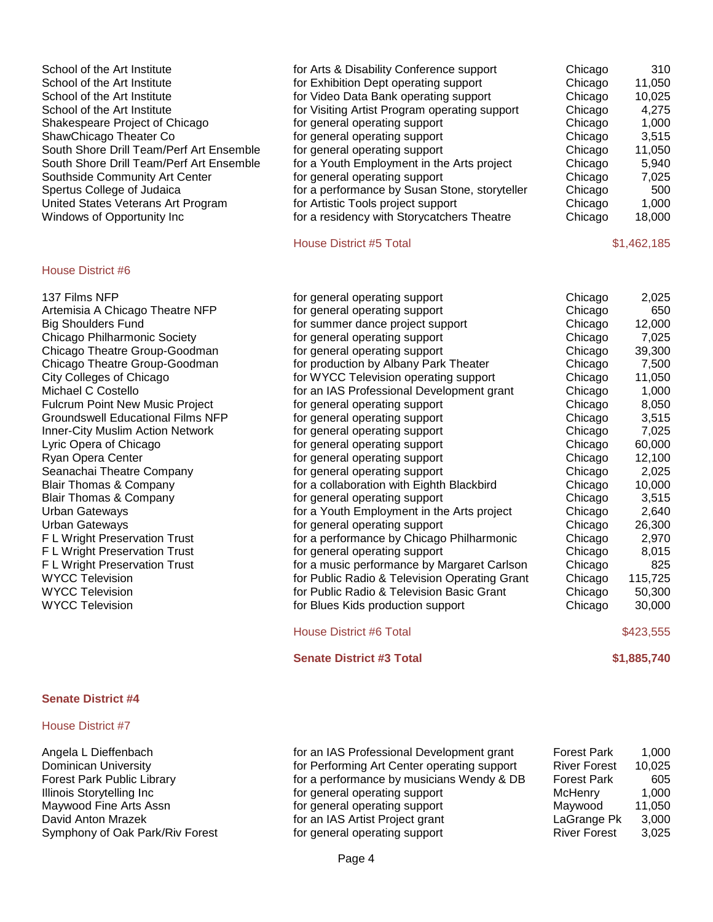| School of the Art Institute<br>School of the Art Institute<br>School of the Art Institute<br>School of the Art Institute<br>Shakespeare Project of Chicago<br>ShawChicago Theater Co<br>South Shore Drill Team/Perf Art Ensemble<br>South Shore Drill Team/Perf Art Ensemble<br>Southside Community Art Center<br>Spertus College of Judaica<br>United States Veterans Art Program<br>Windows of Opportunity Inc                                                                                                                                                                                                                                                                                                                                            | for Arts & Disability Conference support<br>for Exhibition Dept operating support<br>for Video Data Bank operating support<br>for Visiting Artist Program operating support<br>for general operating support<br>for general operating support<br>for general operating support<br>for a Youth Employment in the Arts project<br>for general operating support<br>for a performance by Susan Stone, storyteller<br>for Artistic Tools project support<br>for a residency with Storycatchers Theatre<br><b>House District #5 Total</b>                                                                                                                                                                                                                                                                                                                                                                                                                                                                        | Chicago<br>Chicago<br>Chicago<br>Chicago<br>Chicago<br>Chicago<br>Chicago<br>Chicago<br>Chicago<br>Chicago<br>Chicago<br>Chicago                                                                                                                                     | 310<br>11,050<br>10,025<br>4,275<br>1,000<br>3,515<br>11,050<br>5,940<br>7,025<br>500<br>1,000<br>18,000<br>\$1,462,185                                                                                                                                 |
|-------------------------------------------------------------------------------------------------------------------------------------------------------------------------------------------------------------------------------------------------------------------------------------------------------------------------------------------------------------------------------------------------------------------------------------------------------------------------------------------------------------------------------------------------------------------------------------------------------------------------------------------------------------------------------------------------------------------------------------------------------------|-------------------------------------------------------------------------------------------------------------------------------------------------------------------------------------------------------------------------------------------------------------------------------------------------------------------------------------------------------------------------------------------------------------------------------------------------------------------------------------------------------------------------------------------------------------------------------------------------------------------------------------------------------------------------------------------------------------------------------------------------------------------------------------------------------------------------------------------------------------------------------------------------------------------------------------------------------------------------------------------------------------|----------------------------------------------------------------------------------------------------------------------------------------------------------------------------------------------------------------------------------------------------------------------|---------------------------------------------------------------------------------------------------------------------------------------------------------------------------------------------------------------------------------------------------------|
| <b>House District #6</b>                                                                                                                                                                                                                                                                                                                                                                                                                                                                                                                                                                                                                                                                                                                                    |                                                                                                                                                                                                                                                                                                                                                                                                                                                                                                                                                                                                                                                                                                                                                                                                                                                                                                                                                                                                             |                                                                                                                                                                                                                                                                      |                                                                                                                                                                                                                                                         |
| 137 Films NFP<br>Artemisia A Chicago Theatre NFP<br><b>Big Shoulders Fund</b><br>Chicago Philharmonic Society<br>Chicago Theatre Group-Goodman<br>Chicago Theatre Group-Goodman<br>City Colleges of Chicago<br>Michael C Costello<br><b>Fulcrum Point New Music Project</b><br><b>Groundswell Educational Films NFP</b><br><b>Inner-City Muslim Action Network</b><br>Lyric Opera of Chicago<br>Ryan Opera Center<br>Seanachai Theatre Company<br><b>Blair Thomas &amp; Company</b><br><b>Blair Thomas &amp; Company</b><br><b>Urban Gateways</b><br><b>Urban Gateways</b><br>F L Wright Preservation Trust<br>F L Wright Preservation Trust<br>F L Wright Preservation Trust<br><b>WYCC Television</b><br><b>WYCC Television</b><br><b>WYCC Television</b> | for general operating support<br>for general operating support<br>for summer dance project support<br>for general operating support<br>for general operating support<br>for production by Albany Park Theater<br>for WYCC Television operating support<br>for an IAS Professional Development grant<br>for general operating support<br>for general operating support<br>for general operating support<br>for general operating support<br>for general operating support<br>for general operating support<br>for a collaboration with Eighth Blackbird<br>for general operating support<br>for a Youth Employment in the Arts project<br>for general operating support<br>for a performance by Chicago Philharmonic<br>for general operating support<br>for a music performance by Margaret Carlson<br>for Public Radio & Television Operating Grant<br>for Public Radio & Television Basic Grant<br>for Blues Kids production support<br><b>House District #6 Total</b><br><b>Senate District #3 Total</b> | Chicago<br>Chicago<br>Chicago<br>Chicago<br>Chicago<br>Chicago<br>Chicago<br>Chicago<br>Chicago<br>Chicago<br>Chicago<br>Chicago<br>Chicago<br>Chicago<br>Chicago<br>Chicago<br>Chicago<br>Chicago<br>Chicago<br>Chicago<br>Chicago<br>Chicago<br>Chicago<br>Chicago | 2,025<br>650<br>12,000<br>7,025<br>39,300<br>7,500<br>11,050<br>1,000<br>8,050<br>3,515<br>7,025<br>60,000<br>12,100<br>2,025<br>10,000<br>3,515<br>2,640<br>26,300<br>2,970<br>8,015<br>825<br>115,725<br>50,300<br>30,000<br>\$423,555<br>\$1,885,740 |

#### House District #7

Angela L Dieffenbach for an IAS Professional Development grant Forest Park 1,000 Dominican University **Formulation Communists of Performing Art Center operating support** River Forest 10,025<br>Forest Park Public Library **Forest Park** 605 Forest Park Public Library **for a performance by musicians Wendy & DB** Forest Park 605<br>Illinois Storytelling Inc **for a performance by musicians Wendy & DB** Forest Park 605 Maywood Fine Arts Assn **Fine Arts Assn** for general operating support Maywood 11,050<br>David Anton Mrazek **Maywood Fine Access of Artist Project** grant Figure 2,000 Symphony of Oak Park/Riv Forest

for general operating support McHenry 1,000

for an IAS Artist Project grant LaGrange Pk 3,000<br>
for general operating support River Forest 3,025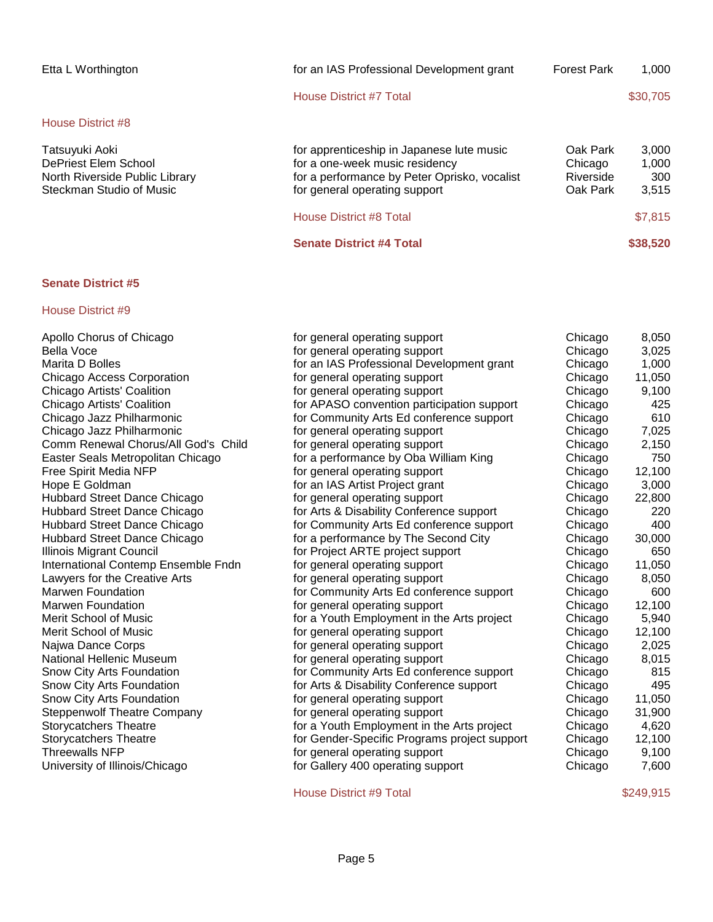| Etta L Worthington                                                                                   | for an IAS Professional Development grant                                                                                                                    | <b>Forest Park</b>                           | 1.000                          |
|------------------------------------------------------------------------------------------------------|--------------------------------------------------------------------------------------------------------------------------------------------------------------|----------------------------------------------|--------------------------------|
|                                                                                                      | House District #7 Total                                                                                                                                      |                                              | \$30,705                       |
| House District #8                                                                                    |                                                                                                                                                              |                                              |                                |
| Tatsuyuki Aoki<br>DePriest Elem School<br>North Riverside Public Library<br>Steckman Studio of Music | for apprenticeship in Japanese lute music<br>for a one-week music residency<br>for a performance by Peter Oprisko, vocalist<br>for general operating support | Oak Park<br>Chicago<br>Riverside<br>Oak Park | 3.000<br>1.000<br>300<br>3.515 |
|                                                                                                      | House District #8 Total                                                                                                                                      |                                              | \$7,815                        |
|                                                                                                      | <b>Senate District #4 Total</b>                                                                                                                              |                                              | \$38,520                       |

# House District #9

| Apollo Chorus of Chicago            | for general operating support                | Chicago | 8,050  |
|-------------------------------------|----------------------------------------------|---------|--------|
| Bella Voce                          | for general operating support                | Chicago | 3,025  |
| Marita D Bolles                     | for an IAS Professional Development grant    | Chicago | 1,000  |
| <b>Chicago Access Corporation</b>   | for general operating support                | Chicago | 11,050 |
| Chicago Artists' Coalition          | for general operating support                | Chicago | 9,100  |
| Chicago Artists' Coalition          | for APASO convention participation support   | Chicago | 425    |
| Chicago Jazz Philharmonic           | for Community Arts Ed conference support     | Chicago | 610    |
| Chicago Jazz Philharmonic           | for general operating support                | Chicago | 7,025  |
| Comm Renewal Chorus/All God's Child | for general operating support                | Chicago | 2,150  |
| Easter Seals Metropolitan Chicago   | for a performance by Oba William King        | Chicago | 750    |
| Free Spirit Media NFP               | for general operating support                | Chicago | 12,100 |
| Hope E Goldman                      | for an IAS Artist Project grant              | Chicago | 3,000  |
| Hubbard Street Dance Chicago        | for general operating support                | Chicago | 22,800 |
| Hubbard Street Dance Chicago        | for Arts & Disability Conference support     | Chicago | 220    |
| Hubbard Street Dance Chicago        | for Community Arts Ed conference support     | Chicago | 400    |
| Hubbard Street Dance Chicago        | for a performance by The Second City         | Chicago | 30,000 |
| <b>Illinois Migrant Council</b>     | for Project ARTE project support             | Chicago | 650    |
| International Contemp Ensemble Fndn | for general operating support                | Chicago | 11,050 |
| Lawyers for the Creative Arts       | for general operating support                | Chicago | 8,050  |
| <b>Marwen Foundation</b>            | for Community Arts Ed conference support     | Chicago | 600    |
| Marwen Foundation                   | for general operating support                | Chicago | 12,100 |
| Merit School of Music               | for a Youth Employment in the Arts project   | Chicago | 5,940  |
| Merit School of Music               | for general operating support                | Chicago | 12,100 |
| Najwa Dance Corps                   | for general operating support                | Chicago | 2,025  |
| National Hellenic Museum            | for general operating support                | Chicago | 8,015  |
| Snow City Arts Foundation           | for Community Arts Ed conference support     | Chicago | 815    |
| Snow City Arts Foundation           | for Arts & Disability Conference support     | Chicago | 495    |
| Snow City Arts Foundation           | for general operating support                | Chicago | 11,050 |
| <b>Steppenwolf Theatre Company</b>  | for general operating support                | Chicago | 31,900 |
| <b>Storycatchers Theatre</b>        | for a Youth Employment in the Arts project   | Chicago | 4,620  |
| <b>Storycatchers Theatre</b>        | for Gender-Specific Programs project support | Chicago | 12,100 |
| Threewalls NFP                      | for general operating support                | Chicago | 9,100  |
| University of Illinois/Chicago      | for Gallery 400 operating support            | Chicago | 7,600  |
|                                     |                                              |         |        |

House District #9 Total \$249,915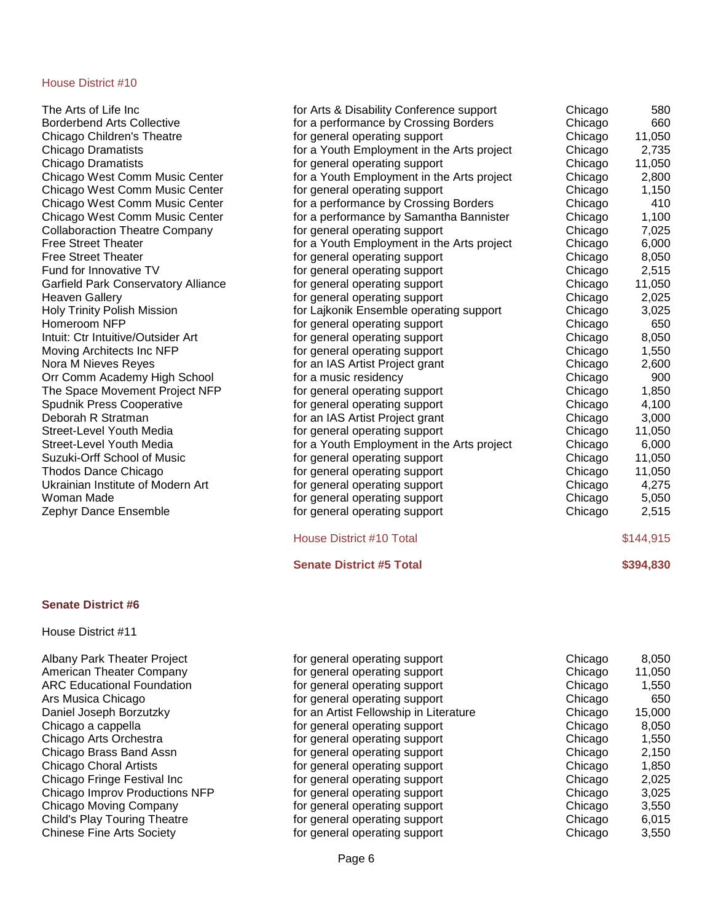#### **Senate District #6**

House District #11

| The Arts of Life Inc                       | for Arts & Disability Conference support   | Chicago | 580       |
|--------------------------------------------|--------------------------------------------|---------|-----------|
| <b>Borderbend Arts Collective</b>          | for a performance by Crossing Borders      | Chicago | 660       |
| Chicago Children's Theatre                 | for general operating support              | Chicago | 11,050    |
| Chicago Dramatists                         | for a Youth Employment in the Arts project | Chicago | 2,735     |
| Chicago Dramatists                         | for general operating support              | Chicago | 11,050    |
| Chicago West Comm Music Center             | for a Youth Employment in the Arts project | Chicago | 2,800     |
| Chicago West Comm Music Center             | for general operating support              | Chicago | 1,150     |
| Chicago West Comm Music Center             | for a performance by Crossing Borders      | Chicago | 410       |
| Chicago West Comm Music Center             | for a performance by Samantha Bannister    | Chicago | 1,100     |
| <b>Collaboraction Theatre Company</b>      | for general operating support              | Chicago | 7,025     |
| <b>Free Street Theater</b>                 | for a Youth Employment in the Arts project | Chicago | 6,000     |
| <b>Free Street Theater</b>                 | for general operating support              | Chicago | 8,050     |
| Fund for Innovative TV                     | for general operating support              | Chicago | 2,515     |
| <b>Garfield Park Conservatory Alliance</b> | for general operating support              | Chicago | 11,050    |
| <b>Heaven Gallery</b>                      | for general operating support              | Chicago | 2,025     |
| <b>Holy Trinity Polish Mission</b>         | for Lajkonik Ensemble operating support    | Chicago | 3,025     |
| Homeroom NFP                               | for general operating support              | Chicago | 650       |
| Intuit: Ctr Intuitive/Outsider Art         | for general operating support              | Chicago | 8,050     |
| Moving Architects Inc NFP                  | for general operating support              | Chicago | 1,550     |
| Nora M Nieves Reyes                        | for an IAS Artist Project grant            | Chicago | 2,600     |
| Orr Comm Academy High School               | for a music residency                      | Chicago | 900       |
| The Space Movement Project NFP             | for general operating support              | Chicago | 1,850     |
| <b>Spudnik Press Cooperative</b>           | for general operating support              | Chicago | 4,100     |
| Deborah R Stratman                         | for an IAS Artist Project grant            | Chicago | 3,000     |
| Street-Level Youth Media                   | for general operating support              | Chicago | 11,050    |
| Street-Level Youth Media                   | for a Youth Employment in the Arts project | Chicago | 6,000     |
| Suzuki-Orff School of Music                | for general operating support              | Chicago | 11,050    |
| Thodos Dance Chicago                       | for general operating support              | Chicago | 11,050    |
| Ukrainian Institute of Modern Art          | for general operating support              | Chicago | 4,275     |
| Woman Made                                 | for general operating support              | Chicago | 5,050     |
| Zephyr Dance Ensemble                      | for general operating support              | Chicago | 2,515     |
|                                            | <b>House District #10 Total</b>            |         | \$144,915 |

**Senate District #5 Total \$394,830** 

| Albany Park Theater Project         | for general operating support          | Chicago | 8,050  |
|-------------------------------------|----------------------------------------|---------|--------|
| American Theater Company            | for general operating support          | Chicago | 11,050 |
| <b>ARC Educational Foundation</b>   | for general operating support          | Chicago | 1,550  |
| Ars Musica Chicago                  | for general operating support          | Chicago | 650    |
| Daniel Joseph Borzutzky             | for an Artist Fellowship in Literature | Chicago | 15,000 |
| Chicago a cappella                  | for general operating support          | Chicago | 8,050  |
| Chicago Arts Orchestra              | for general operating support          | Chicago | 1,550  |
| Chicago Brass Band Assn             | for general operating support          | Chicago | 2,150  |
| <b>Chicago Choral Artists</b>       | for general operating support          | Chicago | 1,850  |
| Chicago Fringe Festival Inc         | for general operating support          | Chicago | 2,025  |
| Chicago Improv Productions NFP      | for general operating support          | Chicago | 3,025  |
| Chicago Moving Company              | for general operating support          | Chicago | 3,550  |
| <b>Child's Play Touring Theatre</b> | for general operating support          | Chicago | 6,015  |
| <b>Chinese Fine Arts Society</b>    | for general operating support          | Chicago | 3,550  |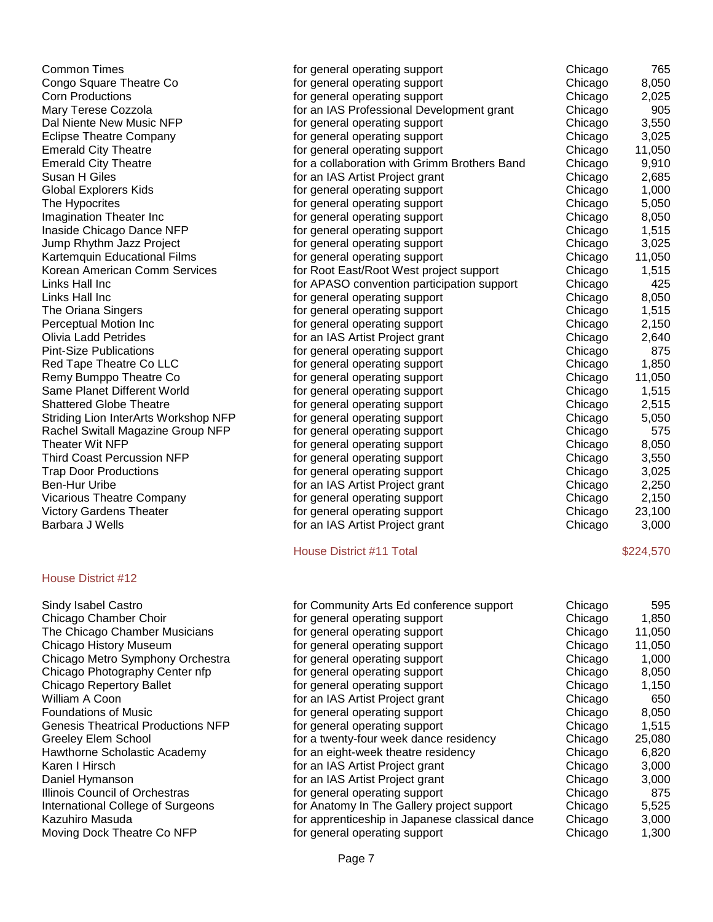| <b>Common Times</b>                       | for general operating support                  | Chicago | 765       |
|-------------------------------------------|------------------------------------------------|---------|-----------|
| Congo Square Theatre Co                   | for general operating support                  | Chicago | 8,050     |
| <b>Corn Productions</b>                   | for general operating support                  | Chicago | 2,025     |
| Mary Terese Cozzola                       | for an IAS Professional Development grant      | Chicago | 905       |
| Dal Niente New Music NFP                  | for general operating support                  | Chicago | 3,550     |
| <b>Eclipse Theatre Company</b>            | for general operating support                  | Chicago | 3,025     |
| <b>Emerald City Theatre</b>               | for general operating support                  | Chicago | 11,050    |
| <b>Emerald City Theatre</b>               | for a collaboration with Grimm Brothers Band   | Chicago | 9,910     |
| Susan H Giles                             | for an IAS Artist Project grant                | Chicago | 2,685     |
| <b>Global Explorers Kids</b>              | for general operating support                  | Chicago | 1,000     |
| The Hypocrites                            | for general operating support                  | Chicago | 5,050     |
| Imagination Theater Inc                   | for general operating support                  | Chicago | 8,050     |
| Inaside Chicago Dance NFP                 | for general operating support                  | Chicago | 1,515     |
| Jump Rhythm Jazz Project                  | for general operating support                  | Chicago | 3,025     |
| Kartemquin Educational Films              | for general operating support                  | Chicago | 11,050    |
| Korean American Comm Services             | for Root East/Root West project support        | Chicago | 1,515     |
| Links Hall Inc                            | for APASO convention participation support     | Chicago | 425       |
| Links Hall Inc                            | for general operating support                  | Chicago | 8,050     |
| The Oriana Singers                        | for general operating support                  | Chicago | 1,515     |
| Perceptual Motion Inc                     | for general operating support                  | Chicago | 2,150     |
| <b>Olivia Ladd Petrides</b>               | for an IAS Artist Project grant                | Chicago | 2,640     |
| <b>Pint-Size Publications</b>             | for general operating support                  | Chicago | 875       |
| Red Tape Theatre Co LLC                   | for general operating support                  | Chicago | 1,850     |
| Remy Bumppo Theatre Co                    | for general operating support                  | Chicago | 11,050    |
| Same Planet Different World               | for general operating support                  | Chicago | 1,515     |
| <b>Shattered Globe Theatre</b>            | for general operating support                  | Chicago | 2,515     |
| Striding Lion InterArts Workshop NFP      | for general operating support                  | Chicago | 5,050     |
| Rachel Switall Magazine Group NFP         | for general operating support                  | Chicago | 575       |
| <b>Theater Wit NFP</b>                    | for general operating support                  | Chicago | 8,050     |
| <b>Third Coast Percussion NFP</b>         | for general operating support                  | Chicago | 3,550     |
| <b>Trap Door Productions</b>              | for general operating support                  | Chicago | 3,025     |
| Ben-Hur Uribe                             | for an IAS Artist Project grant                | Chicago | 2,250     |
| <b>Vicarious Theatre Company</b>          | for general operating support                  | Chicago | 2,150     |
| <b>Victory Gardens Theater</b>            | for general operating support                  | Chicago | 23,100    |
| <b>Barbara J Wells</b>                    | for an IAS Artist Project grant                | Chicago | 3,000     |
|                                           | House District #11 Total                       |         | \$224,570 |
| House District #12                        |                                                |         |           |
| Sindy Isabel Castro                       | for Community Arts Ed conference support       | Chicago | 595       |
| Chicago Chamber Choir                     | for general operating support                  | Chicago | 1,850     |
| The Chicago Chamber Musicians             | for general operating support                  | Chicago | 11,050    |
| Chicago History Museum                    | for general operating support                  | Chicago | 11,050    |
| Chicago Metro Symphony Orchestra          | for general operating support                  | Chicago | 1,000     |
| Chicago Photography Center nfp            | for general operating support                  | Chicago | 8,050     |
| <b>Chicago Repertory Ballet</b>           | for general operating support                  | Chicago | 1,150     |
| William A Coon                            | for an IAS Artist Project grant                | Chicago | 650       |
| <b>Foundations of Music</b>               | for general operating support                  | Chicago | 8,050     |
| <b>Genesis Theatrical Productions NFP</b> | for general operating support                  | Chicago | 1,515     |
| Greeley Elem School                       | for a twenty-four week dance residency         | Chicago | 25,080    |
| Hawthorne Scholastic Academy              | for an eight-week theatre residency            | Chicago | 6,820     |
| Karen I Hirsch                            | for an IAS Artist Project grant                | Chicago | 3,000     |
| Daniel Hymanson                           | for an IAS Artist Project grant                | Chicago | 3,000     |
| Illinois Council of Orchestras            | for general operating support                  | Chicago | 875       |
| International College of Surgeons         | for Anatomy In The Gallery project support     | Chicago | 5,525     |
| Kazuhiro Masuda                           | for apprenticeship in Japanese classical dance | Chicago | 3,000     |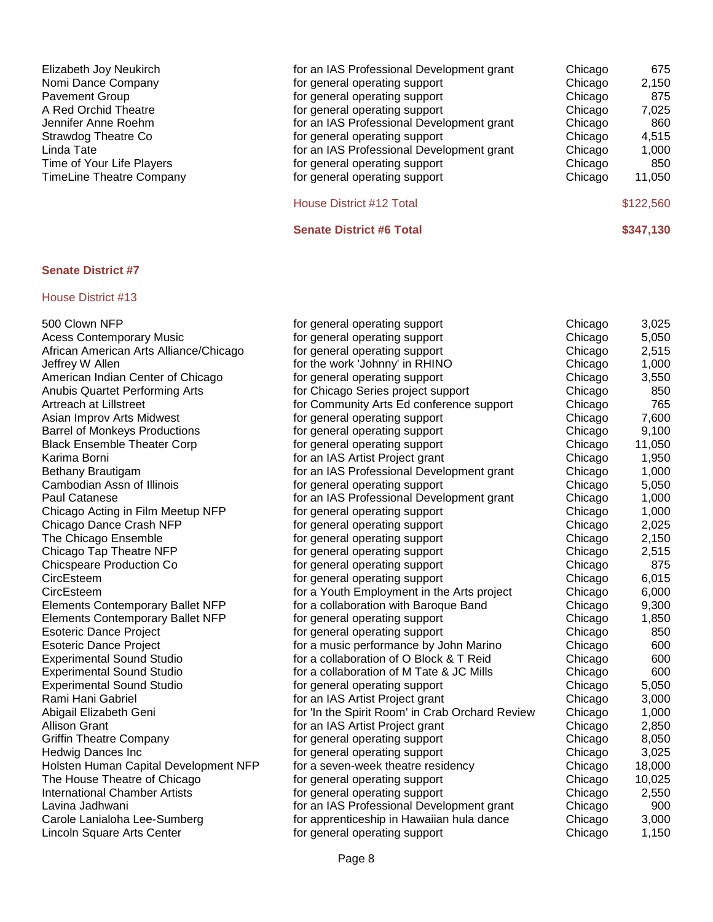| for an IAS Professional Development grant | Chicago | 675       |
|-------------------------------------------|---------|-----------|
| for general operating support             | Chicago | 2,150     |
| for general operating support             | Chicago | 875       |
| for general operating support             | Chicago | 7,025     |
| for an IAS Professional Development grant | Chicago | 860       |
| for general operating support             | Chicago | 4,515     |
| for an IAS Professional Development grant | Chicago | 1,000     |
| for general operating support             | Chicago | 850       |
| for general operating support             | Chicago | 11,050    |
| House District #12 Total                  |         | \$122,560 |
| <b>Senate District #6 Total</b>           |         | \$347,130 |
|                                           |         |           |

| 500 Clown NFP                           | for general operating support                   | Chicago | 3,025  |
|-----------------------------------------|-------------------------------------------------|---------|--------|
| <b>Acess Contemporary Music</b>         | for general operating support                   | Chicago | 5,050  |
| African American Arts Alliance/Chicago  | for general operating support                   | Chicago | 2,515  |
| Jeffrey W Allen                         | for the work 'Johnny' in RHINO                  | Chicago | 1,000  |
| American Indian Center of Chicago       | for general operating support                   | Chicago | 3,550  |
| <b>Anubis Quartet Performing Arts</b>   | for Chicago Series project support              | Chicago | 850    |
| Artreach at Lillstreet                  | for Community Arts Ed conference support        | Chicago | 765    |
| Asian Improv Arts Midwest               | for general operating support                   | Chicago | 7,600  |
| <b>Barrel of Monkeys Productions</b>    | for general operating support                   | Chicago | 9,100  |
| <b>Black Ensemble Theater Corp</b>      | for general operating support                   | Chicago | 11,050 |
| Karima Borni                            | for an IAS Artist Project grant                 | Chicago | 1,950  |
| Bethany Brautigam                       | for an IAS Professional Development grant       | Chicago | 1,000  |
| Cambodian Assn of Illinois              | for general operating support                   | Chicago | 5,050  |
| <b>Paul Catanese</b>                    | for an IAS Professional Development grant       | Chicago | 1,000  |
| Chicago Acting in Film Meetup NFP       | for general operating support                   | Chicago | 1,000  |
| Chicago Dance Crash NFP                 | for general operating support                   | Chicago | 2,025  |
| The Chicago Ensemble                    | for general operating support                   | Chicago | 2,150  |
| Chicago Tap Theatre NFP                 | for general operating support                   | Chicago | 2,515  |
| <b>Chicspeare Production Co</b>         | for general operating support                   | Chicago | 875    |
| CircEsteem                              | for general operating support                   | Chicago | 6,015  |
| CircEsteem                              | for a Youth Employment in the Arts project      | Chicago | 6,000  |
| <b>Elements Contemporary Ballet NFP</b> | for a collaboration with Baroque Band           | Chicago | 9,300  |
| <b>Elements Contemporary Ballet NFP</b> | for general operating support                   | Chicago | 1,850  |
| <b>Esoteric Dance Project</b>           | for general operating support                   | Chicago | 850    |
| <b>Esoteric Dance Project</b>           | for a music performance by John Marino          | Chicago | 600    |
| <b>Experimental Sound Studio</b>        | for a collaboration of O Block & T Reid         | Chicago | 600    |
| <b>Experimental Sound Studio</b>        | for a collaboration of M Tate & JC Mills        | Chicago | 600    |
| <b>Experimental Sound Studio</b>        | for general operating support                   | Chicago | 5,050  |
| Rami Hani Gabriel                       | for an IAS Artist Project grant                 | Chicago | 3,000  |
| Abigail Elizabeth Geni                  | for 'In the Spirit Room' in Crab Orchard Review | Chicago | 1,000  |
| <b>Allison Grant</b>                    | for an IAS Artist Project grant                 | Chicago | 2,850  |
| <b>Griffin Theatre Company</b>          | for general operating support                   | Chicago | 8,050  |
| <b>Hedwig Dances Inc</b>                | for general operating support                   | Chicago | 3,025  |
| Holsten Human Capital Development NFP   | for a seven-week theatre residency              | Chicago | 18,000 |
| The House Theatre of Chicago            | for general operating support                   | Chicago | 10,025 |
| <b>International Chamber Artists</b>    | for general operating support                   | Chicago | 2,550  |
| Lavina Jadhwani                         | for an IAS Professional Development grant       | Chicago | 900    |
| Carole Lanialoha Lee-Sumberg            | for apprenticeship in Hawaiian hula dance       | Chicago | 3,000  |
| Lincoln Square Arts Center              | for general operating support                   | Chicago | 1,150  |
|                                         |                                                 |         |        |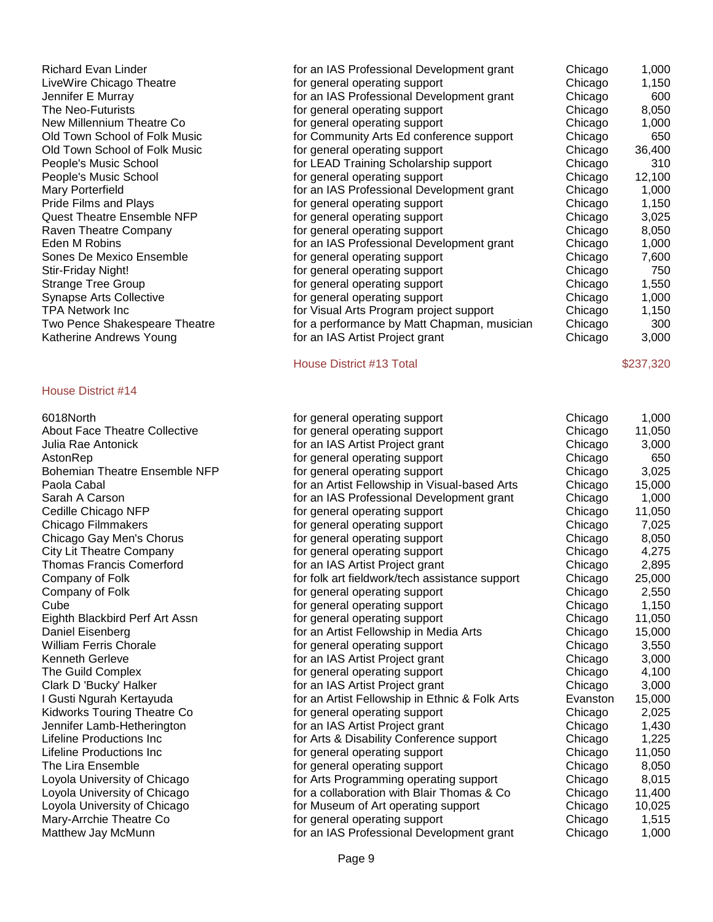#### House District #14

| Richard Evan Linder<br>LiveWire Chicago Theatre<br>Jennifer E Murray<br>The Neo-Futurists | for an IAS Professional Development grant<br>for general operating support<br>for an IAS Professional Development grant<br>for general operating support | Chicago<br>Chicago<br>Chicago<br>Chicago | 1,000<br>1,150<br>600<br>8,050 |
|-------------------------------------------------------------------------------------------|----------------------------------------------------------------------------------------------------------------------------------------------------------|------------------------------------------|--------------------------------|
| New Millennium Theatre Co                                                                 | for general operating support                                                                                                                            | Chicago                                  | 1,000                          |
| Old Town School of Folk Music                                                             | for Community Arts Ed conference support                                                                                                                 | Chicago                                  | 650                            |
| Old Town School of Folk Music                                                             | for general operating support                                                                                                                            | Chicago                                  | 36,400                         |
| People's Music School                                                                     | for LEAD Training Scholarship support                                                                                                                    | Chicago                                  | 310                            |
| People's Music School                                                                     | for general operating support                                                                                                                            | Chicago                                  | 12,100                         |
| Mary Porterfield                                                                          | for an IAS Professional Development grant                                                                                                                | Chicago                                  | 1,000                          |
| Pride Films and Plays                                                                     | for general operating support                                                                                                                            | Chicago                                  | 1,150                          |
| <b>Quest Theatre Ensemble NFP</b>                                                         | for general operating support                                                                                                                            | Chicago                                  | 3,025                          |
| Raven Theatre Company                                                                     | for general operating support                                                                                                                            | Chicago                                  | 8,050                          |
| Eden M Robins                                                                             | for an IAS Professional Development grant                                                                                                                | Chicago                                  | 1,000                          |
| Sones De Mexico Ensemble                                                                  | for general operating support                                                                                                                            | Chicago                                  | 7,600                          |
| Stir-Friday Night!                                                                        | for general operating support                                                                                                                            | Chicago                                  | 750                            |
| Strange Tree Group                                                                        | for general operating support                                                                                                                            | Chicago                                  | 1,550                          |
| <b>Synapse Arts Collective</b>                                                            | for general operating support                                                                                                                            | Chicago                                  | 1,000                          |
| TPA Network Inc                                                                           | for Visual Arts Program project support                                                                                                                  | Chicago                                  | 1,150                          |
| Two Pence Shakespeare Theatre                                                             | for a performance by Matt Chapman, musician                                                                                                              | Chicago                                  | 300                            |
| Katherine Andrews Young                                                                   | for an IAS Artist Project grant                                                                                                                          | Chicago                                  | 3,000                          |
|                                                                                           |                                                                                                                                                          |                                          |                                |

House District #13 Total \$237,320

| 6018North                            | for general operating support                  | Chicago  | 1,000  |
|--------------------------------------|------------------------------------------------|----------|--------|
| <b>About Face Theatre Collective</b> | for general operating support                  | Chicago  | 11,050 |
| Julia Rae Antonick                   | for an IAS Artist Project grant                | Chicago  | 3,000  |
| AstonRep                             | for general operating support                  | Chicago  | 650    |
| <b>Bohemian Theatre Ensemble NFP</b> | for general operating support                  | Chicago  | 3,025  |
| Paola Cabal                          | for an Artist Fellowship in Visual-based Arts  | Chicago  | 15,000 |
| Sarah A Carson                       | for an IAS Professional Development grant      | Chicago  | 1,000  |
| Cedille Chicago NFP                  | for general operating support                  | Chicago  | 11,050 |
| Chicago Filmmakers                   | for general operating support                  | Chicago  | 7,025  |
| Chicago Gay Men's Chorus             | for general operating support                  | Chicago  | 8,050  |
| City Lit Theatre Company             | for general operating support                  | Chicago  | 4,275  |
| <b>Thomas Francis Comerford</b>      | for an IAS Artist Project grant                | Chicago  | 2,895  |
| Company of Folk                      | for folk art fieldwork/tech assistance support | Chicago  | 25,000 |
| Company of Folk                      | for general operating support                  | Chicago  | 2,550  |
| Cube                                 | for general operating support                  | Chicago  | 1,150  |
| Eighth Blackbird Perf Art Assn       | for general operating support                  | Chicago  | 11,050 |
| Daniel Eisenberg                     | for an Artist Fellowship in Media Arts         | Chicago  | 15,000 |
| William Ferris Chorale               | for general operating support                  | Chicago  | 3,550  |
| Kenneth Gerleve                      | for an IAS Artist Project grant                | Chicago  | 3,000  |
| The Guild Complex                    | for general operating support                  | Chicago  | 4,100  |
| Clark D 'Bucky' Halker               | for an IAS Artist Project grant                | Chicago  | 3,000  |
| I Gusti Ngurah Kertayuda             | for an Artist Fellowship in Ethnic & Folk Arts | Evanston | 15,000 |
| Kidworks Touring Theatre Co          | for general operating support                  | Chicago  | 2,025  |
| Jennifer Lamb-Hetherington           | for an IAS Artist Project grant                | Chicago  | 1,430  |
| Lifeline Productions Inc             | for Arts & Disability Conference support       | Chicago  | 1,225  |
| <b>Lifeline Productions Inc</b>      | for general operating support                  | Chicago  | 11,050 |
| The Lira Ensemble                    | for general operating support                  | Chicago  | 8,050  |
| Loyola University of Chicago         | for Arts Programming operating support         | Chicago  | 8,015  |
| Loyola University of Chicago         | for a collaboration with Blair Thomas & Co     | Chicago  | 11,400 |
| Loyola University of Chicago         | for Museum of Art operating support            | Chicago  | 10,025 |
| Mary-Arrchie Theatre Co              | for general operating support                  | Chicago  | 1,515  |
| Matthew Jay McMunn                   | for an IAS Professional Development grant      | Chicago  | 1,000  |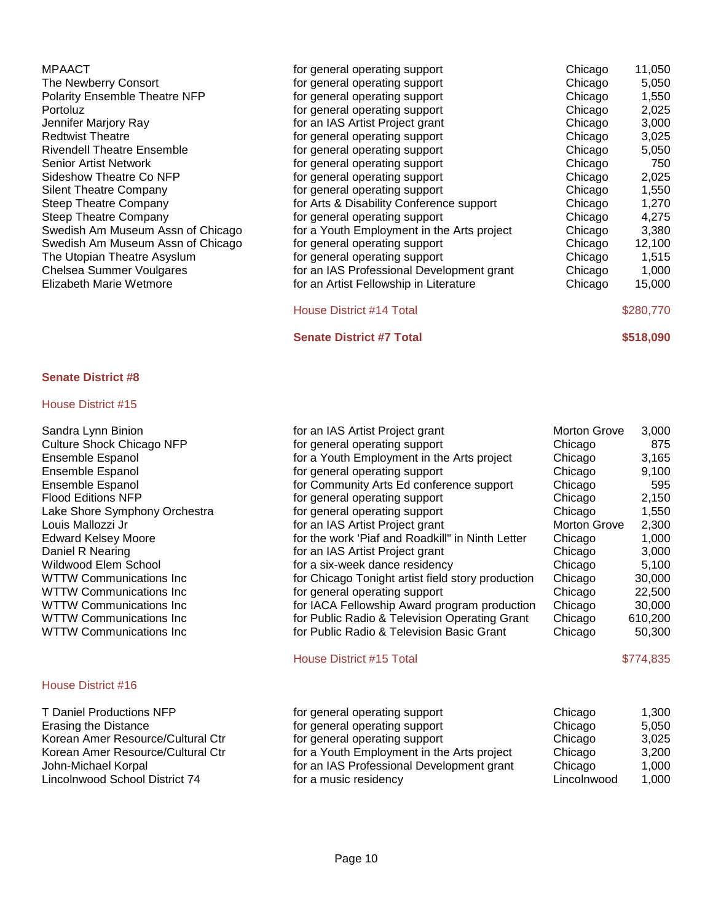| MPAACT                               | for general operating support              | Chicago | 11,050    |
|--------------------------------------|--------------------------------------------|---------|-----------|
| The Newberry Consort                 | for general operating support              | Chicago | 5,050     |
| <b>Polarity Ensemble Theatre NFP</b> | for general operating support              | Chicago | 1,550     |
| Portoluz                             | for general operating support              | Chicago | 2,025     |
| Jennifer Marjory Ray                 | for an IAS Artist Project grant            | Chicago | 3,000     |
| <b>Redtwist Theatre</b>              | for general operating support              | Chicago | 3,025     |
| <b>Rivendell Theatre Ensemble</b>    | for general operating support              | Chicago | 5,050     |
| Senior Artist Network                | for general operating support              | Chicago | 750       |
| Sideshow Theatre Co NFP              | for general operating support              | Chicago | 2,025     |
| <b>Silent Theatre Company</b>        | for general operating support              | Chicago | 1,550     |
| Steep Theatre Company                | for Arts & Disability Conference support   | Chicago | 1,270     |
| Steep Theatre Company                | for general operating support              | Chicago | 4,275     |
| Swedish Am Museum Assn of Chicago    | for a Youth Employment in the Arts project | Chicago | 3,380     |
| Swedish Am Museum Assn of Chicago    | for general operating support              | Chicago | 12,100    |
| The Utopian Theatre Asyslum          | for general operating support              | Chicago | 1,515     |
| Chelsea Summer Voulgares             | for an IAS Professional Development grant  | Chicago | 1,000     |
| <b>Elizabeth Marie Wetmore</b>       | for an Artist Fellowship in Literature     | Chicago | 15,000    |
|                                      | House District #14 Total                   |         | \$280,770 |
|                                      | <b>Senate District #7 Total</b>            |         | \$518,090 |

#### House District #15

Sandra Lynn Binion Culture Shock Chicago NFP Ensemble Espanol Ensemble Espanol Ensemble Espanol Flood Editions NFP Lake Shore Symphony Orchestra Louis Mallozzi Jr Edward Kelsey Moore Daniel R Nearing Wildwood Elem School WTTW Communications Inc WTTW Communications Inc WTTW Communications Inc WTTW Communications Inc WTTW Communications Inc

# House District #16

| <b>T Daniel Productions NFP</b>   |
|-----------------------------------|
| <b>Erasing the Distance</b>       |
| Korean Amer Resource/Cultural Ctr |
| Korean Amer Resource/Cultural Ctr |
| John-Michael Korpal               |
| Lincolnwood School District 74    |

| for an IAS Artist Project grant                   | <b>Morton Grove</b> | 3,000   |
|---------------------------------------------------|---------------------|---------|
| for general operating support                     | Chicago             | 875     |
| for a Youth Employment in the Arts project        | Chicago             | 3,165   |
| for general operating support                     | Chicago             | 9,100   |
| for Community Arts Ed conference support          | Chicago             | 595     |
| for general operating support                     | Chicago             | 2,150   |
| for general operating support                     | Chicago             | 1,550   |
| for an IAS Artist Project grant                   | <b>Morton Grove</b> | 2,300   |
| for the work 'Piaf and Roadkill" in Ninth Letter  | Chicago             | 1,000   |
| for an IAS Artist Project grant                   | Chicago             | 3,000   |
| for a six-week dance residency                    | Chicago             | 5,100   |
| for Chicago Tonight artist field story production | Chicago             | 30,000  |
| for general operating support                     | Chicago             | 22,500  |
| for IACA Fellowship Award program production      | Chicago             | 30,000  |
| for Public Radio & Television Operating Grant     | Chicago             | 610,200 |
| for Public Radio & Television Basic Grant         | Chicago             | 50,300  |
|                                                   |                     |         |

#### House District #15 Total \$774,835

| T Daniel Productions NFP          | for general operating support              | Chicago     | 1.300 |
|-----------------------------------|--------------------------------------------|-------------|-------|
| Erasing the Distance              | for general operating support              | Chicago     | 5,050 |
| Korean Amer Resource/Cultural Ctr | for general operating support              | Chicago     | 3,025 |
| Korean Amer Resource/Cultural Ctr | for a Youth Employment in the Arts project | Chicago     | 3,200 |
| John-Michael Korpal               | for an IAS Professional Development grant  | Chicago     | 1.000 |
| Lincolnwood School District 74    | for a music residency                      | Lincolnwood | 1,000 |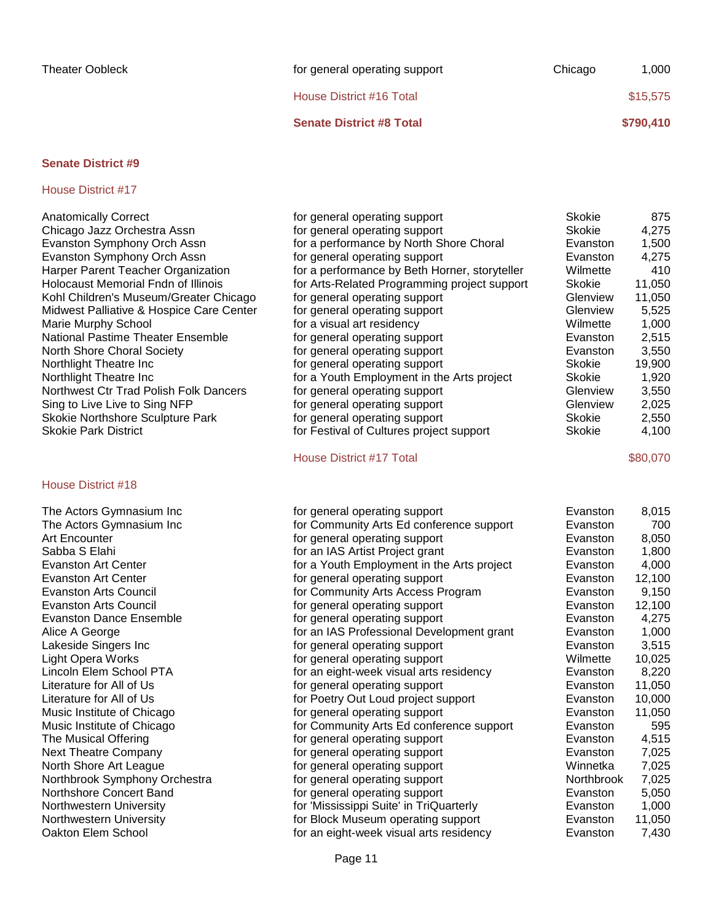| <b>Senate District #8 Total</b> |         | \$790,410 |
|---------------------------------|---------|-----------|
| House District #16 Total        |         | \$15,575  |
| for general operating support   | Chicago | 1.000     |

#### House District #17

| <b>Anatomically Correct</b>                | for general operating support                 | Skokie        | 875    |
|--------------------------------------------|-----------------------------------------------|---------------|--------|
| Chicago Jazz Orchestra Assn                | for general operating support                 | <b>Skokie</b> | 4,275  |
| Evanston Symphony Orch Assn                | for a performance by North Shore Choral       | Evanston      | 1,500  |
| Evanston Symphony Orch Assn                | for general operating support                 | Evanston      | 4,275  |
| Harper Parent Teacher Organization         | for a performance by Beth Horner, storyteller | Wilmette      | 410    |
| <b>Holocaust Memorial Fndn of Illinois</b> | for Arts-Related Programming project support  | Skokie        | 11,050 |
| Kohl Children's Museum/Greater Chicago     | for general operating support                 | Glenview      | 11,050 |
| Midwest Palliative & Hospice Care Center   | for general operating support                 | Glenview      | 5,525  |
| Marie Murphy School                        | for a visual art residency                    | Wilmette      | 1,000  |
| <b>National Pastime Theater Ensemble</b>   | for general operating support                 | Evanston      | 2,515  |
| North Shore Choral Society                 | for general operating support                 | Evanston      | 3,550  |
| Northlight Theatre Inc.                    | for general operating support                 | Skokie        | 19,900 |
| Northlight Theatre Inc                     | for a Youth Employment in the Arts project    | Skokie        | 1,920  |
| Northwest Ctr Trad Polish Folk Dancers     | for general operating support                 | Glenview      | 3.550  |
| Sing to Live Live to Sing NFP              | for general operating support                 | Glenview      | 2,025  |
| Skokie Northshore Sculpture Park           | for general operating support                 | <b>Skokie</b> | 2,550  |
| <b>Skokie Park District</b>                | for Festival of Cultures project support      | <b>Skokie</b> | 4,100  |
|                                            |                                               |               |        |

#### House District #18

# House District #17 Total \$80,070

| The Actors Gymnasium Inc       | for general operating support              | Evanston   | 8,015  |
|--------------------------------|--------------------------------------------|------------|--------|
| The Actors Gymnasium Inc       | for Community Arts Ed conference support   | Evanston   | 700    |
| Art Encounter                  | for general operating support              | Evanston   | 8,050  |
| Sabba S Elahi                  | for an IAS Artist Project grant            | Evanston   | 1,800  |
| Evanston Art Center            | for a Youth Employment in the Arts project | Evanston   | 4,000  |
| Evanston Art Center            | for general operating support              | Evanston   | 12,100 |
| Evanston Arts Council          | for Community Arts Access Program          | Evanston   | 9,150  |
| Evanston Arts Council          | for general operating support              | Evanston   | 12,100 |
| <b>Evanston Dance Ensemble</b> | for general operating support              | Evanston   | 4,275  |
| Alice A George                 | for an IAS Professional Development grant  | Evanston   | 1,000  |
| Lakeside Singers Inc           | for general operating support              | Evanston   | 3,515  |
| Light Opera Works              | for general operating support              | Wilmette   | 10,025 |
| Lincoln Elem School PTA        | for an eight-week visual arts residency    | Evanston   | 8,220  |
| Literature for All of Us       | for general operating support              | Evanston   | 11,050 |
| Literature for All of Us       | for Poetry Out Loud project support        | Evanston   | 10,000 |
| Music Institute of Chicago     | for general operating support              | Evanston   | 11,050 |
| Music Institute of Chicago     | for Community Arts Ed conference support   | Evanston   | 595    |
| The Musical Offering           | for general operating support              | Evanston   | 4,515  |
| <b>Next Theatre Company</b>    | for general operating support              | Evanston   | 7,025  |
| North Shore Art League         | for general operating support              | Winnetka   | 7,025  |
| Northbrook Symphony Orchestra  | for general operating support              | Northbrook | 7,025  |
| Northshore Concert Band        | for general operating support              | Evanston   | 5,050  |
| Northwestern University        | for 'Mississippi Suite' in TriQuarterly    | Evanston   | 1,000  |
| Northwestern University        | for Block Museum operating support         | Evanston   | 11,050 |
| Oakton Elem School             | for an eight-week visual arts residency    | Evanston   | 7,430  |
|                                |                                            |            |        |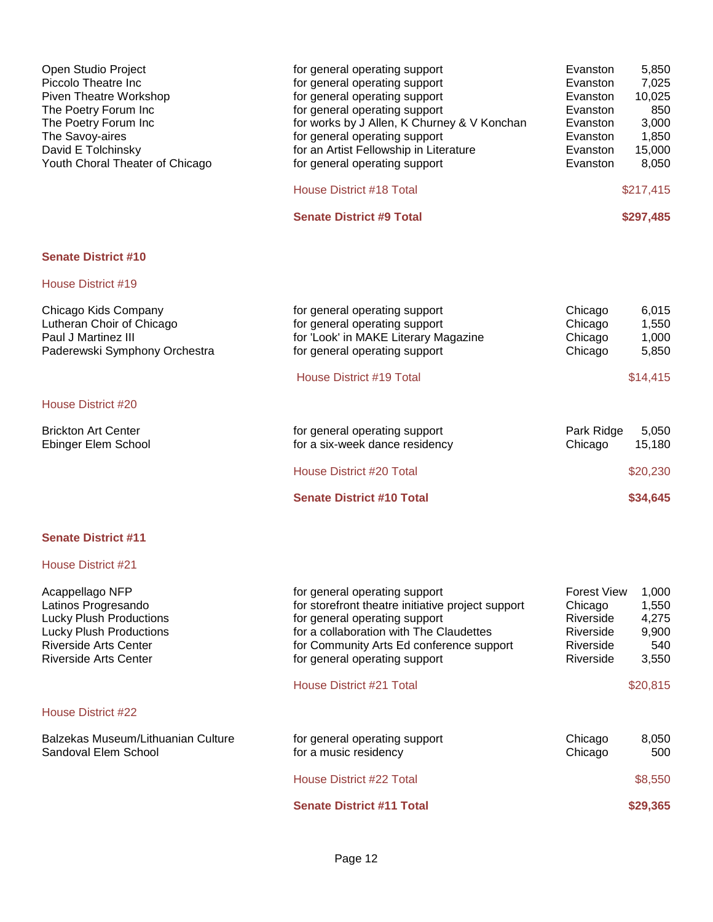| for general operating support<br>for general operating support<br>for general operating support<br>for general operating support<br>for works by J Allen, K Churney & V Konchan<br>for general operating support<br>for an Artist Fellowship in Literature<br>for general operating support<br><b>House District #18 Total</b> | Evanston<br>Evanston<br>Evanston<br>Evanston<br>Evanston<br>Evanston<br>Evanston<br>Evanston | 5,850<br>7,025<br>10,025<br>850<br>3,000<br>1,850<br>15,000<br>8,050<br>\$217,415 |
|--------------------------------------------------------------------------------------------------------------------------------------------------------------------------------------------------------------------------------------------------------------------------------------------------------------------------------|----------------------------------------------------------------------------------------------|-----------------------------------------------------------------------------------|
| <b>Senate District #9 Total</b>                                                                                                                                                                                                                                                                                                |                                                                                              | \$297,485                                                                         |
|                                                                                                                                                                                                                                                                                                                                |                                                                                              |                                                                                   |
|                                                                                                                                                                                                                                                                                                                                |                                                                                              |                                                                                   |
| for general operating support<br>for general operating support<br>for 'Look' in MAKE Literary Magazine<br>for general operating support                                                                                                                                                                                        | Chicago<br>Chicago<br>Chicago<br>Chicago                                                     | 6,015<br>1,550<br>1,000<br>5,850                                                  |
| <b>House District #19 Total</b>                                                                                                                                                                                                                                                                                                |                                                                                              | \$14,415                                                                          |
|                                                                                                                                                                                                                                                                                                                                |                                                                                              |                                                                                   |
| for general operating support<br>for a six-week dance residency                                                                                                                                                                                                                                                                | Chicago                                                                                      | 5,050<br>15,180                                                                   |
| House District #20 Total                                                                                                                                                                                                                                                                                                       |                                                                                              | \$20,230                                                                          |
| <b>Senate District #10 Total</b>                                                                                                                                                                                                                                                                                               |                                                                                              | \$34,645                                                                          |
|                                                                                                                                                                                                                                                                                                                                |                                                                                              | Park Ridge                                                                        |

| Acappellago NFP<br>Latinos Progresando<br><b>Lucky Plush Productions</b><br><b>Lucky Plush Productions</b><br>Riverside Arts Center<br>Riverside Arts Center | for general operating support<br>for storefront theatre initiative project support<br>for general operating support<br>for a collaboration with The Claudettes<br>for Community Arts Ed conference support<br>for general operating support<br>House District #21 Total | <b>Forest View</b><br>Chicago<br>Riverside<br>Riverside<br>Riverside<br>Riverside | 1,000<br>1,550<br>4,275<br>9,900<br>540<br>3,550<br>\$20,815 |
|--------------------------------------------------------------------------------------------------------------------------------------------------------------|-------------------------------------------------------------------------------------------------------------------------------------------------------------------------------------------------------------------------------------------------------------------------|-----------------------------------------------------------------------------------|--------------------------------------------------------------|
| House District #22                                                                                                                                           |                                                                                                                                                                                                                                                                         |                                                                                   |                                                              |
| Balzekas Museum/Lithuanian Culture<br>Sandoval Elem School                                                                                                   | for general operating support<br>for a music residency                                                                                                                                                                                                                  | Chicago<br>Chicago                                                                | 8,050<br>500                                                 |
|                                                                                                                                                              | House District #22 Total                                                                                                                                                                                                                                                |                                                                                   | \$8,550                                                      |
|                                                                                                                                                              | <b>Senate District #11 Total</b>                                                                                                                                                                                                                                        |                                                                                   | \$29,365                                                     |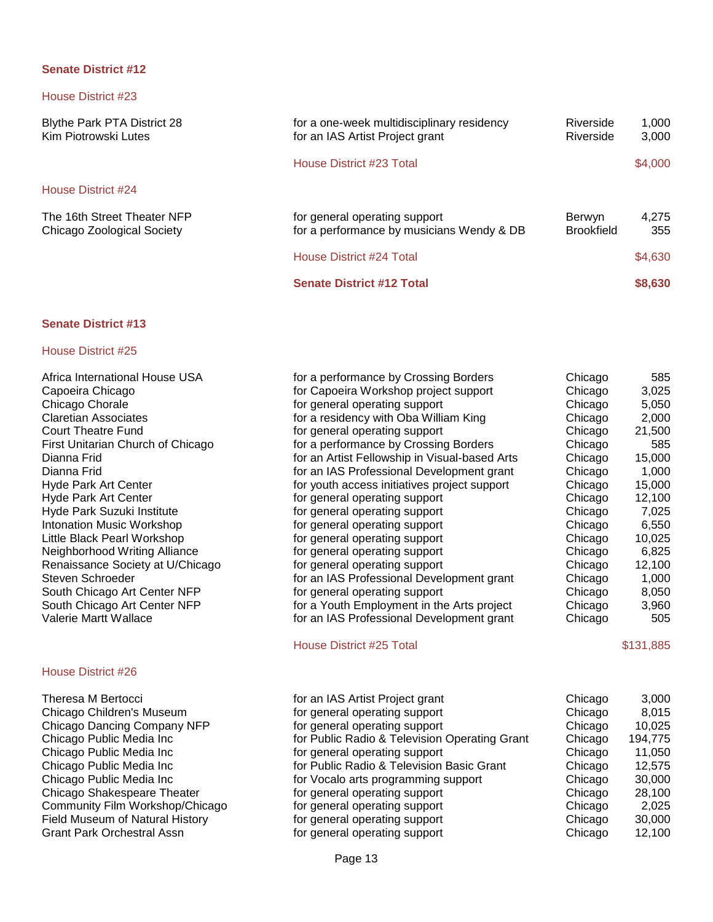House District #23

Blythe Park PTA District 28 for a one-week multidisciplinary residency Riverside 1,000<br>Kim Piotrowski Lutes for an IAS Artist Project grant Riverside 3,000 for an IAS Artist Project grant House District #23 Total \$4,000 House District #24 The 16th Street Theater NFP for general operating support Berwyn 4,275<br>Chicago Zoological Society for a performance by musicians Wendy & DB Brookfield 355 for a performance by musicians Wendy & DB Brookfield 355 House District #24 Total \$4,630 **Senate District #12 Total \$8,630** 

#### **Senate District #13**

#### House District #25

| Africa International House USA    | for a performance by Crossing Borders         | Chicago | 585       |
|-----------------------------------|-----------------------------------------------|---------|-----------|
| Capoeira Chicago                  | for Capoeira Workshop project support         | Chicago | 3,025     |
| Chicago Chorale                   | for general operating support                 | Chicago | 5,050     |
| <b>Claretian Associates</b>       | for a residency with Oba William King         | Chicago | 2,000     |
| <b>Court Theatre Fund</b>         | for general operating support                 | Chicago | 21,500    |
| First Unitarian Church of Chicago | for a performance by Crossing Borders         | Chicago | 585       |
| Dianna Frid                       | for an Artist Fellowship in Visual-based Arts | Chicago | 15,000    |
| Dianna Frid                       | for an IAS Professional Development grant     | Chicago | 1,000     |
| <b>Hyde Park Art Center</b>       | for youth access initiatives project support  | Chicago | 15,000    |
| <b>Hyde Park Art Center</b>       | for general operating support                 | Chicago | 12,100    |
| Hyde Park Suzuki Institute        | for general operating support                 | Chicago | 7,025     |
| <b>Intonation Music Workshop</b>  | for general operating support                 | Chicago | 6,550     |
| Little Black Pearl Workshop       | for general operating support                 | Chicago | 10,025    |
| Neighborhood Writing Alliance     | for general operating support                 | Chicago | 6,825     |
| Renaissance Society at U/Chicago  | for general operating support                 | Chicago | 12,100    |
| Steven Schroeder                  | for an IAS Professional Development grant     | Chicago | 1,000     |
| South Chicago Art Center NFP      | for general operating support                 | Chicago | 8,050     |
| South Chicago Art Center NFP      | for a Youth Employment in the Arts project    | Chicago | 3,960     |
| Valerie Martt Wallace             | for an IAS Professional Development grant     | Chicago | 505       |
|                                   | House District #25 Total                      |         | \$131,885 |

| Theresa M Bertocci                     | for an IAS Artist Project grant               | Chicago | 3,000   |
|----------------------------------------|-----------------------------------------------|---------|---------|
| Chicago Children's Museum              | for general operating support                 | Chicago | 8,015   |
| Chicago Dancing Company NFP            | for general operating support                 | Chicago | 10,025  |
| Chicago Public Media Inc               | for Public Radio & Television Operating Grant | Chicago | 194,775 |
| Chicago Public Media Inc               | for general operating support                 | Chicago | 11,050  |
| Chicago Public Media Inc               | for Public Radio & Television Basic Grant     | Chicago | 12,575  |
| Chicago Public Media Inc               | for Vocalo arts programming support           | Chicago | 30,000  |
| Chicago Shakespeare Theater            | for general operating support                 | Chicago | 28,100  |
| Community Film Workshop/Chicago        | for general operating support                 | Chicago | 2,025   |
| <b>Field Museum of Natural History</b> | for general operating support                 | Chicago | 30,000  |
| <b>Grant Park Orchestral Assn</b>      | for general operating support                 | Chicago | 12,100  |
|                                        |                                               |         |         |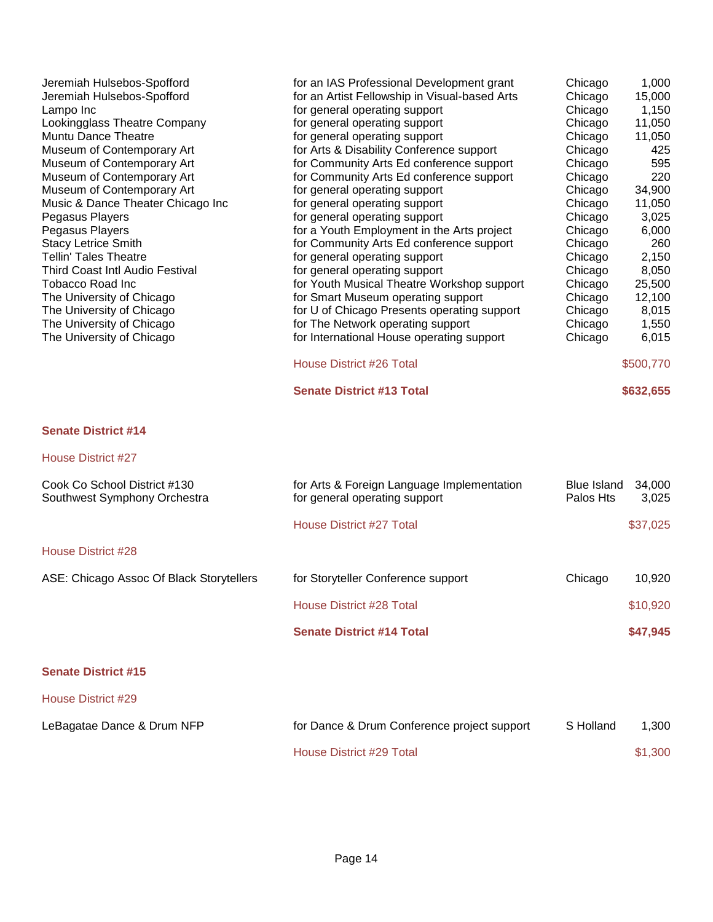| Jeremiah Hulsebos-Spofford<br>Jeremiah Hulsebos-Spofford<br>Lampo Inc<br>Lookingglass Theatre Company<br>Muntu Dance Theatre<br>Museum of Contemporary Art<br>Museum of Contemporary Art<br>Museum of Contemporary Art<br>Museum of Contemporary Art<br>Music & Dance Theater Chicago Inc<br>Pegasus Players<br>Pegasus Players<br><b>Stacy Letrice Smith</b><br><b>Tellin' Tales Theatre</b><br><b>Third Coast Intl Audio Festival</b><br>Tobacco Road Inc<br>The University of Chicago<br>The University of Chicago<br>The University of Chicago<br>The University of Chicago | for an IAS Professional Development grant<br>for an Artist Fellowship in Visual-based Arts<br>for general operating support<br>for general operating support<br>for general operating support<br>for Arts & Disability Conference support<br>for Community Arts Ed conference support<br>for Community Arts Ed conference support<br>for general operating support<br>for general operating support<br>for general operating support<br>for a Youth Employment in the Arts project<br>for Community Arts Ed conference support<br>for general operating support<br>for general operating support<br>for Youth Musical Theatre Workshop support<br>for Smart Museum operating support<br>for U of Chicago Presents operating support<br>for The Network operating support<br>for International House operating support | Chicago<br>Chicago<br>Chicago<br>Chicago<br>Chicago<br>Chicago<br>Chicago<br>Chicago<br>Chicago<br>Chicago<br>Chicago<br>Chicago<br>Chicago<br>Chicago<br>Chicago<br>Chicago<br>Chicago<br>Chicago<br>Chicago<br>Chicago | 1,000<br>15,000<br>1,150<br>11,050<br>11,050<br>425<br>595<br>220<br>34,900<br>11,050<br>3,025<br>6,000<br>260<br>2,150<br>8,050<br>25,500<br>12,100<br>8,015<br>1,550<br>6,015 |
|---------------------------------------------------------------------------------------------------------------------------------------------------------------------------------------------------------------------------------------------------------------------------------------------------------------------------------------------------------------------------------------------------------------------------------------------------------------------------------------------------------------------------------------------------------------------------------|-----------------------------------------------------------------------------------------------------------------------------------------------------------------------------------------------------------------------------------------------------------------------------------------------------------------------------------------------------------------------------------------------------------------------------------------------------------------------------------------------------------------------------------------------------------------------------------------------------------------------------------------------------------------------------------------------------------------------------------------------------------------------------------------------------------------------|--------------------------------------------------------------------------------------------------------------------------------------------------------------------------------------------------------------------------|---------------------------------------------------------------------------------------------------------------------------------------------------------------------------------|
|                                                                                                                                                                                                                                                                                                                                                                                                                                                                                                                                                                                 | <b>House District #26 Total</b><br><b>Senate District #13 Total</b>                                                                                                                                                                                                                                                                                                                                                                                                                                                                                                                                                                                                                                                                                                                                                   |                                                                                                                                                                                                                          | \$500,770                                                                                                                                                                       |
|                                                                                                                                                                                                                                                                                                                                                                                                                                                                                                                                                                                 |                                                                                                                                                                                                                                                                                                                                                                                                                                                                                                                                                                                                                                                                                                                                                                                                                       |                                                                                                                                                                                                                          | \$632,655                                                                                                                                                                       |
| <b>Senate District #14</b>                                                                                                                                                                                                                                                                                                                                                                                                                                                                                                                                                      |                                                                                                                                                                                                                                                                                                                                                                                                                                                                                                                                                                                                                                                                                                                                                                                                                       |                                                                                                                                                                                                                          |                                                                                                                                                                                 |
| <b>House District #27</b>                                                                                                                                                                                                                                                                                                                                                                                                                                                                                                                                                       |                                                                                                                                                                                                                                                                                                                                                                                                                                                                                                                                                                                                                                                                                                                                                                                                                       |                                                                                                                                                                                                                          |                                                                                                                                                                                 |
| Cook Co School District #130<br>Southwest Symphony Orchestra                                                                                                                                                                                                                                                                                                                                                                                                                                                                                                                    | for Arts & Foreign Language Implementation<br>for general operating support                                                                                                                                                                                                                                                                                                                                                                                                                                                                                                                                                                                                                                                                                                                                           | <b>Blue Island</b><br>Palos Hts                                                                                                                                                                                          | 34,000<br>3,025                                                                                                                                                                 |
|                                                                                                                                                                                                                                                                                                                                                                                                                                                                                                                                                                                 | House District #27 Total                                                                                                                                                                                                                                                                                                                                                                                                                                                                                                                                                                                                                                                                                                                                                                                              |                                                                                                                                                                                                                          | \$37,025                                                                                                                                                                        |
| <b>House District #28</b>                                                                                                                                                                                                                                                                                                                                                                                                                                                                                                                                                       |                                                                                                                                                                                                                                                                                                                                                                                                                                                                                                                                                                                                                                                                                                                                                                                                                       |                                                                                                                                                                                                                          |                                                                                                                                                                                 |
| ASE: Chicago Assoc Of Black Storytellers                                                                                                                                                                                                                                                                                                                                                                                                                                                                                                                                        | for Storyteller Conference support                                                                                                                                                                                                                                                                                                                                                                                                                                                                                                                                                                                                                                                                                                                                                                                    | Chicago                                                                                                                                                                                                                  | 10,920                                                                                                                                                                          |
|                                                                                                                                                                                                                                                                                                                                                                                                                                                                                                                                                                                 | <b>House District #28 Total</b>                                                                                                                                                                                                                                                                                                                                                                                                                                                                                                                                                                                                                                                                                                                                                                                       |                                                                                                                                                                                                                          | \$10,920                                                                                                                                                                        |
|                                                                                                                                                                                                                                                                                                                                                                                                                                                                                                                                                                                 | <b>Senate District #14 Total</b>                                                                                                                                                                                                                                                                                                                                                                                                                                                                                                                                                                                                                                                                                                                                                                                      |                                                                                                                                                                                                                          | \$47,945                                                                                                                                                                        |
| <b>Senate District #15</b>                                                                                                                                                                                                                                                                                                                                                                                                                                                                                                                                                      |                                                                                                                                                                                                                                                                                                                                                                                                                                                                                                                                                                                                                                                                                                                                                                                                                       |                                                                                                                                                                                                                          |                                                                                                                                                                                 |
| <b>House District #29</b>                                                                                                                                                                                                                                                                                                                                                                                                                                                                                                                                                       |                                                                                                                                                                                                                                                                                                                                                                                                                                                                                                                                                                                                                                                                                                                                                                                                                       |                                                                                                                                                                                                                          |                                                                                                                                                                                 |
| LeBagatae Dance & Drum NFP                                                                                                                                                                                                                                                                                                                                                                                                                                                                                                                                                      | for Dance & Drum Conference project support                                                                                                                                                                                                                                                                                                                                                                                                                                                                                                                                                                                                                                                                                                                                                                           | S Holland                                                                                                                                                                                                                | 1,300                                                                                                                                                                           |
|                                                                                                                                                                                                                                                                                                                                                                                                                                                                                                                                                                                 | <b>House District #29 Total</b>                                                                                                                                                                                                                                                                                                                                                                                                                                                                                                                                                                                                                                                                                                                                                                                       |                                                                                                                                                                                                                          | \$1,300                                                                                                                                                                         |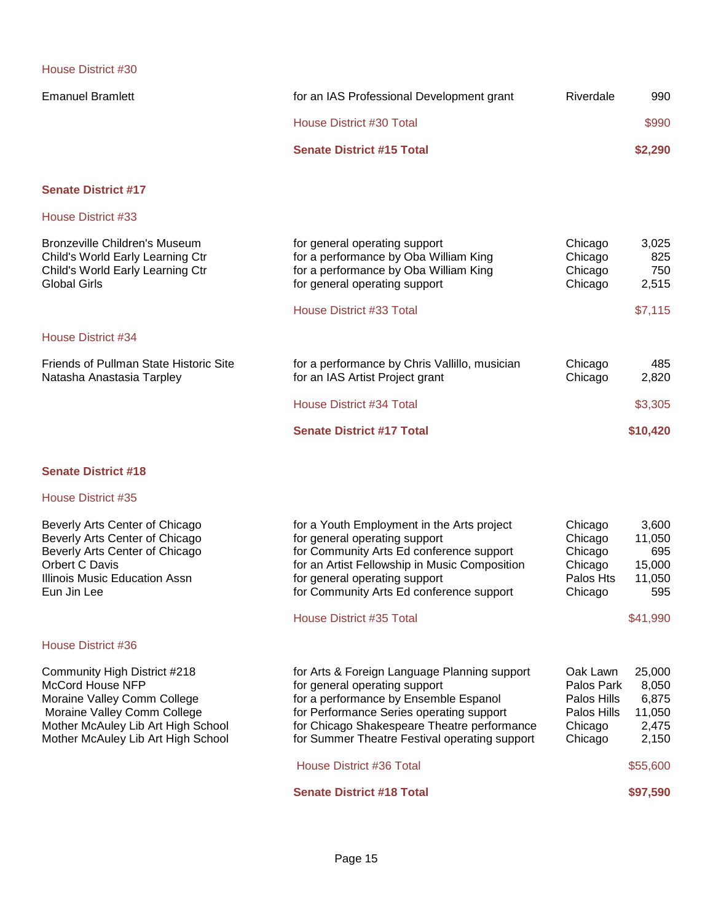| <b>Emanuel Bramlett</b> | for an IAS Professional Development grant | Riverdale | 990     |
|-------------------------|-------------------------------------------|-----------|---------|
|                         | House District #30 Total                  |           | \$990   |
|                         | <b>Senate District #15 Total</b>          |           | \$2,290 |

# **Senate District #17**

House District #33

| Bronzeville Children's Museum<br>Child's World Early Learning Ctr<br>Child's World Early Learning Ctr<br>Global Girls | for general operating support<br>for a performance by Oba William King<br>for a performance by Oba William King<br>for general operating support | Chicago<br>Chicago<br>Chicago<br>Chicago | 3.025<br>825<br>750<br>2,515 |
|-----------------------------------------------------------------------------------------------------------------------|--------------------------------------------------------------------------------------------------------------------------------------------------|------------------------------------------|------------------------------|
|                                                                                                                       | House District #33 Total                                                                                                                         |                                          | \$7.115                      |
| House District #34                                                                                                    |                                                                                                                                                  |                                          |                              |
| Friends of Pullman State Historic Site<br>Natasha Anastasia Tarpley                                                   | for a performance by Chris Vallillo, musician<br>for an IAS Artist Project grant                                                                 | Chicago<br>Chicago                       | 485<br>2.820                 |
|                                                                                                                       | House District #34 Total                                                                                                                         |                                          | \$3,305                      |
|                                                                                                                       | <b>Senate District #17 Total</b>                                                                                                                 |                                          | \$10,420                     |

# **Senate District #18**

| Beverly Arts Center of Chicago<br>Beverly Arts Center of Chicago<br>Beverly Arts Center of Chicago<br>Orbert C Davis<br>Illinois Music Education Assn<br>Eun Jin Lee                       | for a Youth Employment in the Arts project<br>for general operating support<br>for Community Arts Ed conference support<br>for an Artist Fellowship in Music Composition<br>for general operating support<br>for Community Arts Ed conference support              | Chicago<br>Chicago<br>Chicago<br>Chicago<br>Palos Hts<br>Chicago           | 3,600<br>11,050<br>695<br>15,000<br>11,050<br>595    |
|--------------------------------------------------------------------------------------------------------------------------------------------------------------------------------------------|--------------------------------------------------------------------------------------------------------------------------------------------------------------------------------------------------------------------------------------------------------------------|----------------------------------------------------------------------------|------------------------------------------------------|
|                                                                                                                                                                                            | House District #35 Total                                                                                                                                                                                                                                           |                                                                            | \$41,990                                             |
| House District #36                                                                                                                                                                         |                                                                                                                                                                                                                                                                    |                                                                            |                                                      |
| Community High District #218<br>McCord House NFP<br>Moraine Valley Comm College<br>Moraine Valley Comm College<br>Mother McAuley Lib Art High School<br>Mother McAuley Lib Art High School | for Arts & Foreign Language Planning support<br>for general operating support<br>for a performance by Ensemble Espanol<br>for Performance Series operating support<br>for Chicago Shakespeare Theatre performance<br>for Summer Theatre Festival operating support | Oak Lawn<br>Palos Park<br>Palos Hills<br>Palos Hills<br>Chicago<br>Chicago | 25,000<br>8,050<br>6,875<br>11,050<br>2,475<br>2,150 |
|                                                                                                                                                                                            | House District #36 Total                                                                                                                                                                                                                                           |                                                                            | \$55,600                                             |
|                                                                                                                                                                                            | <b>Senate District #18 Total</b>                                                                                                                                                                                                                                   |                                                                            | \$97,590                                             |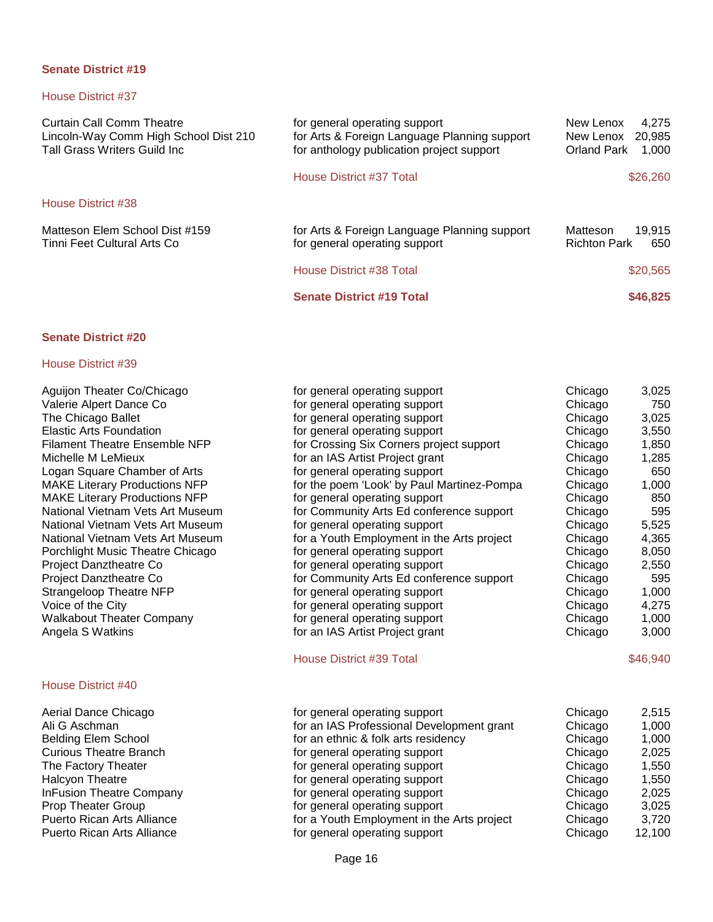# House District #37

| <b>Curtain Call Comm Theatre</b><br>Lincoln-Way Comm High School Dist 210<br><b>Tall Grass Writers Guild Inc.</b> | for general operating support<br>for Arts & Foreign Language Planning support<br>for anthology publication project support | New Lenox<br>4.275<br>New Lenox<br>20,985<br><b>Orland Park</b><br>1,000 |
|-------------------------------------------------------------------------------------------------------------------|----------------------------------------------------------------------------------------------------------------------------|--------------------------------------------------------------------------|
|                                                                                                                   | House District #37 Total                                                                                                   | \$26,260                                                                 |
| House District #38                                                                                                |                                                                                                                            |                                                                          |
| Matteson Elem School Dist #159<br>Tinni Feet Cultural Arts Co                                                     | for Arts & Foreign Language Planning support<br>for general operating support                                              | 19.915<br>Matteson<br><b>Richton Park</b><br>650                         |
|                                                                                                                   | House District #38 Total                                                                                                   | \$20,565                                                                 |
|                                                                                                                   | <b>Senate District #19 Total</b>                                                                                           | \$46,825                                                                 |

# **Senate District #20**

| Aguijon Theater Co/Chicago           | for general operating support              | Chicago | 3,025    |
|--------------------------------------|--------------------------------------------|---------|----------|
| Valerie Alpert Dance Co              | for general operating support              | Chicago | 750      |
| The Chicago Ballet                   | for general operating support              | Chicago | 3,025    |
| <b>Elastic Arts Foundation</b>       | for general operating support              | Chicago | 3,550    |
| <b>Filament Theatre Ensemble NFP</b> | for Crossing Six Corners project support   | Chicago | 1,850    |
| Michelle M LeMieux                   | for an IAS Artist Project grant            | Chicago | 1,285    |
| Logan Square Chamber of Arts         | for general operating support              | Chicago | 650      |
| <b>MAKE Literary Productions NFP</b> | for the poem 'Look' by Paul Martinez-Pompa | Chicago | 1,000    |
| <b>MAKE Literary Productions NFP</b> | for general operating support              | Chicago | 850      |
| National Vietnam Vets Art Museum     | for Community Arts Ed conference support   | Chicago | 595      |
| National Vietnam Vets Art Museum     | for general operating support              | Chicago | 5,525    |
| National Vietnam Vets Art Museum     | for a Youth Employment in the Arts project | Chicago | 4,365    |
| Porchlight Music Theatre Chicago     | for general operating support              | Chicago | 8,050    |
| Project Danztheatre Co               | for general operating support              | Chicago | 2,550    |
| Project Danztheatre Co               | for Community Arts Ed conference support   | Chicago | 595      |
| Strangeloop Theatre NFP              | for general operating support              | Chicago | 1,000    |
| Voice of the City                    | for general operating support              | Chicago | 4,275    |
| <b>Walkabout Theater Company</b>     | for general operating support              | Chicago | 1,000    |
| Angela S Watkins                     | for an IAS Artist Project grant            | Chicago | 3,000    |
|                                      | House District #39 Total                   |         | \$46,940 |
| House District #40                   |                                            |         |          |
| Aerial Dance Chicago                 | for general operating support              | Chicago | 2,515    |
| Ali G Aschman                        | for an IAS Professional Development grant  | Chicago | 1,000    |
| <b>Belding Elem School</b>           | for an ethnic & folk arts residency        | Chicago | 1,000    |
| <b>Curious Theatre Branch</b>        | for general operating support              | Chicago | 2,025    |
| The Factory Theater                  | for general operating support              | Chicago | 1,550    |
| Halcyon Theatre                      | for general operating support              | Chicago | 1,550    |
| <b>InFusion Theatre Company</b>      | for general operating support              | Chicago | 2,025    |
| Prop Theater Group                   | for general operating support              | Chicago | 3,025    |
| Puerto Rican Arts Alliance           | for a Youth Employment in the Arts project | Chicago | 3,720    |
| Puerto Rican Arts Alliance           | for general operating support              | Chicago | 12,100   |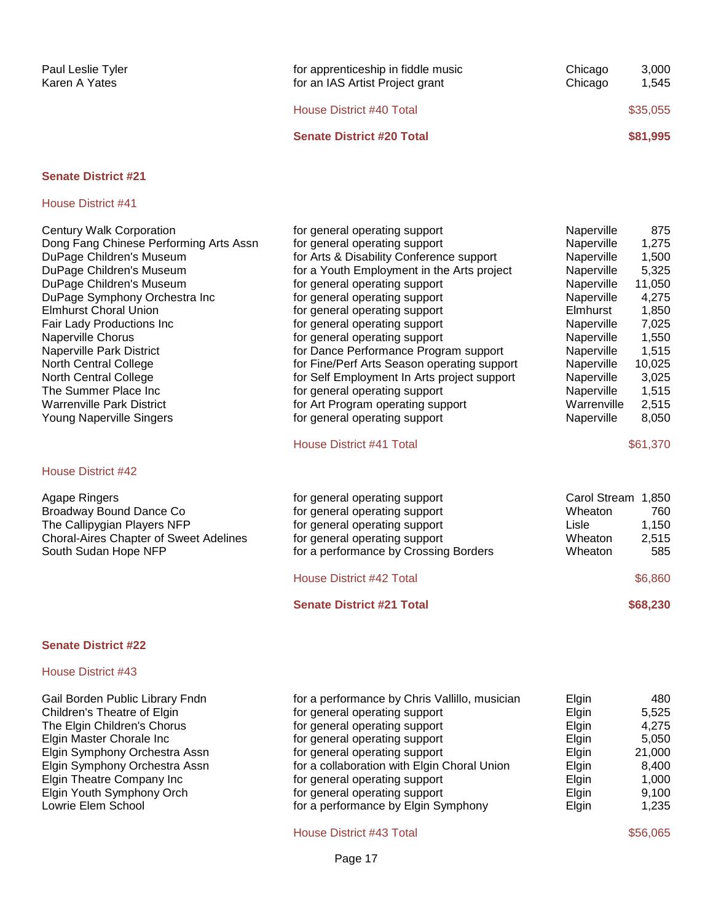| Paul Leslie Tyler<br>Karen A Yates                                                                                                                                                                                                                                                                                                                                                                                                                            | for apprenticeship in fiddle music<br>for an IAS Artist Project grant                                                                                                                                                                                                                                                                                                                                                                                                                                                                                                                                          | Chicago<br>Chicago                                                                                                                                                                                            | 3,000<br>1,545                                                                                                                                  |
|---------------------------------------------------------------------------------------------------------------------------------------------------------------------------------------------------------------------------------------------------------------------------------------------------------------------------------------------------------------------------------------------------------------------------------------------------------------|----------------------------------------------------------------------------------------------------------------------------------------------------------------------------------------------------------------------------------------------------------------------------------------------------------------------------------------------------------------------------------------------------------------------------------------------------------------------------------------------------------------------------------------------------------------------------------------------------------------|---------------------------------------------------------------------------------------------------------------------------------------------------------------------------------------------------------------|-------------------------------------------------------------------------------------------------------------------------------------------------|
|                                                                                                                                                                                                                                                                                                                                                                                                                                                               | House District #40 Total                                                                                                                                                                                                                                                                                                                                                                                                                                                                                                                                                                                       |                                                                                                                                                                                                               | \$35,055                                                                                                                                        |
|                                                                                                                                                                                                                                                                                                                                                                                                                                                               | <b>Senate District #20 Total</b>                                                                                                                                                                                                                                                                                                                                                                                                                                                                                                                                                                               |                                                                                                                                                                                                               | \$81,995                                                                                                                                        |
| <b>Senate District #21</b>                                                                                                                                                                                                                                                                                                                                                                                                                                    |                                                                                                                                                                                                                                                                                                                                                                                                                                                                                                                                                                                                                |                                                                                                                                                                                                               |                                                                                                                                                 |
| House District #41                                                                                                                                                                                                                                                                                                                                                                                                                                            |                                                                                                                                                                                                                                                                                                                                                                                                                                                                                                                                                                                                                |                                                                                                                                                                                                               |                                                                                                                                                 |
| <b>Century Walk Corporation</b><br>Dong Fang Chinese Performing Arts Assn<br>DuPage Children's Museum<br>DuPage Children's Museum<br>DuPage Children's Museum<br>DuPage Symphony Orchestra Inc<br><b>Elmhurst Choral Union</b><br>Fair Lady Productions Inc<br><b>Naperville Chorus</b><br>Naperville Park District<br>North Central College<br>North Central College<br>The Summer Place Inc<br><b>Warrenville Park District</b><br>Young Naperville Singers | for general operating support<br>for general operating support<br>for Arts & Disability Conference support<br>for a Youth Employment in the Arts project<br>for general operating support<br>for general operating support<br>for general operating support<br>for general operating support<br>for general operating support<br>for Dance Performance Program support<br>for Fine/Perf Arts Season operating support<br>for Self Employment In Arts project support<br>for general operating support<br>for Art Program operating support<br>for general operating support<br><b>House District #41 Total</b> | Naperville<br>Naperville<br>Naperville<br>Naperville<br>Naperville<br>Naperville<br>Elmhurst<br>Naperville<br>Naperville<br>Naperville<br>Naperville<br>Naperville<br>Naperville<br>Warrenville<br>Naperville | 875<br>1,275<br>1,500<br>5,325<br>11,050<br>4,275<br>1,850<br>7,025<br>1,550<br>1,515<br>10,025<br>3,025<br>1,515<br>2,515<br>8,050<br>\$61,370 |

| Agape Ringers                          | for general operating support         | Carol Stream 1,850 |          |
|----------------------------------------|---------------------------------------|--------------------|----------|
| Broadway Bound Dance Co                | for general operating support         | Wheaton            | 760      |
| The Callipygian Players NFP            | for general operating support         | Lisle              | 1.150    |
| Choral-Aires Chapter of Sweet Adelines | for general operating support         | Wheaton            | 2.515    |
| South Sudan Hope NFP                   | for a performance by Crossing Borders | Wheaton            | 585      |
|                                        | House District #42 Total              |                    | \$6,860  |
|                                        | <b>Senate District #21 Total</b>      |                    | \$68,230 |

### **Senate District #22**

#### House District #43

| Gail Borden Public Library Fndn | for a performance by Chris Vallillo, musician | Elgin        | 480    |
|---------------------------------|-----------------------------------------------|--------------|--------|
| Children's Theatre of Elgin     | for general operating support                 | Elgin        | 5.525  |
| The Elgin Children's Chorus     | for general operating support                 | <b>Elgin</b> | 4,275  |
| Elgin Master Chorale Inc        | for general operating support                 | <b>Elgin</b> | 5.050  |
| Elgin Symphony Orchestra Assn   | for general operating support                 | <b>Elain</b> | 21,000 |
| Elgin Symphony Orchestra Assn   | for a collaboration with Elgin Choral Union   | Elgin        | 8.400  |
| Elgin Theatre Company Inc       | for general operating support                 | Elgin        | 1.000  |
| Elgin Youth Symphony Orch       | for general operating support                 | <b>Elgin</b> | 9.100  |
| Lowrie Elem School              | for a performance by Elgin Symphony           | <b>Elgin</b> | 1,235  |

House District #43 Total \$56,065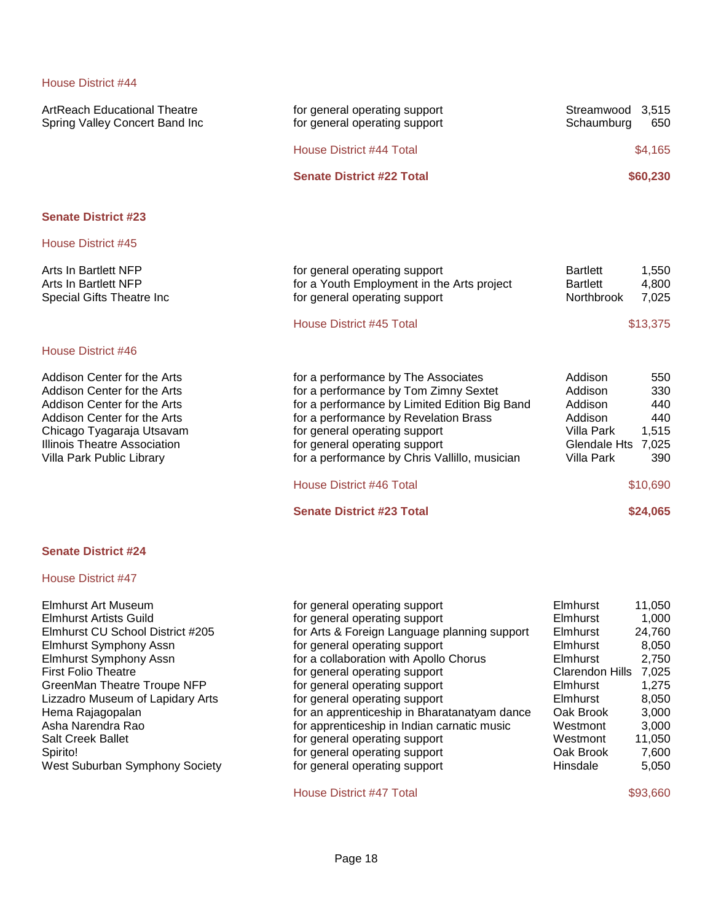| for general operating support<br>for general operating support                                                                                                                                                                                                                                                               | Streamwood<br>3,515<br>Schaumburg<br>650                                                                                                                                   |
|------------------------------------------------------------------------------------------------------------------------------------------------------------------------------------------------------------------------------------------------------------------------------------------------------------------------------|----------------------------------------------------------------------------------------------------------------------------------------------------------------------------|
| House District #44 Total                                                                                                                                                                                                                                                                                                     | \$4,165                                                                                                                                                                    |
| <b>Senate District #22 Total</b>                                                                                                                                                                                                                                                                                             | \$60,230                                                                                                                                                                   |
|                                                                                                                                                                                                                                                                                                                              |                                                                                                                                                                            |
|                                                                                                                                                                                                                                                                                                                              |                                                                                                                                                                            |
| for general operating support<br>for a Youth Employment in the Arts project<br>for general operating support                                                                                                                                                                                                                 | <b>Bartlett</b><br>1,550<br><b>Bartlett</b><br>4,800<br>Northbrook<br>7,025                                                                                                |
| House District #45 Total                                                                                                                                                                                                                                                                                                     | \$13,375                                                                                                                                                                   |
|                                                                                                                                                                                                                                                                                                                              |                                                                                                                                                                            |
| for a performance by The Associates<br>for a performance by Tom Zimny Sextet<br>for a performance by Limited Edition Big Band<br>for a performance by Revelation Brass<br>for general operating support<br>for general operating support<br>for a performance by Chris Vallillo, musician<br><b>House District #46 Total</b> | Addison<br>550<br>Addison<br>330<br>Addison<br>440<br>Addison<br>440<br><b>Villa Park</b><br>1,515<br><b>Glendale Hts</b><br>7,025<br><b>Villa Park</b><br>390<br>\$10,690 |
| <b>Senate District #23 Total</b>                                                                                                                                                                                                                                                                                             | \$24,065                                                                                                                                                                   |
|                                                                                                                                                                                                                                                                                                                              |                                                                                                                                                                            |
|                                                                                                                                                                                                                                                                                                                              |                                                                                                                                                                            |

# House District #47

| Elmhurst Art Museum              |
|----------------------------------|
| Elmhurst Artists Guild           |
| Elmhurst CU School District #205 |
| <b>Elmhurst Symphony Assn</b>    |
| <b>Elmhurst Symphony Assn</b>    |
| <b>First Folio Theatre</b>       |
| GreenMan Theatre Troupe NFP      |
| Lizzadro Museum of Lapidary Arts |
| Hema Rajagopalan                 |
| Asha Narendra Rao                |
| <b>Salt Creek Ballet</b>         |
| Spirito!                         |
| West Suburban Symphony Society   |

| Elmhurst Art Museum              | for general operating support                | <b>Elmhurst</b>        | 11,050 |
|----------------------------------|----------------------------------------------|------------------------|--------|
| Elmhurst Artists Guild           | for general operating support                | <b>Elmhurst</b>        | 1,000  |
| Elmhurst CU School District #205 | for Arts & Foreign Language planning support | <b>Elmhurst</b>        | 24,760 |
| Elmhurst Symphony Assn           | for general operating support                | <b>Elmhurst</b>        | 8,050  |
| Elmhurst Symphony Assn           | for a collaboration with Apollo Chorus       | <b>Elmhurst</b>        | 2,750  |
| <b>First Folio Theatre</b>       | for general operating support                | <b>Clarendon Hills</b> | 7,025  |
| GreenMan Theatre Troupe NFP      | for general operating support                | <b>Elmhurst</b>        | 1,275  |
| Lizzadro Museum of Lapidary Arts | for general operating support                | <b>Elmhurst</b>        | 8,050  |
| Hema Rajagopalan                 | for an apprenticeship in Bharatanatyam dance | Oak Brook              | 3,000  |
| Asha Narendra Rao                | for apprenticeship in Indian carnatic music  | Westmont               | 3,000  |
| Salt Creek Ballet                | for general operating support                | Westmont               | 11,050 |
| Spirito!                         | for general operating support                | Oak Brook              | 7,600  |
| West Suburban Symphony Society   | for general operating support                | Hinsdale               | 5,050  |
|                                  |                                              |                        |        |

House District #47 Total \$93,660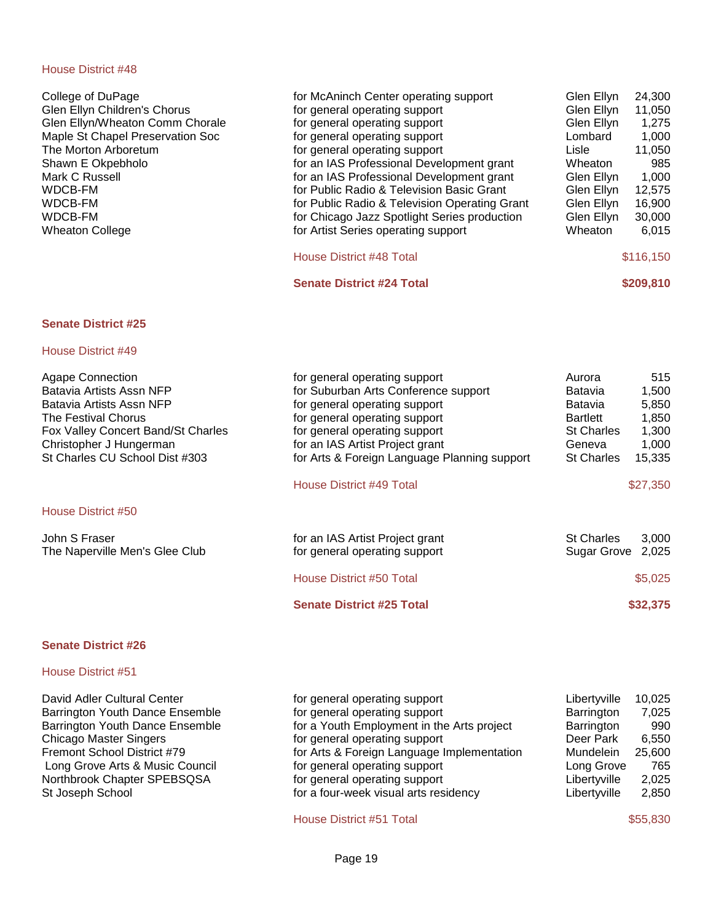| for McAninch Center operating support         | Glen Ellyn | 24,300    |
|-----------------------------------------------|------------|-----------|
| for general operating support                 | Glen Ellyn | 11,050    |
| for general operating support                 | Glen Ellyn | 1,275     |
| for general operating support                 | Lombard    | 1,000     |
| for general operating support                 | Lisle      | 11,050    |
| for an IAS Professional Development grant     | Wheaton    | 985       |
| for an IAS Professional Development grant     | Glen Ellyn | 1,000     |
| for Public Radio & Television Basic Grant     | Glen Ellyn | 12,575    |
| for Public Radio & Television Operating Grant | Glen Ellyn | 16,900    |
| for Chicago Jazz Spotlight Series production  | Glen Ellyn | 30,000    |
| for Artist Series operating support           | Wheaton    | 6,015     |
|                                               |            |           |
| House District #48 Total                      |            | \$116,150 |
| <b>Senate District #24 Total</b>              |            | \$209,810 |
|                                               |            |           |
|                                               |            |           |
| for general operating support                 | Aurora     | 515       |
| for Suburban Arts Conference support          | Batavia    | 1,500     |
| for general operating support                 | Batavia    | 5,850     |
|                                               |            |           |

| <b>Agape Connection</b><br>Batavia Artists Assn NFP<br>Batavia Artists Assn NFP<br>The Festival Chorus<br>Fox Valley Concert Band/St Charles<br>Christopher J Hungerman<br>St Charles CU School Dist #303 | for general operating support<br>for Suburban Arts Conference support<br>for general operating support<br>for general operating support<br>for general operating support<br>for an IAS Artist Project grant<br>for Arts & Foreign Language Planning support | 515<br>Aurora<br><b>Batavia</b><br>1,500<br>Batavia<br>5,850<br>1,850<br><b>Bartlett</b><br><b>St Charles</b><br>1,300<br>1,000<br>Geneva<br><b>St Charles</b><br>15,335 |
|-----------------------------------------------------------------------------------------------------------------------------------------------------------------------------------------------------------|-------------------------------------------------------------------------------------------------------------------------------------------------------------------------------------------------------------------------------------------------------------|--------------------------------------------------------------------------------------------------------------------------------------------------------------------------|
|                                                                                                                                                                                                           | House District #49 Total                                                                                                                                                                                                                                    | \$27,350                                                                                                                                                                 |
| House District #50                                                                                                                                                                                        |                                                                                                                                                                                                                                                             |                                                                                                                                                                          |
| John S Fraser<br>The Naperville Men's Glee Club                                                                                                                                                           | for an IAS Artist Project grant<br>for general operating support                                                                                                                                                                                            | <b>St Charles</b><br>3,000<br>Sugar Grove<br>2,025                                                                                                                       |
|                                                                                                                                                                                                           | <b>House District #50 Total</b>                                                                                                                                                                                                                             | \$5,025                                                                                                                                                                  |
|                                                                                                                                                                                                           | <b>Senate District #25 Total</b>                                                                                                                                                                                                                            | \$32,375                                                                                                                                                                 |

# **Senate District #26**

#### House District #51

| David Adler Cultural Center     | for general operating support              | Libertyville | 10,025 |
|---------------------------------|--------------------------------------------|--------------|--------|
| Barrington Youth Dance Ensemble | for general operating support              | Barrington   | 7,025  |
| Barrington Youth Dance Ensemble | for a Youth Employment in the Arts project | Barrington   | 990    |
| <b>Chicago Master Singers</b>   | for general operating support              | Deer Park    | 6.550  |
| Fremont School District #79     | for Arts & Foreign Language Implementation | Mundelein    | 25,600 |
| Long Grove Arts & Music Council | for general operating support              | Long Grove   | 765    |
| Northbrook Chapter SPEBSQSA     | for general operating support              | Libertyville | 2,025  |
| St Joseph School                | for a four-week visual arts residency      | Libertyville | 2,850  |

House District #51 Total \$55,830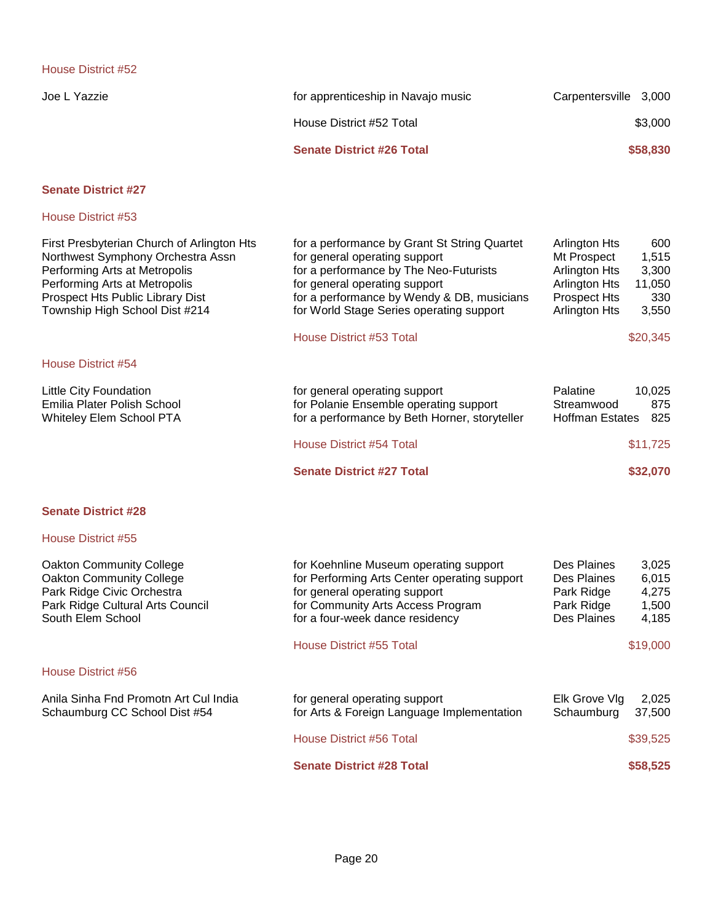| Joe L Yazzie I | for apprenticeship in Navajo music | Carpentersville 3,000 |          |
|----------------|------------------------------------|-----------------------|----------|
|                | House District #52 Total           |                       | \$3,000  |
|                | <b>Senate District #26 Total</b>   |                       | \$58,830 |

# **Senate District #27**

| First Presbyterian Church of Arlington Hts<br>Northwest Symphony Orchestra Assn<br>Performing Arts at Metropolis<br>Performing Arts at Metropolis<br>Prospect Hts Public Library Dist<br>Township High School Dist #214 | for a performance by Grant St String Quartet<br>for general operating support<br>for a performance by The Neo-Futurists<br>for general operating support<br>for a performance by Wendy & DB, musicians<br>for World Stage Series operating support | <b>Arlington Hts</b><br>600<br>Mt Prospect<br>1,515<br><b>Arlington Hts</b><br>3,300<br><b>Arlington Hts</b><br>11,050<br><b>Prospect Hts</b><br>330<br><b>Arlington Hts</b><br>3,550 |
|-------------------------------------------------------------------------------------------------------------------------------------------------------------------------------------------------------------------------|----------------------------------------------------------------------------------------------------------------------------------------------------------------------------------------------------------------------------------------------------|---------------------------------------------------------------------------------------------------------------------------------------------------------------------------------------|
|                                                                                                                                                                                                                         | House District #53 Total                                                                                                                                                                                                                           | \$20,345                                                                                                                                                                              |
| House District #54                                                                                                                                                                                                      |                                                                                                                                                                                                                                                    |                                                                                                                                                                                       |
| Little City Foundation<br>Emilia Plater Polish School<br>Whiteley Elem School PTA                                                                                                                                       | for general operating support<br>for Polanie Ensemble operating support<br>for a performance by Beth Horner, storyteller                                                                                                                           | 10,025<br>Palatine<br>875<br>Streamwood<br>Hoffman Estates<br>825                                                                                                                     |
|                                                                                                                                                                                                                         | House District #54 Total                                                                                                                                                                                                                           | \$11,725                                                                                                                                                                              |
|                                                                                                                                                                                                                         | <b>Senate District #27 Total</b>                                                                                                                                                                                                                   | \$32,070                                                                                                                                                                              |
| <b>Senate District #28</b>                                                                                                                                                                                              |                                                                                                                                                                                                                                                    |                                                                                                                                                                                       |
| House District #55                                                                                                                                                                                                      |                                                                                                                                                                                                                                                    |                                                                                                                                                                                       |
| <b>Oakton Community College</b><br><b>Oakton Community College</b><br>Park Ridge Civic Orchestra<br>Park Ridge Cultural Arts Council<br>South Elem School                                                               | for Koehnline Museum operating support<br>for Performing Arts Center operating support<br>for general operating support<br>for Community Arts Access Program<br>for a four-week dance residency                                                    | Des Plaines<br>3,025<br>Des Plaines<br>6,015<br>4,275<br>Park Ridge<br>1,500<br>Park Ridge<br>Des Plaines<br>4,185                                                                    |
|                                                                                                                                                                                                                         | House District #55 Total                                                                                                                                                                                                                           | \$19,000                                                                                                                                                                              |
| <b>House District #56</b>                                                                                                                                                                                               |                                                                                                                                                                                                                                                    |                                                                                                                                                                                       |
| Anila Sinha Fnd Promotn Art Cul India<br>Schaumburg CC School Dist #54                                                                                                                                                  | for general operating support<br>for Arts & Foreign Language Implementation                                                                                                                                                                        | Elk Grove Vlg<br>2,025<br>Schaumburg<br>37,500                                                                                                                                        |
|                                                                                                                                                                                                                         | House District #56 Total                                                                                                                                                                                                                           | \$39,525                                                                                                                                                                              |
|                                                                                                                                                                                                                         | <b>Senate District #28 Total</b>                                                                                                                                                                                                                   | \$58,525                                                                                                                                                                              |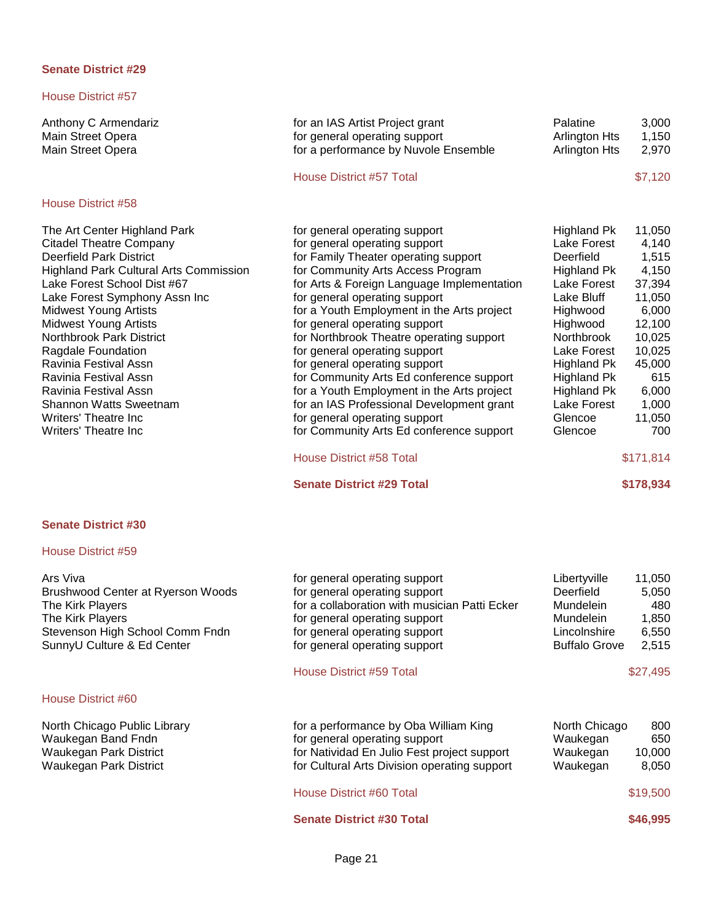#### House District #57

Anthony C Armendariz Main Street Opera Main Street Opera

#### House District #58

The Art Center Highland Park Citadel Theatre Company Deerfield Park District Highland Park Cultural Arts Commission Lake Forest School Dist #67 Lake Forest Symphony Assn Inc Midwest Young Artists Midwest Young Artists Northbrook Park District Ragdale Foundation Ravinia Festival Assn Ravinia Festival Assn Ravinia Festival Assn Shannon Watts Sweetnam Writers' Theatre Inc Writers' Theatre Inc.

| for an IAS Artist Project grant      | Palatine             | 3.000   |
|--------------------------------------|----------------------|---------|
| for general operating support        | <b>Arlington Hts</b> | 1.150   |
| for a performance by Nuvole Ensemble | <b>Arlington Hts</b> | 2.970   |
| House District #57 Total             |                      | \$7,120 |

| for general operating support              | Highland Pk        | 11,050    |
|--------------------------------------------|--------------------|-----------|
| for general operating support              | Lake Forest        | 4,140     |
| for Family Theater operating support       | Deerfield          | 1,515     |
| for Community Arts Access Program          | Highland Pk        | 4,150     |
| for Arts & Foreign Language Implementation | Lake Forest        | 37,394    |
| for general operating support              | Lake Bluff         | 11,050    |
| for a Youth Employment in the Arts project | Highwood           | 6,000     |
| for general operating support              | Highwood           | 12,100    |
| for Northbrook Theatre operating support   | Northbrook         | 10,025    |
| for general operating support              | Lake Forest        | 10,025    |
| for general operating support              | Highland Pk        | 45,000    |
| for Community Arts Ed conference support   | <b>Highland Pk</b> | 615       |
| for a Youth Employment in the Arts project | <b>Highland Pk</b> | 6,000     |
| for an IAS Professional Development grant  | Lake Forest        | 1,000     |
| for general operating support              | Glencoe            | 11,050    |
| for Community Arts Ed conference support   | Glencoe            | 700       |
| House District #58 Total                   |                    | \$171,814 |

#### **Senate District #29 Total \$178,934**

**Senate District #30**

#### House District #59

| Ars Viva<br>Brushwood Center at Ryerson Woods<br>The Kirk Players<br>The Kirk Players<br>Stevenson High School Comm Fndn<br>SunnyU Culture & Ed Center | for general operating support<br>for general operating support<br>for a collaboration with musician Patti Ecker<br>for general operating support<br>for general operating support<br>for general operating support | Libertyville<br>Deerfield<br>Mundelein<br>Mundelein<br>Lincolnshire<br><b>Buffalo Grove</b> | 11,050<br>5,050<br>480<br>1,850<br>6,550<br>2,515 |
|--------------------------------------------------------------------------------------------------------------------------------------------------------|--------------------------------------------------------------------------------------------------------------------------------------------------------------------------------------------------------------------|---------------------------------------------------------------------------------------------|---------------------------------------------------|
|                                                                                                                                                        | House District #59 Total                                                                                                                                                                                           |                                                                                             | \$27,495                                          |
| House District #60                                                                                                                                     |                                                                                                                                                                                                                    |                                                                                             |                                                   |
| North Chicago Public Library<br>Waukegan Band Fndn<br>Waukegan Park District<br>Waukegan Park District                                                 | for a performance by Oba William King<br>for general operating support<br>for Natividad En Julio Fest project support<br>for Cultural Arts Division operating support                                              | North Chicago<br>Waukegan<br>Waukegan<br>Waukegan                                           | 800<br>650<br>10,000<br>8,050                     |
|                                                                                                                                                        | House District #60 Total                                                                                                                                                                                           |                                                                                             | \$19,500                                          |

**Senate District #30 Total \$46,995**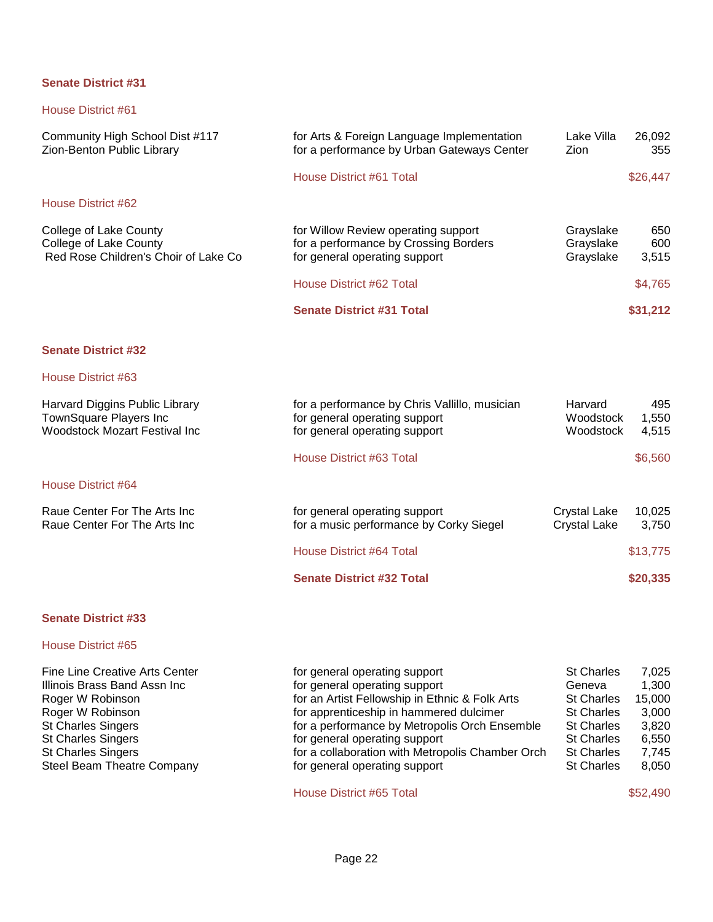# House District #61

| Community High School Dist #117<br>Zion-Benton Public Library                                     | for Arts & Foreign Language Implementation<br>for a performance by Urban Gateways Center                        | Lake Villa<br>Zion                         | 26,092<br>355         |
|---------------------------------------------------------------------------------------------------|-----------------------------------------------------------------------------------------------------------------|--------------------------------------------|-----------------------|
|                                                                                                   | <b>House District #61 Total</b>                                                                                 |                                            | \$26,447              |
| House District #62                                                                                |                                                                                                                 |                                            |                       |
| College of Lake County<br>College of Lake County<br>Red Rose Children's Choir of Lake Co          | for Willow Review operating support<br>for a performance by Crossing Borders<br>for general operating support   | Grayslake<br>Grayslake<br>Grayslake        | 650<br>600<br>3,515   |
|                                                                                                   | House District #62 Total                                                                                        |                                            | \$4,765               |
|                                                                                                   | <b>Senate District #31 Total</b>                                                                                |                                            | \$31,212              |
| <b>Senate District #32</b>                                                                        |                                                                                                                 |                                            |                       |
| House District #63                                                                                |                                                                                                                 |                                            |                       |
| Harvard Diggins Public Library<br>TownSquare Players Inc<br><b>Woodstock Mozart Festival Inc.</b> | for a performance by Chris Vallillo, musician<br>for general operating support<br>for general operating support | Harvard<br>Woodstock<br>Woodstock          | 495<br>1,550<br>4,515 |
|                                                                                                   | House District #63 Total                                                                                        |                                            | \$6,560               |
| House District #64                                                                                |                                                                                                                 |                                            |                       |
| Raue Center For The Arts Inc<br>Raue Center For The Arts Inc                                      | for general operating support<br>for a music performance by Corky Siegel                                        | <b>Crystal Lake</b><br><b>Crystal Lake</b> | 10,025<br>3,750       |
|                                                                                                   | <b>House District #64 Total</b>                                                                                 |                                            | \$13,775              |
|                                                                                                   | <b>Senate District #32 Total</b>                                                                                |                                            | \$20,335              |
|                                                                                                   |                                                                                                                 |                                            |                       |

# **Senate District #33**

#### House District #65

| <b>Fine Line Creative Arts Center</b> | for general operating support                    | <b>St Charles</b> | 7.025  |
|---------------------------------------|--------------------------------------------------|-------------------|--------|
| Illinois Brass Band Assn Inc          | for general operating support                    | Geneva            | 1.300  |
| Roger W Robinson                      | for an Artist Fellowship in Ethnic & Folk Arts   | <b>St Charles</b> | 15.000 |
| Roger W Robinson                      | for apprenticeship in hammered dulcimer          | <b>St Charles</b> | 3.000  |
| <b>St Charles Singers</b>             | for a performance by Metropolis Orch Ensemble    | <b>St Charles</b> | 3,820  |
| <b>St Charles Singers</b>             | for general operating support                    | <b>St Charles</b> | 6.550  |
| <b>St Charles Singers</b>             | for a collaboration with Metropolis Chamber Orch | <b>St Charles</b> | 7.745  |
| Steel Beam Theatre Company            | for general operating support                    | <b>St Charles</b> | 8,050  |
|                                       |                                                  |                   |        |

House District #65 Total \$52,490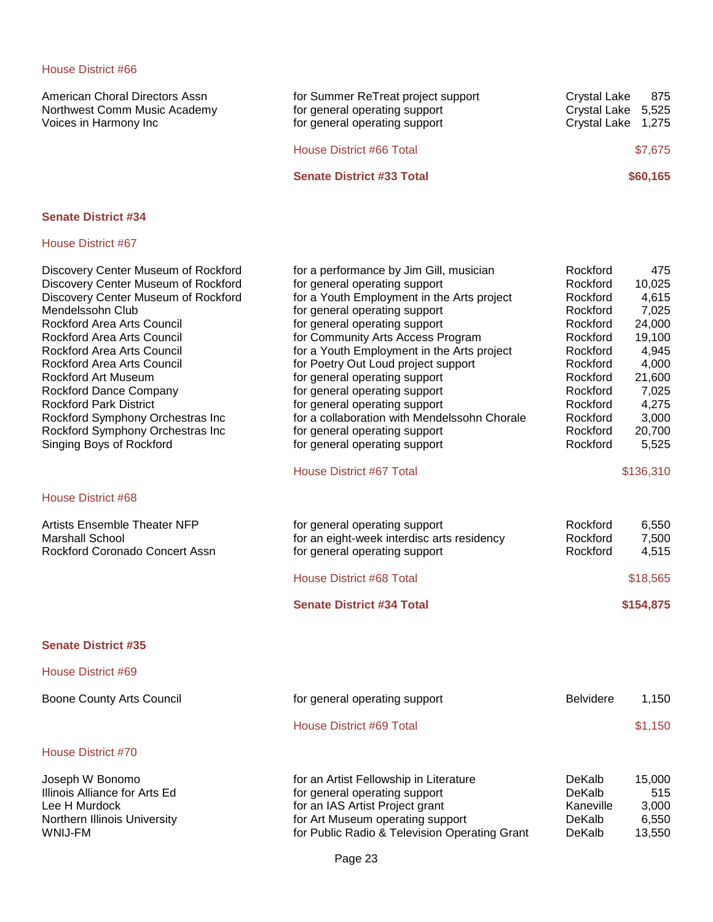| American Choral Directors Assn<br>Northwest Comm Music Academy<br>Voices in Harmony Inc | for Summer ReTreat project support<br>for general operating support<br>for general operating support | 875<br>Crystal Lake<br>Crystal Lake 5,525<br>Crystal Lake 1,275 |
|-----------------------------------------------------------------------------------------|------------------------------------------------------------------------------------------------------|-----------------------------------------------------------------|
|                                                                                         | House District #66 Total                                                                             | \$7,675                                                         |
|                                                                                         | <b>Senate District #33 Total</b>                                                                     | \$60,165                                                        |
| <b>Senate District #34</b>                                                              |                                                                                                      |                                                                 |

| Discovery Center Museum of Rockford<br>Discovery Center Museum of Rockford<br>Discovery Center Museum of Rockford<br>Mendelssohn Club<br>Rockford Area Arts Council<br>Rockford Area Arts Council<br>Rockford Area Arts Council<br><b>Rockford Area Arts Council</b><br>Rockford Art Museum<br>Rockford Dance Company<br><b>Rockford Park District</b><br>Rockford Symphony Orchestras Inc | for a performance by Jim Gill, musician<br>for general operating support<br>for a Youth Employment in the Arts project<br>for general operating support<br>for general operating support<br>for Community Arts Access Program<br>for a Youth Employment in the Arts project<br>for Poetry Out Loud project support<br>for general operating support<br>for general operating support<br>for general operating support<br>for a collaboration with Mendelssohn Chorale | Rockford<br>Rockford<br>Rockford<br>Rockford<br>Rockford<br>Rockford<br>Rockford<br>Rockford<br>Rockford<br>Rockford<br>Rockford<br>Rockford | 475<br>10,025<br>4,615<br>7,025<br>24,000<br>19,100<br>4,945<br>4,000<br>21,600<br>7,025<br>4,275<br>3,000 |
|--------------------------------------------------------------------------------------------------------------------------------------------------------------------------------------------------------------------------------------------------------------------------------------------------------------------------------------------------------------------------------------------|-----------------------------------------------------------------------------------------------------------------------------------------------------------------------------------------------------------------------------------------------------------------------------------------------------------------------------------------------------------------------------------------------------------------------------------------------------------------------|----------------------------------------------------------------------------------------------------------------------------------------------|------------------------------------------------------------------------------------------------------------|
| Rockford Symphony Orchestras Inc                                                                                                                                                                                                                                                                                                                                                           | for general operating support                                                                                                                                                                                                                                                                                                                                                                                                                                         | Rockford                                                                                                                                     | 20,700                                                                                                     |
| Singing Boys of Rockford                                                                                                                                                                                                                                                                                                                                                                   | for general operating support                                                                                                                                                                                                                                                                                                                                                                                                                                         | Rockford                                                                                                                                     | 5,525                                                                                                      |
|                                                                                                                                                                                                                                                                                                                                                                                            | <b>House District #67 Total</b>                                                                                                                                                                                                                                                                                                                                                                                                                                       |                                                                                                                                              | \$136,310                                                                                                  |
| House District #68                                                                                                                                                                                                                                                                                                                                                                         |                                                                                                                                                                                                                                                                                                                                                                                                                                                                       |                                                                                                                                              |                                                                                                            |
| <b>Artists Ensemble Theater NFP</b><br><b>Marshall School</b><br>Rockford Coronado Concert Assn                                                                                                                                                                                                                                                                                            | for general operating support<br>for an eight-week interdisc arts residency<br>for general operating support                                                                                                                                                                                                                                                                                                                                                          | Rockford<br>Rockford<br>Rockford                                                                                                             | 6,550<br>7,500<br>4,515                                                                                    |
|                                                                                                                                                                                                                                                                                                                                                                                            | House District #68 Total                                                                                                                                                                                                                                                                                                                                                                                                                                              |                                                                                                                                              | \$18,565                                                                                                   |
|                                                                                                                                                                                                                                                                                                                                                                                            | <b>Senate District #34 Total</b>                                                                                                                                                                                                                                                                                                                                                                                                                                      |                                                                                                                                              | \$154,875                                                                                                  |
| <b>Senate District #35</b>                                                                                                                                                                                                                                                                                                                                                                 |                                                                                                                                                                                                                                                                                                                                                                                                                                                                       |                                                                                                                                              |                                                                                                            |
| House District #69                                                                                                                                                                                                                                                                                                                                                                         |                                                                                                                                                                                                                                                                                                                                                                                                                                                                       |                                                                                                                                              |                                                                                                            |
| <b>Boone County Arts Council</b>                                                                                                                                                                                                                                                                                                                                                           | for general operating support                                                                                                                                                                                                                                                                                                                                                                                                                                         | Belvidere                                                                                                                                    | 1,150                                                                                                      |
|                                                                                                                                                                                                                                                                                                                                                                                            | <b>House District #69 Total</b>                                                                                                                                                                                                                                                                                                                                                                                                                                       |                                                                                                                                              | \$1,150                                                                                                    |
| <b>House District #70</b>                                                                                                                                                                                                                                                                                                                                                                  |                                                                                                                                                                                                                                                                                                                                                                                                                                                                       |                                                                                                                                              |                                                                                                            |
| Joseph W Bonomo<br>Illinois Alliance for Arts Ed<br>Lee H Murdock<br>Northern Illinois University<br>WNIJ-FM                                                                                                                                                                                                                                                                               | for an Artist Fellowship in Literature<br>for general operating support<br>for an IAS Artist Project grant<br>for Art Museum operating support<br>for Public Radio & Television Operating Grant                                                                                                                                                                                                                                                                       | DeKalb<br>DeKalb<br>Kaneville<br>DeKalb<br>DeKalb                                                                                            | 15,000<br>515<br>3,000<br>6,550<br>13,550                                                                  |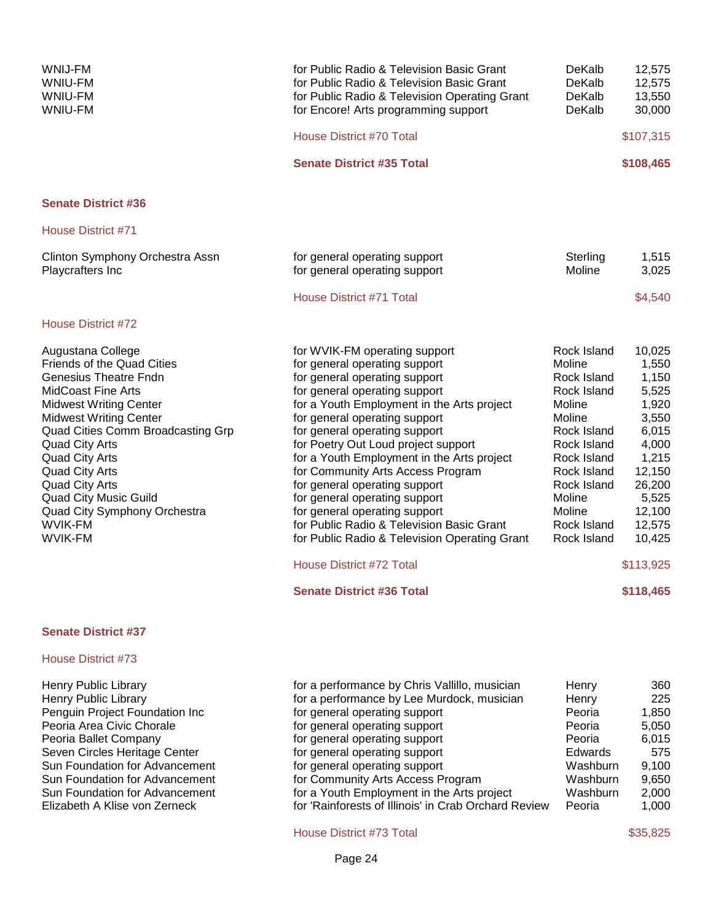| WNIJ-FM<br>WNIU-FM<br><b>WNIU-FM</b><br><b>WNIU-FM</b>                                                                                                                                                                                                                                                                                                                                                                      | for Public Radio & Television Basic Grant<br>for Public Radio & Television Basic Grant<br>for Public Radio & Television Operating Grant<br>for Encore! Arts programming support                                                                                                                                                                                                                                                                                                                                                                                                                                                                    | DeKalb<br>DeKalb<br>DeKalb<br>DeKalb                                                                                                                                                                 | 12,575<br>12,575<br>13,550<br>30,000                                                                                                                                |
|-----------------------------------------------------------------------------------------------------------------------------------------------------------------------------------------------------------------------------------------------------------------------------------------------------------------------------------------------------------------------------------------------------------------------------|----------------------------------------------------------------------------------------------------------------------------------------------------------------------------------------------------------------------------------------------------------------------------------------------------------------------------------------------------------------------------------------------------------------------------------------------------------------------------------------------------------------------------------------------------------------------------------------------------------------------------------------------------|------------------------------------------------------------------------------------------------------------------------------------------------------------------------------------------------------|---------------------------------------------------------------------------------------------------------------------------------------------------------------------|
|                                                                                                                                                                                                                                                                                                                                                                                                                             | House District #70 Total                                                                                                                                                                                                                                                                                                                                                                                                                                                                                                                                                                                                                           |                                                                                                                                                                                                      | \$107,315                                                                                                                                                           |
|                                                                                                                                                                                                                                                                                                                                                                                                                             | <b>Senate District #35 Total</b>                                                                                                                                                                                                                                                                                                                                                                                                                                                                                                                                                                                                                   |                                                                                                                                                                                                      | \$108,465                                                                                                                                                           |
| <b>Senate District #36</b>                                                                                                                                                                                                                                                                                                                                                                                                  |                                                                                                                                                                                                                                                                                                                                                                                                                                                                                                                                                                                                                                                    |                                                                                                                                                                                                      |                                                                                                                                                                     |
| House District #71                                                                                                                                                                                                                                                                                                                                                                                                          |                                                                                                                                                                                                                                                                                                                                                                                                                                                                                                                                                                                                                                                    |                                                                                                                                                                                                      |                                                                                                                                                                     |
| Clinton Symphony Orchestra Assn<br>Playcrafters Inc                                                                                                                                                                                                                                                                                                                                                                         | for general operating support<br>for general operating support                                                                                                                                                                                                                                                                                                                                                                                                                                                                                                                                                                                     | Sterling<br>Moline                                                                                                                                                                                   | 1,515<br>3,025                                                                                                                                                      |
|                                                                                                                                                                                                                                                                                                                                                                                                                             | House District #71 Total                                                                                                                                                                                                                                                                                                                                                                                                                                                                                                                                                                                                                           |                                                                                                                                                                                                      | \$4,540                                                                                                                                                             |
| House District #72                                                                                                                                                                                                                                                                                                                                                                                                          |                                                                                                                                                                                                                                                                                                                                                                                                                                                                                                                                                                                                                                                    |                                                                                                                                                                                                      |                                                                                                                                                                     |
| Augustana College<br>Friends of the Quad Cities<br><b>Genesius Theatre Fndn</b><br><b>MidCoast Fine Arts</b><br><b>Midwest Writing Center</b><br><b>Midwest Writing Center</b><br>Quad Cities Comm Broadcasting Grp<br><b>Quad City Arts</b><br><b>Quad City Arts</b><br><b>Quad City Arts</b><br><b>Quad City Arts</b><br><b>Quad City Music Guild</b><br>Quad City Symphony Orchestra<br><b>WVIK-FM</b><br><b>WVIK-FM</b> | for WVIK-FM operating support<br>for general operating support<br>for general operating support<br>for general operating support<br>for a Youth Employment in the Arts project<br>for general operating support<br>for general operating support<br>for Poetry Out Loud project support<br>for a Youth Employment in the Arts project<br>for Community Arts Access Program<br>for general operating support<br>for general operating support<br>for general operating support<br>for Public Radio & Television Basic Grant<br>for Public Radio & Television Operating Grant<br><b>House District #72 Total</b><br><b>Senate District #36 Total</b> | Rock Island<br>Moline<br>Rock Island<br>Rock Island<br>Moline<br>Moline<br>Rock Island<br>Rock Island<br>Rock Island<br>Rock Island<br>Rock Island<br>Moline<br>Moline<br>Rock Island<br>Rock Island | 10,025<br>1,550<br>1,150<br>5,525<br>1,920<br>3,550<br>6,015<br>4,000<br>1,215<br>12,150<br>26,200<br>5,525<br>12,100<br>12,575<br>10,425<br>\$113,925<br>\$118,465 |
| <b>Senate District #37</b>                                                                                                                                                                                                                                                                                                                                                                                                  |                                                                                                                                                                                                                                                                                                                                                                                                                                                                                                                                                                                                                                                    |                                                                                                                                                                                                      |                                                                                                                                                                     |
| House District #73                                                                                                                                                                                                                                                                                                                                                                                                          |                                                                                                                                                                                                                                                                                                                                                                                                                                                                                                                                                                                                                                                    |                                                                                                                                                                                                      |                                                                                                                                                                     |
| <b>Henry Public Library</b><br>Henry Public Library<br>Penguin Project Foundation Inc<br>Peoria Area Civic Chorale<br>Peoria Ballet Company<br>Seven Circles Heritage Center<br>Sun Foundation for Advancement<br>Sun Foundation for Advancement<br>Sun Foundation for Advancement                                                                                                                                          | for a performance by Chris Vallillo, musician<br>for a performance by Lee Murdock, musician<br>for general operating support<br>for general operating support<br>for general operating support<br>for general operating support<br>for general operating support<br>for Community Arts Access Program<br>for a Youth Employment in the Arts project                                                                                                                                                                                                                                                                                                | Henry<br>Henry<br>Peoria<br>Peoria<br>Peoria<br>Edwards<br>Washburn<br>Washburn<br>Washburn                                                                                                          | 360<br>225<br>1,850<br>5,050<br>6,015<br>575<br>9,100<br>9,650<br>2,000                                                                                             |

House District #73 Total \$35,825

Elizabeth A Klise von Zerneck for 'Rainforests of Illinois' in Crab Orchard Review Peoria 1,000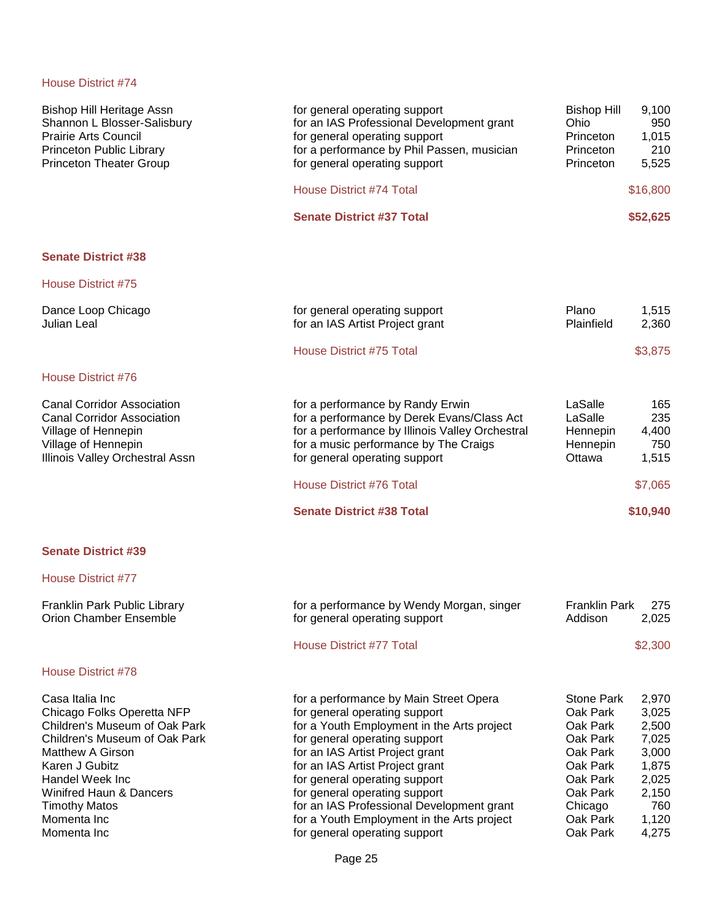| <b>Bishop Hill Heritage Assn</b><br>Shannon L Blosser-Salisbury<br><b>Prairie Arts Council</b><br>Princeton Public Library<br><b>Princeton Theater Group</b>                                                                                                                | for general operating support<br>for an IAS Professional Development grant<br>for general operating support<br>for a performance by Phil Passen, musician<br>for general operating support                                                                                                                                                                                                                                 | Bishop Hill<br>Ohio<br>Princeton<br>Princeton<br>Princeton                                                                               | 9,100<br>950<br>1,015<br>210<br>5,525                                                         |
|-----------------------------------------------------------------------------------------------------------------------------------------------------------------------------------------------------------------------------------------------------------------------------|----------------------------------------------------------------------------------------------------------------------------------------------------------------------------------------------------------------------------------------------------------------------------------------------------------------------------------------------------------------------------------------------------------------------------|------------------------------------------------------------------------------------------------------------------------------------------|-----------------------------------------------------------------------------------------------|
|                                                                                                                                                                                                                                                                             | House District #74 Total                                                                                                                                                                                                                                                                                                                                                                                                   |                                                                                                                                          | \$16,800                                                                                      |
|                                                                                                                                                                                                                                                                             | <b>Senate District #37 Total</b>                                                                                                                                                                                                                                                                                                                                                                                           |                                                                                                                                          | \$52,625                                                                                      |
| <b>Senate District #38</b>                                                                                                                                                                                                                                                  |                                                                                                                                                                                                                                                                                                                                                                                                                            |                                                                                                                                          |                                                                                               |
| House District #75                                                                                                                                                                                                                                                          |                                                                                                                                                                                                                                                                                                                                                                                                                            |                                                                                                                                          |                                                                                               |
| Dance Loop Chicago<br>Julian Leal                                                                                                                                                                                                                                           | for general operating support<br>for an IAS Artist Project grant                                                                                                                                                                                                                                                                                                                                                           | Plano<br>Plainfield                                                                                                                      | 1,515<br>2,360                                                                                |
|                                                                                                                                                                                                                                                                             | House District #75 Total                                                                                                                                                                                                                                                                                                                                                                                                   |                                                                                                                                          | \$3,875                                                                                       |
| House District #76                                                                                                                                                                                                                                                          |                                                                                                                                                                                                                                                                                                                                                                                                                            |                                                                                                                                          |                                                                                               |
| <b>Canal Corridor Association</b><br><b>Canal Corridor Association</b><br>Village of Hennepin<br>Village of Hennepin<br>Illinois Valley Orchestral Assn                                                                                                                     | for a performance by Randy Erwin<br>for a performance by Derek Evans/Class Act<br>for a performance by Illinois Valley Orchestral<br>for a music performance by The Craigs<br>for general operating support                                                                                                                                                                                                                | LaSalle<br>LaSalle<br>Hennepin<br>Hennepin<br>Ottawa                                                                                     | 165<br>235<br>4,400<br>750<br>1,515                                                           |
|                                                                                                                                                                                                                                                                             | House District #76 Total                                                                                                                                                                                                                                                                                                                                                                                                   |                                                                                                                                          | \$7,065                                                                                       |
|                                                                                                                                                                                                                                                                             | <b>Senate District #38 Total</b>                                                                                                                                                                                                                                                                                                                                                                                           |                                                                                                                                          | \$10,940                                                                                      |
| <b>Senate District #39</b>                                                                                                                                                                                                                                                  |                                                                                                                                                                                                                                                                                                                                                                                                                            |                                                                                                                                          |                                                                                               |
| <b>House District #77</b>                                                                                                                                                                                                                                                   |                                                                                                                                                                                                                                                                                                                                                                                                                            |                                                                                                                                          |                                                                                               |
| Franklin Park Public Library<br>Orion Chamber Ensemble                                                                                                                                                                                                                      | for a performance by Wendy Morgan, singer<br>for general operating support                                                                                                                                                                                                                                                                                                                                                 | <b>Franklin Park</b><br>Addison                                                                                                          | 275<br>2,025                                                                                  |
|                                                                                                                                                                                                                                                                             | House District #77 Total                                                                                                                                                                                                                                                                                                                                                                                                   |                                                                                                                                          | \$2,300                                                                                       |
| <b>House District #78</b>                                                                                                                                                                                                                                                   |                                                                                                                                                                                                                                                                                                                                                                                                                            |                                                                                                                                          |                                                                                               |
| Casa Italia Inc<br>Chicago Folks Operetta NFP<br>Children's Museum of Oak Park<br>Children's Museum of Oak Park<br><b>Matthew A Girson</b><br>Karen J Gubitz<br>Handel Week Inc<br><b>Winifred Haun &amp; Dancers</b><br><b>Timothy Matos</b><br>Momenta Inc<br>Momenta Inc | for a performance by Main Street Opera<br>for general operating support<br>for a Youth Employment in the Arts project<br>for general operating support<br>for an IAS Artist Project grant<br>for an IAS Artist Project grant<br>for general operating support<br>for general operating support<br>for an IAS Professional Development grant<br>for a Youth Employment in the Arts project<br>for general operating support | <b>Stone Park</b><br>Oak Park<br>Oak Park<br>Oak Park<br>Oak Park<br>Oak Park<br>Oak Park<br>Oak Park<br>Chicago<br>Oak Park<br>Oak Park | 2,970<br>3,025<br>2,500<br>7,025<br>3,000<br>1,875<br>2,025<br>2,150<br>760<br>1,120<br>4,275 |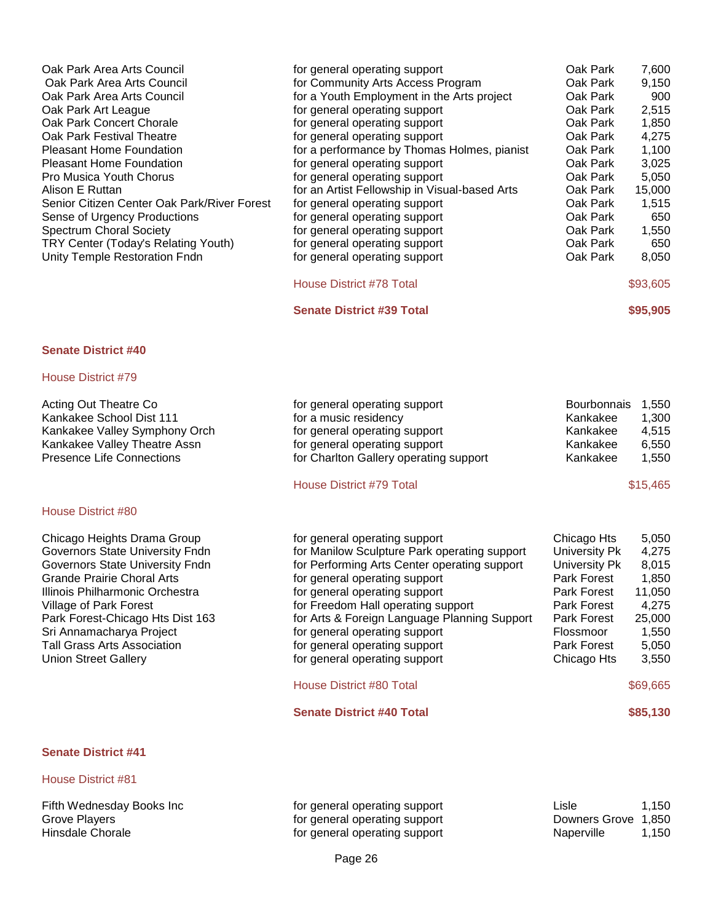| Oak Park Area Arts Council                  | for general operating support                 | Oak Park | 7,600    |
|---------------------------------------------|-----------------------------------------------|----------|----------|
| Oak Park Area Arts Council                  | for Community Arts Access Program             | Oak Park | 9,150    |
| Oak Park Area Arts Council                  | for a Youth Employment in the Arts project    | Oak Park | 900      |
| Oak Park Art League                         | for general operating support                 | Oak Park | 2,515    |
| Oak Park Concert Chorale                    | for general operating support                 | Oak Park | 1,850    |
| Oak Park Festival Theatre                   | for general operating support                 | Oak Park | 4,275    |
| <b>Pleasant Home Foundation</b>             | for a performance by Thomas Holmes, pianist   | Oak Park | 1,100    |
| <b>Pleasant Home Foundation</b>             | for general operating support                 | Oak Park | 3,025    |
| <b>Pro Musica Youth Chorus</b>              | for general operating support                 | Oak Park | 5,050    |
| Alison E Ruttan                             | for an Artist Fellowship in Visual-based Arts | Oak Park | 15,000   |
| Senior Citizen Center Oak Park/River Forest | for general operating support                 | Oak Park | 1,515    |
| Sense of Urgency Productions                | for general operating support                 | Oak Park | 650      |
| <b>Spectrum Choral Society</b>              | for general operating support                 | Oak Park | 1,550    |
| TRY Center (Today's Relating Youth)         | for general operating support                 | Oak Park | 650      |
| Unity Temple Restoration Fndn               | for general operating support                 | Oak Park | 8,050    |
|                                             | House District #78 Total                      |          | \$93,605 |

**Senate District #39 Total \$95,905** 

# **Senate District #40**

### House District #79

House District #80

| Acting Out Theatre Co         | for general operating support          | Bourbonnais | 1.550 |
|-------------------------------|----------------------------------------|-------------|-------|
| Kankakee School Dist 111      | for a music residency                  | Kankakee    | 1.300 |
| Kankakee Valley Symphony Orch | for general operating support          | Kankakee    | 4.515 |
| Kankakee Valley Theatre Assn  | for general operating support          | Kankakee    | 6.550 |
| Presence Life Connections     | for Charlton Gallery operating support | Kankakee    | 1.550 |

# House District #79 Total \$15,465

| Chicago Heights Drama Group      | for general operating support                | Chicago Hts        | 5,050    |
|----------------------------------|----------------------------------------------|--------------------|----------|
| Governors State University Fndn  | for Manilow Sculpture Park operating support | University Pk      | 4,275    |
| Governors State University Fndn  | for Performing Arts Center operating support | University Pk      | 8,015    |
| Grande Prairie Choral Arts       | for general operating support                | Park Forest        | 1,850    |
| Illinois Philharmonic Orchestra  | for general operating support                | Park Forest        | 11,050   |
| Village of Park Forest           | for Freedom Hall operating support           | <b>Park Forest</b> | 4.275    |
| Park Forest-Chicago Hts Dist 163 | for Arts & Foreign Language Planning Support | Park Forest        | 25,000   |
| Sri Annamacharya Project         | for general operating support                | Flossmoor          | 1,550    |
| Tall Grass Arts Association      | for general operating support                | Park Forest        | 5,050    |
| <b>Union Street Gallery</b>      | for general operating support                | Chicago Hts        | 3,550    |
|                                  | House District #80 Total                     |                    | \$69,665 |
|                                  | <b>Senate District #40 Total</b>             |                    | \$85,130 |

# **Senate District #41**

| Fifth Wednesday Books Inc | for general operating support | ∟isle               | 1,150 |
|---------------------------|-------------------------------|---------------------|-------|
| Grove Players             | for general operating support | Downers Grove 1,850 |       |
| Hinsdale Chorale          | for general operating support | Naperville          | 1,150 |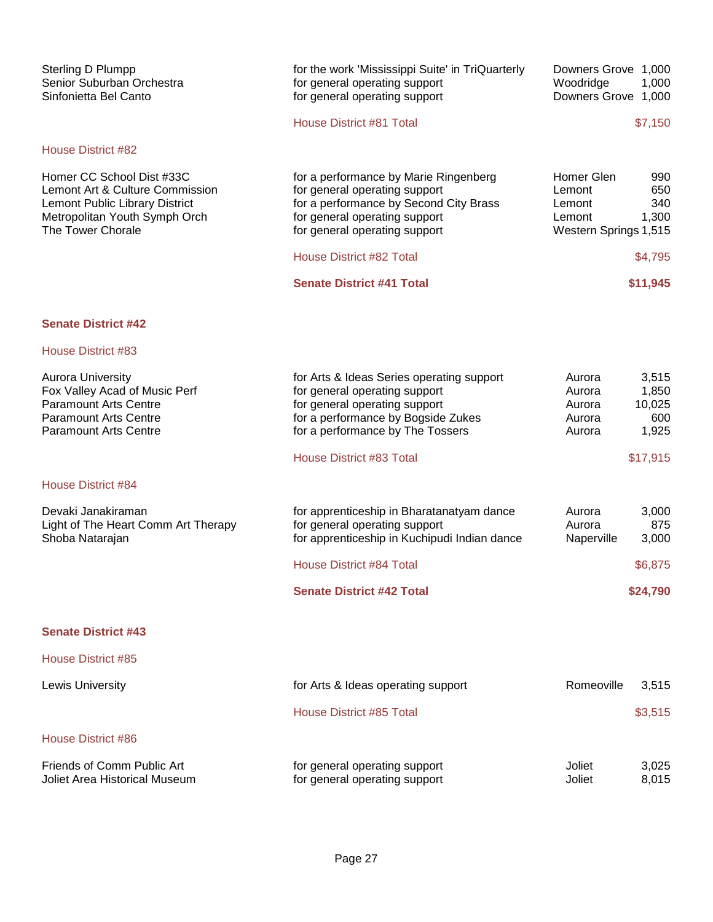| Sterling D Plumpp<br>Senior Suburban Orchestra<br>Sinfonietta Bel Canto                                                                                   | for the work 'Mississippi Suite' in TriQuarterly<br>for general operating support<br>for general operating support                                                                    | Downers Grove 1,000<br>Woodridge<br>1,000<br>Downers Grove 1,000                                |
|-----------------------------------------------------------------------------------------------------------------------------------------------------------|---------------------------------------------------------------------------------------------------------------------------------------------------------------------------------------|-------------------------------------------------------------------------------------------------|
|                                                                                                                                                           | House District #81 Total                                                                                                                                                              | \$7,150                                                                                         |
| <b>House District #82</b>                                                                                                                                 |                                                                                                                                                                                       |                                                                                                 |
| Homer CC School Dist #33C<br>Lemont Art & Culture Commission<br>Lemont Public Library District<br>Metropolitan Youth Symph Orch<br>The Tower Chorale      | for a performance by Marie Ringenberg<br>for general operating support<br>for a performance by Second City Brass<br>for general operating support<br>for general operating support    | Homer Glen<br>990<br>650<br>Lemont<br>340<br>Lemont<br>1,300<br>Lemont<br>Western Springs 1,515 |
|                                                                                                                                                           | House District #82 Total                                                                                                                                                              | \$4,795                                                                                         |
|                                                                                                                                                           | <b>Senate District #41 Total</b>                                                                                                                                                      | \$11,945                                                                                        |
| <b>Senate District #42</b>                                                                                                                                |                                                                                                                                                                                       |                                                                                                 |
| House District #83                                                                                                                                        |                                                                                                                                                                                       |                                                                                                 |
| <b>Aurora University</b><br>Fox Valley Acad of Music Perf<br><b>Paramount Arts Centre</b><br><b>Paramount Arts Centre</b><br><b>Paramount Arts Centre</b> | for Arts & Ideas Series operating support<br>for general operating support<br>for general operating support<br>for a performance by Bogside Zukes<br>for a performance by The Tossers | 3,515<br>Aurora<br>Aurora<br>1,850<br>10,025<br>Aurora<br>600<br>Aurora<br>1,925<br>Aurora      |
|                                                                                                                                                           | House District #83 Total                                                                                                                                                              | \$17,915                                                                                        |
| <b>House District #84</b>                                                                                                                                 |                                                                                                                                                                                       |                                                                                                 |
| Devaki Janakiraman<br>Light of The Heart Comm Art Therapy<br>Shoba Natarajan                                                                              | for apprenticeship in Bharatanatyam dance<br>for general operating support<br>for apprenticeship in Kuchipudi Indian dance                                                            | Aurora<br>3,000<br>Aurora<br>875<br>3,000<br>Naperville                                         |
|                                                                                                                                                           | <b>House District #84 Total</b>                                                                                                                                                       | \$6,875                                                                                         |
|                                                                                                                                                           | <b>Senate District #42 Total</b>                                                                                                                                                      | \$24,790                                                                                        |
| <b>Senate District #43</b>                                                                                                                                |                                                                                                                                                                                       |                                                                                                 |
| <b>House District #85</b>                                                                                                                                 |                                                                                                                                                                                       |                                                                                                 |
| Lewis University                                                                                                                                          | for Arts & Ideas operating support                                                                                                                                                    | Romeoville<br>3,515                                                                             |
|                                                                                                                                                           | <b>House District #85 Total</b>                                                                                                                                                       | \$3,515                                                                                         |
| House District #86                                                                                                                                        |                                                                                                                                                                                       |                                                                                                 |
| Friends of Comm Public Art<br><b>Joliet Area Historical Museum</b>                                                                                        | for general operating support<br>for general operating support                                                                                                                        | Joliet<br>3,025<br>Joliet<br>8,015                                                              |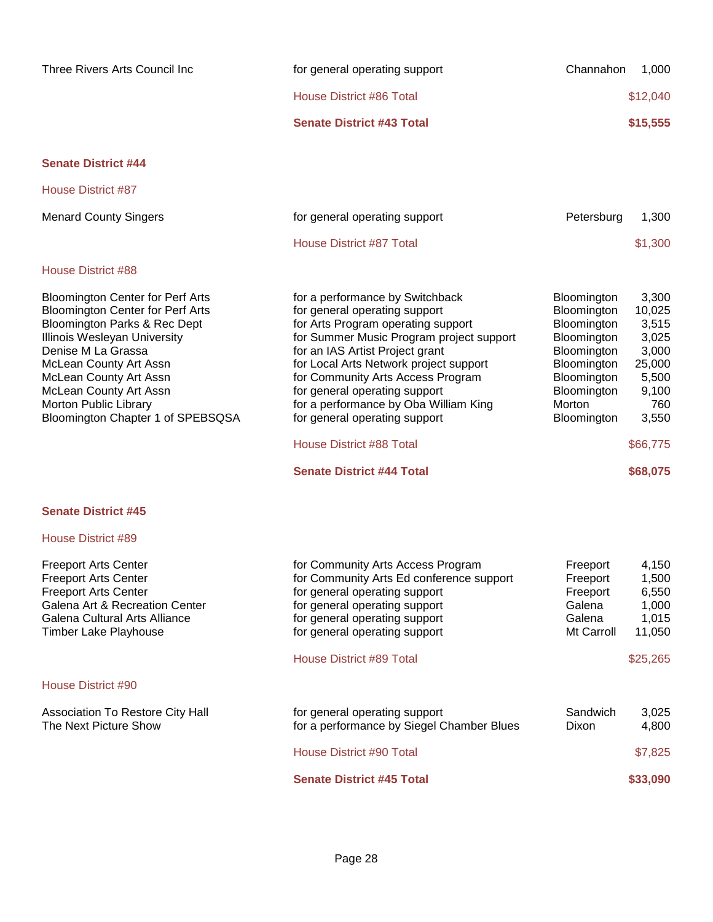| Three Rivers Arts Council Inc                                                                                                                                                                                                                                                                                        | for general operating support                                                                                                                                                                                                                                                                                                                                                                                                                          | Channahon                                                                                                                                     | 1,000                                                                                                          |
|----------------------------------------------------------------------------------------------------------------------------------------------------------------------------------------------------------------------------------------------------------------------------------------------------------------------|--------------------------------------------------------------------------------------------------------------------------------------------------------------------------------------------------------------------------------------------------------------------------------------------------------------------------------------------------------------------------------------------------------------------------------------------------------|-----------------------------------------------------------------------------------------------------------------------------------------------|----------------------------------------------------------------------------------------------------------------|
|                                                                                                                                                                                                                                                                                                                      | House District #86 Total                                                                                                                                                                                                                                                                                                                                                                                                                               |                                                                                                                                               | \$12,040                                                                                                       |
|                                                                                                                                                                                                                                                                                                                      | <b>Senate District #43 Total</b>                                                                                                                                                                                                                                                                                                                                                                                                                       |                                                                                                                                               | \$15,555                                                                                                       |
| <b>Senate District #44</b>                                                                                                                                                                                                                                                                                           |                                                                                                                                                                                                                                                                                                                                                                                                                                                        |                                                                                                                                               |                                                                                                                |
| <b>House District #87</b>                                                                                                                                                                                                                                                                                            |                                                                                                                                                                                                                                                                                                                                                                                                                                                        |                                                                                                                                               |                                                                                                                |
| <b>Menard County Singers</b>                                                                                                                                                                                                                                                                                         | for general operating support                                                                                                                                                                                                                                                                                                                                                                                                                          | Petersburg                                                                                                                                    | 1,300                                                                                                          |
|                                                                                                                                                                                                                                                                                                                      | House District #87 Total                                                                                                                                                                                                                                                                                                                                                                                                                               |                                                                                                                                               | \$1,300                                                                                                        |
| House District #88                                                                                                                                                                                                                                                                                                   |                                                                                                                                                                                                                                                                                                                                                                                                                                                        |                                                                                                                                               |                                                                                                                |
| <b>Bloomington Center for Perf Arts</b><br><b>Bloomington Center for Perf Arts</b><br>Bloomington Parks & Rec Dept<br>Illinois Wesleyan University<br>Denise M La Grassa<br>McLean County Art Assn<br>McLean County Art Assn<br>McLean County Art Assn<br>Morton Public Library<br>Bloomington Chapter 1 of SPEBSQSA | for a performance by Switchback<br>for general operating support<br>for Arts Program operating support<br>for Summer Music Program project support<br>for an IAS Artist Project grant<br>for Local Arts Network project support<br>for Community Arts Access Program<br>for general operating support<br>for a performance by Oba William King<br>for general operating support<br><b>House District #88 Total</b><br><b>Senate District #44 Total</b> | Bloomington<br>Bloomington<br>Bloomington<br>Bloomington<br>Bloomington<br>Bloomington<br>Bloomington<br>Bloomington<br>Morton<br>Bloomington | 3,300<br>10,025<br>3,515<br>3,025<br>3,000<br>25,000<br>5,500<br>9,100<br>760<br>3,550<br>\$66,775<br>\$68,075 |
|                                                                                                                                                                                                                                                                                                                      |                                                                                                                                                                                                                                                                                                                                                                                                                                                        |                                                                                                                                               |                                                                                                                |

| House District #89 |  |
|--------------------|--|
|--------------------|--|

| <b>Freeport Arts Center</b>                               | for Community Arts Access Program                                          | Freeport                 | 4,150          |
|-----------------------------------------------------------|----------------------------------------------------------------------------|--------------------------|----------------|
| <b>Freeport Arts Center</b>                               | for Community Arts Ed conference support                                   | Freeport                 | 1,500          |
| <b>Freeport Arts Center</b>                               | for general operating support                                              | Freeport                 | 6,550          |
| Galena Art & Recreation Center                            | for general operating support                                              | Galena                   | 1,000          |
| Galena Cultural Arts Alliance                             | for general operating support                                              | Galena                   | 1,015          |
| <b>Timber Lake Playhouse</b>                              | for general operating support                                              | Mt Carroll               | 11,050         |
|                                                           | House District #89 Total                                                   |                          | \$25,265       |
| House District #90                                        |                                                                            |                          |                |
| Association To Restore City Hall<br>The Next Picture Show | for general operating support<br>for a performance by Siegel Chamber Blues | Sandwich<br><b>Dixon</b> | 3,025<br>4,800 |
|                                                           | House District #90 Total                                                   |                          | \$7,825        |
|                                                           | <b>Senate District #45 Total</b>                                           |                          | \$33,090       |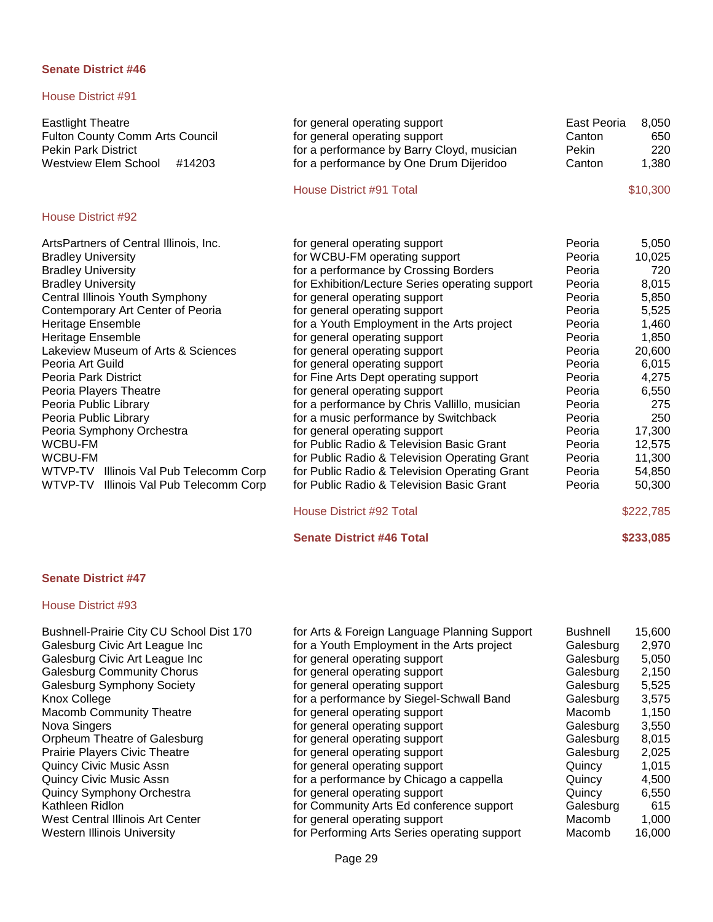# House District #91

| <b>Eastlight Theatre</b><br>Fulton County Comm Arts Council<br><b>Pekin Park District</b><br><b>Westview Elem School</b><br>#14203 | for general operating support<br>for general operating support<br>for a performance by Barry Cloyd, musician<br>for a performance by One Drum Dijeridoo | East Peoria<br>Canton<br>Pekin<br>Canton | 8,050<br>650<br>220<br>1,380 |
|------------------------------------------------------------------------------------------------------------------------------------|---------------------------------------------------------------------------------------------------------------------------------------------------------|------------------------------------------|------------------------------|
|                                                                                                                                    | House District #91 Total                                                                                                                                |                                          | \$10,300                     |
| House District #92                                                                                                                 |                                                                                                                                                         |                                          |                              |
| ArtsPartners of Central Illinois, Inc.                                                                                             | for general operating support                                                                                                                           | Peoria                                   | 5,050                        |
| <b>Bradley University</b>                                                                                                          | for WCBU-FM operating support                                                                                                                           | Peoria                                   | 10,025                       |
| <b>Bradley University</b>                                                                                                          | for a performance by Crossing Borders                                                                                                                   | Peoria                                   | 720                          |
| <b>Bradley University</b>                                                                                                          | for Exhibition/Lecture Series operating support                                                                                                         | Peoria                                   | 8,015                        |
| Central Illinois Youth Symphony                                                                                                    | for general operating support                                                                                                                           | Peoria                                   | 5,850                        |
| Contemporary Art Center of Peoria                                                                                                  | for general operating support                                                                                                                           | Peoria                                   | 5,525                        |
| Heritage Ensemble                                                                                                                  | for a Youth Employment in the Arts project                                                                                                              | Peoria                                   | 1,460                        |
| Heritage Ensemble                                                                                                                  | for general operating support                                                                                                                           | Peoria                                   | 1,850                        |
| Lakeview Museum of Arts & Sciences                                                                                                 | for general operating support                                                                                                                           | Peoria                                   | 20,600                       |
| Peoria Art Guild                                                                                                                   | for general operating support                                                                                                                           | Peoria                                   | 6,015                        |
| Peoria Park District                                                                                                               | for Fine Arts Dept operating support                                                                                                                    | Peoria                                   | 4,275                        |
| Peoria Players Theatre                                                                                                             | for general operating support                                                                                                                           | Peoria                                   | 6,550                        |
| Peoria Public Library                                                                                                              | for a performance by Chris Vallillo, musician                                                                                                           | Peoria                                   | 275                          |
| Peoria Public Library                                                                                                              | for a music performance by Switchback                                                                                                                   | Peoria                                   | 250                          |
| Peoria Symphony Orchestra                                                                                                          | for general operating support<br>for Public Radio & Television Basic Grant                                                                              | Peoria                                   | 17,300                       |
| WCBU-FM<br><b>WCBU-FM</b>                                                                                                          |                                                                                                                                                         | Peoria                                   | 12,575                       |
|                                                                                                                                    | for Public Radio & Television Operating Grant                                                                                                           | Peoria                                   | 11,300                       |
| WTVP-TV Illinois Val Pub Telecomm Corp<br>WTVP-TV<br>Illinois Val Pub Telecomm Corp                                                | for Public Radio & Television Operating Grant<br>for Public Radio & Television Basic Grant                                                              | Peoria<br>Peoria                         | 54,850<br>50,300             |
|                                                                                                                                    |                                                                                                                                                         |                                          |                              |
|                                                                                                                                    | House District #92 Total                                                                                                                                |                                          | \$222,785                    |

**Senate District #46 Total \$233,085** 

# **Senate District #47**

| Bushnell-Prairie City CU School Dist 170<br>Galesburg Civic Art League Inc<br>Galesburg Civic Art League Inc<br><b>Galesburg Community Chorus</b><br><b>Galesburg Symphony Society</b><br>Knox College<br><b>Macomb Community Theatre</b> | for Arts & Foreign Language Planning Support<br>for a Youth Employment in the Arts project<br>for general operating support<br>for general operating support<br>for general operating support<br>for a performance by Siegel-Schwall Band<br>for general operating support | Bushnell<br>Galesburg<br>Galesburg<br>Galesburg<br>Galesburg<br>Galesburg<br>Macomb | 15,600<br>2,970<br>5,050<br>2,150<br>5,525<br>3,575<br>1,150 |
|-------------------------------------------------------------------------------------------------------------------------------------------------------------------------------------------------------------------------------------------|----------------------------------------------------------------------------------------------------------------------------------------------------------------------------------------------------------------------------------------------------------------------------|-------------------------------------------------------------------------------------|--------------------------------------------------------------|
| Nova Singers                                                                                                                                                                                                                              | for general operating support                                                                                                                                                                                                                                              | Galesburg                                                                           | 3,550                                                        |
| Orpheum Theatre of Galesburg                                                                                                                                                                                                              | for general operating support                                                                                                                                                                                                                                              | Galesburg                                                                           | 8,015                                                        |
| <b>Prairie Players Civic Theatre</b>                                                                                                                                                                                                      | for general operating support                                                                                                                                                                                                                                              | Galesburg                                                                           | 2,025                                                        |
| Quincy Civic Music Assn                                                                                                                                                                                                                   | for general operating support                                                                                                                                                                                                                                              | Quincy                                                                              | 1,015                                                        |
| Quincy Civic Music Assn                                                                                                                                                                                                                   | for a performance by Chicago a cappella                                                                                                                                                                                                                                    | Quincy                                                                              | 4,500                                                        |
| Quincy Symphony Orchestra                                                                                                                                                                                                                 | for general operating support                                                                                                                                                                                                                                              | Quincy                                                                              | 6,550                                                        |
| Kathleen Ridlon                                                                                                                                                                                                                           | for Community Arts Ed conference support                                                                                                                                                                                                                                   | Galesburg                                                                           | 615                                                          |
| West Central Illinois Art Center                                                                                                                                                                                                          | for general operating support                                                                                                                                                                                                                                              | Macomb                                                                              | 1,000                                                        |
| Western Illinois University                                                                                                                                                                                                               | for Performing Arts Series operating support                                                                                                                                                                                                                               | Macomb                                                                              | 16,000                                                       |
|                                                                                                                                                                                                                                           |                                                                                                                                                                                                                                                                            |                                                                                     |                                                              |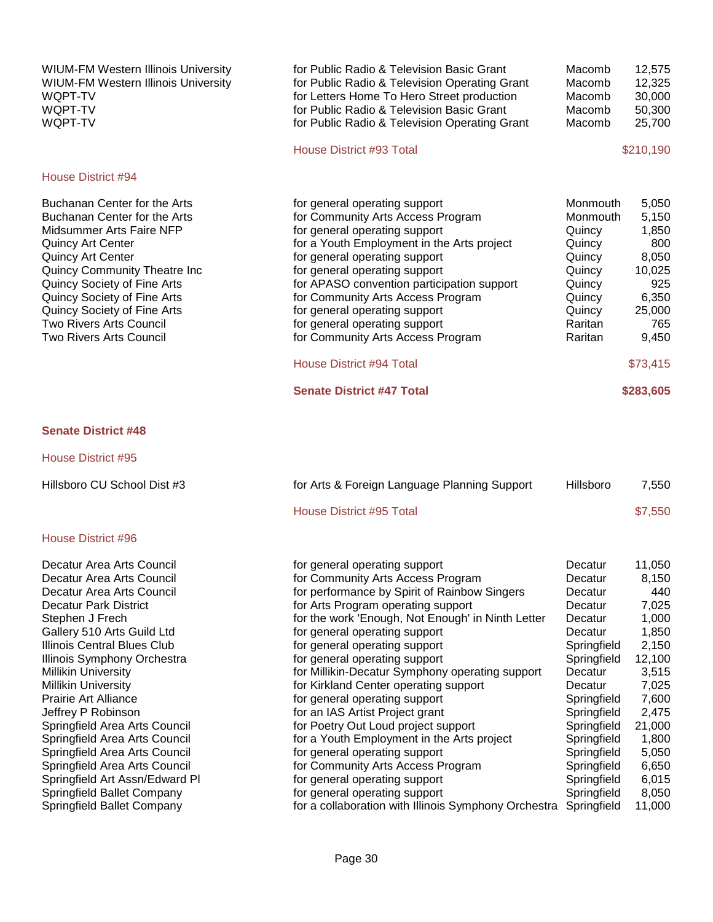WIUM-FM Western Illinois University for Public Radio & Television Basic Grant Macomb 12,575 WIUM-FM Western Illinois University for Public Radio Radio Radio Radio Radio Radio Radio Radio Radio Radio Rad<br>fo

#### House District #94

#### **Senate District #48**

House District #95

Hillsboro CU School Dist #3

#### House District #96

Decatur Area Arts Council Decatur Area Arts Council Decatur Area Arts Council Decatur Park District Stephen J Frech Gallery 510 Arts Guild Ltd Illinois Central Blues Club Illinois Symphony Orchestra Millikin University Millikin University Prairie Art Alliance Jeffrey P Robinson Springfield Area Arts Council Springfield Area Arts Council **Formula** for general operating support **Formula** Springfield 5,050 Springfield Area Arts Council **Formal Community Arts Access Program** Springfield 6,650 Springfield Art Assn/Edward Pl **for general operating support** Springfield 6,015 Springfield Ballet Company **for general operating support** Springfield 8,050 Springfield Ballet Company **Francisc Company** for a collaboration with Illinois Symphony Orchestra Springfield 11,000

| WIUM-FM Western Illinois University<br>WQPT-TV<br>WQPT-TV<br>WQPT-TV | for Public Radio & Television Operating Grant<br>for Letters Home To Hero Street production<br>for Public Radio & Television Basic Grant<br>for Public Radio & Television Operating Grant | Macomb<br>Macomb<br>Macomb<br>Macomb | 12,325<br>30,000<br>50,300<br>25,700 |
|----------------------------------------------------------------------|-------------------------------------------------------------------------------------------------------------------------------------------------------------------------------------------|--------------------------------------|--------------------------------------|
|                                                                      | House District #93 Total                                                                                                                                                                  |                                      | \$210,190                            |
| House District #94                                                   |                                                                                                                                                                                           |                                      |                                      |
| Buchanan Center for the Arts                                         | for general operating support                                                                                                                                                             | Monmouth                             | 5,050                                |
| Buchanan Center for the Arts                                         | for Community Arts Access Program                                                                                                                                                         | Monmouth                             | 5,150                                |
| Midsummer Arts Faire NFP                                             | for general operating support                                                                                                                                                             | Quincy                               | 1,850                                |
| Quincy Art Center                                                    | for a Youth Employment in the Arts project                                                                                                                                                | Quincy                               | 800                                  |
| Quincy Art Center                                                    | for general operating support                                                                                                                                                             | Quincy                               | 8,050                                |
| Quincy Community Theatre Inc                                         | for general operating support                                                                                                                                                             | Quincy                               | 10,025                               |
| Quincy Society of Fine Arts                                          | for APASO convention participation support                                                                                                                                                | Quincy                               | 925                                  |
| Quincy Society of Fine Arts                                          | for Community Arts Access Program                                                                                                                                                         | Quincy                               | 6,350                                |
| Quincy Society of Fine Arts                                          | for general operating support                                                                                                                                                             | Quincy                               | 25,000                               |
| Two Rivers Arts Council                                              | for general operating support                                                                                                                                                             | Raritan                              | 765                                  |
| Two Rivers Arts Council                                              | for Community Arts Access Program                                                                                                                                                         | Raritan                              | 9,450                                |
|                                                                      | House District #94 Total                                                                                                                                                                  |                                      | \$73,415                             |
|                                                                      | <b>Senate District #47 Total</b>                                                                                                                                                          |                                      | \$283,605                            |

| Hillsboro CU School Dist #3   | for Arts & Foreign Language Planning Support      | Hillsboro   | 7,550   |
|-------------------------------|---------------------------------------------------|-------------|---------|
|                               | House District #95 Total                          |             | \$7,550 |
| House District #96            |                                                   |             |         |
| Decatur Area Arts Council     | for general operating support                     | Decatur     | 11,050  |
| Decatur Area Arts Council     | for Community Arts Access Program                 | Decatur     | 8,150   |
| Decatur Area Arts Council     | for performance by Spirit of Rainbow Singers      | Decatur     | 440     |
| Decatur Park District         | for Arts Program operating support                | Decatur     | 7,025   |
| Stephen J Frech               | for the work 'Enough, Not Enough' in Ninth Letter | Decatur     | 1,000   |
| Gallery 510 Arts Guild Ltd    | for general operating support                     | Decatur     | 1,850   |
| Illinois Central Blues Club   | for general operating support                     | Springfield | 2,150   |
| Illinois Symphony Orchestra   | for general operating support                     | Springfield | 12,100  |
| <b>Millikin University</b>    | for Millikin-Decatur Symphony operating support   | Decatur     | 3,515   |
| <b>Millikin University</b>    | for Kirkland Center operating support             | Decatur     | 7,025   |
| Prairie Art Alliance          | for general operating support                     | Springfield | 7,600   |
| Jeffrey P Robinson            | for an IAS Artist Project grant                   | Springfield | 2,475   |
| Springfield Area Arts Council | for Poetry Out Loud project support               | Springfield | 21,000  |
| Springfield Area Arts Council | for a Youth Employment in the Arts project        | Springfield | 1,800   |
| Springfield Area Arts Council | for general operating support                     | Springfield | 5.050   |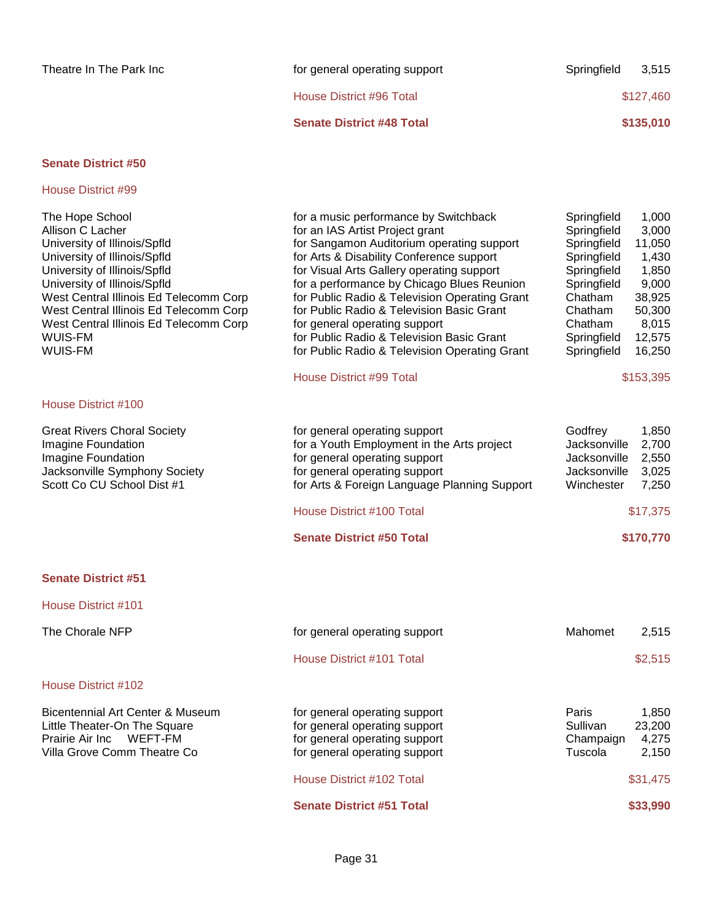| Theatre In The Park Inc | for general operating support    | Springfield | 3,515     |
|-------------------------|----------------------------------|-------------|-----------|
|                         | House District #96 Total         |             | \$127,460 |
|                         | <b>Senate District #48 Total</b> |             | \$135,010 |
|                         |                                  |             |           |

| The Hope School<br>Allison C Lacher<br>University of Illinois/Spfld<br>University of Illinois/Spfld<br>University of Illinois/Spfld<br>University of Illinois/Spfld<br>West Central Illinois Ed Telecomm Corp<br>West Central Illinois Ed Telecomm Corp<br>West Central Illinois Ed Telecomm Corp<br>WUIS-FM<br>WUIS-FM | for a music performance by Switchback<br>for an IAS Artist Project grant<br>for Sangamon Auditorium operating support<br>for Arts & Disability Conference support<br>for Visual Arts Gallery operating support<br>for a performance by Chicago Blues Reunion<br>for Public Radio & Television Operating Grant<br>for Public Radio & Television Basic Grant<br>for general operating support<br>for Public Radio & Television Basic Grant<br>for Public Radio & Television Operating Grant<br><b>House District #99 Total</b> | Springfield<br>Springfield<br>Springfield<br>Springfield<br>Springfield<br>Springfield<br>Chatham<br>Chatham<br>Chatham<br>Springfield<br>Springfield | 1,000<br>3,000<br>11,050<br>1,430<br>1,850<br>9,000<br>38,925<br>50,300<br>8,015<br>12,575<br>16,250<br>\$153,395 |
|-------------------------------------------------------------------------------------------------------------------------------------------------------------------------------------------------------------------------------------------------------------------------------------------------------------------------|------------------------------------------------------------------------------------------------------------------------------------------------------------------------------------------------------------------------------------------------------------------------------------------------------------------------------------------------------------------------------------------------------------------------------------------------------------------------------------------------------------------------------|-------------------------------------------------------------------------------------------------------------------------------------------------------|-------------------------------------------------------------------------------------------------------------------|
| House District #100                                                                                                                                                                                                                                                                                                     |                                                                                                                                                                                                                                                                                                                                                                                                                                                                                                                              |                                                                                                                                                       |                                                                                                                   |
| <b>Great Rivers Choral Society</b><br>Imagine Foundation<br>Imagine Foundation<br>Jacksonville Symphony Society<br>Scott Co CU School Dist #1                                                                                                                                                                           | for general operating support<br>for a Youth Employment in the Arts project<br>for general operating support<br>for general operating support<br>for Arts & Foreign Language Planning Support                                                                                                                                                                                                                                                                                                                                | Godfrey<br>Jacksonville<br>Jacksonville<br>Jacksonville<br>Winchester                                                                                 | 1,850<br>2,700<br>2,550<br>3,025<br>7,250                                                                         |
|                                                                                                                                                                                                                                                                                                                         | House District #100 Total                                                                                                                                                                                                                                                                                                                                                                                                                                                                                                    |                                                                                                                                                       | \$17,375                                                                                                          |
|                                                                                                                                                                                                                                                                                                                         | <b>Senate District #50 Total</b>                                                                                                                                                                                                                                                                                                                                                                                                                                                                                             |                                                                                                                                                       | \$170,770                                                                                                         |
| <b>Senate District #51</b>                                                                                                                                                                                                                                                                                              |                                                                                                                                                                                                                                                                                                                                                                                                                                                                                                                              |                                                                                                                                                       |                                                                                                                   |
| House District #101                                                                                                                                                                                                                                                                                                     |                                                                                                                                                                                                                                                                                                                                                                                                                                                                                                                              |                                                                                                                                                       |                                                                                                                   |
| The Chorale NFP                                                                                                                                                                                                                                                                                                         | for general operating support                                                                                                                                                                                                                                                                                                                                                                                                                                                                                                | Mahomet                                                                                                                                               | 2,515                                                                                                             |
|                                                                                                                                                                                                                                                                                                                         | House District #101 Total                                                                                                                                                                                                                                                                                                                                                                                                                                                                                                    |                                                                                                                                                       | \$2,515                                                                                                           |
| House District #102                                                                                                                                                                                                                                                                                                     |                                                                                                                                                                                                                                                                                                                                                                                                                                                                                                                              |                                                                                                                                                       |                                                                                                                   |
| Bicentennial Art Center & Museum<br>Little Theater-On The Square<br>Prairie Air Inc<br>WEFT-FM<br>Villa Grove Comm Theatre Co                                                                                                                                                                                           | for general operating support<br>for general operating support<br>for general operating support<br>for general operating support                                                                                                                                                                                                                                                                                                                                                                                             | Paris<br>Sullivan<br>Champaign<br>Tuscola                                                                                                             | 1,850<br>23,200<br>4,275<br>2,150                                                                                 |
|                                                                                                                                                                                                                                                                                                                         | House District #102 Total                                                                                                                                                                                                                                                                                                                                                                                                                                                                                                    |                                                                                                                                                       | \$31,475                                                                                                          |
|                                                                                                                                                                                                                                                                                                                         | <b>Senate District #51 Total</b>                                                                                                                                                                                                                                                                                                                                                                                                                                                                                             |                                                                                                                                                       | \$33,990                                                                                                          |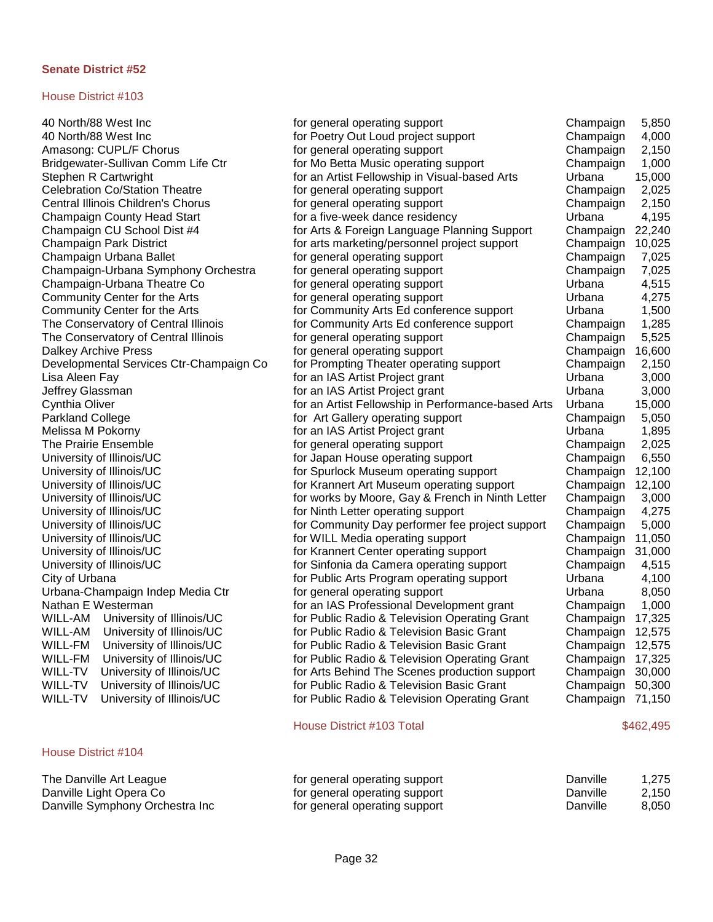#### House District #103

#### House District #104

The Danville Art League Danville Light Opera Co Danville Symphony Orchestra In

40 North/88 West Inc for general operating support Champaign 5,850 40 North/88 West Inc for Poetry Out Loud project support Champaign 4,000 Amasong: CUPL/F Chorus extended to the state of general operating support champaign 2,150 Bridgewater-Sullivan Comm Life Ctr **Form Form Mo Betta Music operating support** Champaign 1,000 Stephen R Cartwright **for an Artist Fellowship in Visual-based Arts** Urbana 15,000 Celebration Co/Station Theatre for general operating support Champaign 2,025 Central Illinois Children's Chorus for general operating support Champaign 2,150 Champaign County Head Start **for a five-week dance residency Example 1** Urbana 4,195 Champaign CU School Dist #4 for Arts & Foreign Language Planning Support Champaign 22,240 Champaign Park District for arts marketing/personnel project support Champaign 10,025 Champaign Urbana Ballet for general operating support Champaign 7,025 Champaign-Urbana Symphony Orchestra for general operating support Champaign 7,025 Champaign-Urbana Theatre Co **for general operating support** by the Urbana 4,515<br>Community Center for the Arts **for and the contract operating support** the Urbana 4.275 Community Center for the Arts for state of the Arts for general operating support Community Center for the Arts Community Center for the Arts **for Community Arts Ed conference support** Urbana 1,500 The Conservatory of Central Illinois **for Community Arts Ed conference support** Champaign 1,285 The Conservatory of Central Illinois for general operating support champaign 5,525 Dalkey Archive Press **Formulation** of general operating support **Formulation Champaign 16,600** Developmental Services Ctr-Champaign Co for Prompting Theater operating support Champaign 2,150<br>Lisa Aleen Fav for an IAS Artist Proiect grant Urbana 3.000 Lisa Aleen Fay for an IAS Artist Project grant Urbana 3,000 Jeffrey Glassman for an IAS Artist Project grant Urbana 3,000 Cynthia Oliver **For an Artist Fellowship in Performance-based Arts** Urbana 15,000 Parkland College **For Art Gallery operating support** Champaign 5,050 Melissa M Pokorny **For an IAS Artist Project grant** Formula Surbana 1,895 The Prairie Ensemble for general operating support Champaign 2,025 University of Illinois/UC and the Support of Indian House operating support Champaign 6,550 University of Illinois/UC **for Spurlock Museum operating support** Champaign 12,100 University of Illinois/UC **for Champaign 12,100** for Krannert Art Museum operating support Champaign 12,100 University of Illinois/UC **for the Champaign and Contains and Contains and Contains and Contains and Champaign 3,000** University of Illinois/UC **for Ninth Letter operating support** Champaign 4,275 University of Illinois/UC for Community Day performer fee project support Champaign 5,000 University of Illinois/UC **for the Champaign 11,050** for WILL Media operating support **Champaign 11,050** University of Illinois/UC **for Krannert Center operating support** Champaign 31,000 University of Illinois/UC for Sinfonia da Camera operating support Champaign 4,515 City of Urbana for Public Arts Program operating support Urbana 4,100 Urbana-Champaign Indep Media Ctr in the for general operating support The Theorem Chana and B,050 Nathan E Westerman **For an IAS Professional Development grant** Champaign 1,000 WILL-AM University of Illinois/UC for Public Radio & Television Operating Grant Champaign 17,325 WILL-AM University of Illinois/UC for Public Radio & Television Basic Grant Champaign 12,575 WILL-FM University of Illinois/UC for Public Radio & Television Basic Grant Champaign 12,575 WILL-FM University of Illinois/UC for Public Radio & Television Operating Grant Champaign 17,325 WILL-TV University of Illinois/UC for Arts Behind The Scenes production support Champaign 30,000 WILL-TV University of Illinois/UC **for Public Radio & Television Basic Grant** Champaign 50,300 WILL-TV University of Illinois/UC for Public Radio & Television Operating Grant Champaign 71,150

#### House District #103 Total \$462,495

|    | for general operating support | Danville | 1.275 |
|----|-------------------------------|----------|-------|
|    | for general operating support | Danville | 2.150 |
| ነር | for general operating support | Danville | 8,050 |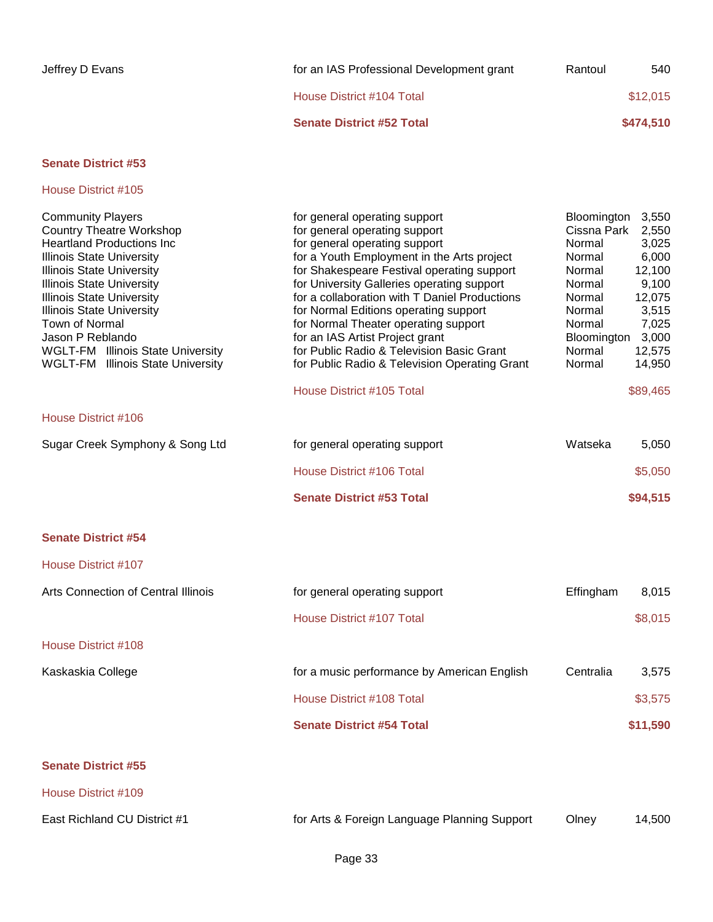| for an IAS Professional Development grant | Rantoul | 540       |
|-------------------------------------------|---------|-----------|
| House District #104 Total                 |         | \$12,015  |
| <b>Senate District #52 Total</b>          |         | \$474,510 |
|                                           |         |           |

# House District #105

**Senate District #55**

| <b>Community Players</b><br><b>Country Theatre Workshop</b><br><b>Heartland Productions Inc.</b><br><b>Illinois State University</b><br><b>Illinois State University</b><br><b>Illinois State University</b><br><b>Illinois State University</b><br><b>Illinois State University</b><br>Town of Normal<br>Jason P Reblando<br><b>WGLT-FM</b> Illinois State University<br><b>WGLT-FM</b> Illinois State University | for general operating support<br>for general operating support<br>for general operating support<br>for a Youth Employment in the Arts project<br>for Shakespeare Festival operating support<br>for University Galleries operating support<br>for a collaboration with T Daniel Productions<br>for Normal Editions operating support<br>for Normal Theater operating support<br>for an IAS Artist Project grant<br>for Public Radio & Television Basic Grant<br>for Public Radio & Television Operating Grant | Bloomington<br>3,550<br>Cissna Park<br>2,550<br>Normal<br>3,025<br>6,000<br>Normal<br>Normal<br>12,100<br>9,100<br>Normal<br>Normal<br>12,075<br>3,515<br>Normal<br>Normal<br>7,025<br>Bloomington<br>3,000<br>Normal<br>12,575<br>Normal<br>14,950 |
|--------------------------------------------------------------------------------------------------------------------------------------------------------------------------------------------------------------------------------------------------------------------------------------------------------------------------------------------------------------------------------------------------------------------|--------------------------------------------------------------------------------------------------------------------------------------------------------------------------------------------------------------------------------------------------------------------------------------------------------------------------------------------------------------------------------------------------------------------------------------------------------------------------------------------------------------|-----------------------------------------------------------------------------------------------------------------------------------------------------------------------------------------------------------------------------------------------------|
|                                                                                                                                                                                                                                                                                                                                                                                                                    | House District #105 Total                                                                                                                                                                                                                                                                                                                                                                                                                                                                                    | \$89,465                                                                                                                                                                                                                                            |
| House District #106                                                                                                                                                                                                                                                                                                                                                                                                |                                                                                                                                                                                                                                                                                                                                                                                                                                                                                                              |                                                                                                                                                                                                                                                     |
| Sugar Creek Symphony & Song Ltd                                                                                                                                                                                                                                                                                                                                                                                    | for general operating support                                                                                                                                                                                                                                                                                                                                                                                                                                                                                | Watseka<br>5,050                                                                                                                                                                                                                                    |
|                                                                                                                                                                                                                                                                                                                                                                                                                    | House District #106 Total                                                                                                                                                                                                                                                                                                                                                                                                                                                                                    | \$5,050                                                                                                                                                                                                                                             |
|                                                                                                                                                                                                                                                                                                                                                                                                                    | <b>Senate District #53 Total</b>                                                                                                                                                                                                                                                                                                                                                                                                                                                                             | \$94,515                                                                                                                                                                                                                                            |
| <b>Senate District #54</b>                                                                                                                                                                                                                                                                                                                                                                                         |                                                                                                                                                                                                                                                                                                                                                                                                                                                                                                              |                                                                                                                                                                                                                                                     |
| <b>House District #107</b>                                                                                                                                                                                                                                                                                                                                                                                         |                                                                                                                                                                                                                                                                                                                                                                                                                                                                                                              |                                                                                                                                                                                                                                                     |
| Arts Connection of Central Illinois                                                                                                                                                                                                                                                                                                                                                                                | for general operating support                                                                                                                                                                                                                                                                                                                                                                                                                                                                                | Effingham<br>8,015                                                                                                                                                                                                                                  |
|                                                                                                                                                                                                                                                                                                                                                                                                                    | House District #107 Total                                                                                                                                                                                                                                                                                                                                                                                                                                                                                    | \$8,015                                                                                                                                                                                                                                             |
| House District #108                                                                                                                                                                                                                                                                                                                                                                                                |                                                                                                                                                                                                                                                                                                                                                                                                                                                                                                              |                                                                                                                                                                                                                                                     |
| Kaskaskia College                                                                                                                                                                                                                                                                                                                                                                                                  | for a music performance by American English                                                                                                                                                                                                                                                                                                                                                                                                                                                                  | Centralia<br>3,575                                                                                                                                                                                                                                  |
|                                                                                                                                                                                                                                                                                                                                                                                                                    | House District #108 Total                                                                                                                                                                                                                                                                                                                                                                                                                                                                                    | \$3,575                                                                                                                                                                                                                                             |
|                                                                                                                                                                                                                                                                                                                                                                                                                    | <b>Senate District #54 Total</b>                                                                                                                                                                                                                                                                                                                                                                                                                                                                             | \$11,590                                                                                                                                                                                                                                            |
|                                                                                                                                                                                                                                                                                                                                                                                                                    |                                                                                                                                                                                                                                                                                                                                                                                                                                                                                                              |                                                                                                                                                                                                                                                     |

| House District #109          |                                              |       |        |
|------------------------------|----------------------------------------------|-------|--------|
| East Richland CU District #1 | for Arts & Foreign Language Planning Support | Olnev | 14.500 |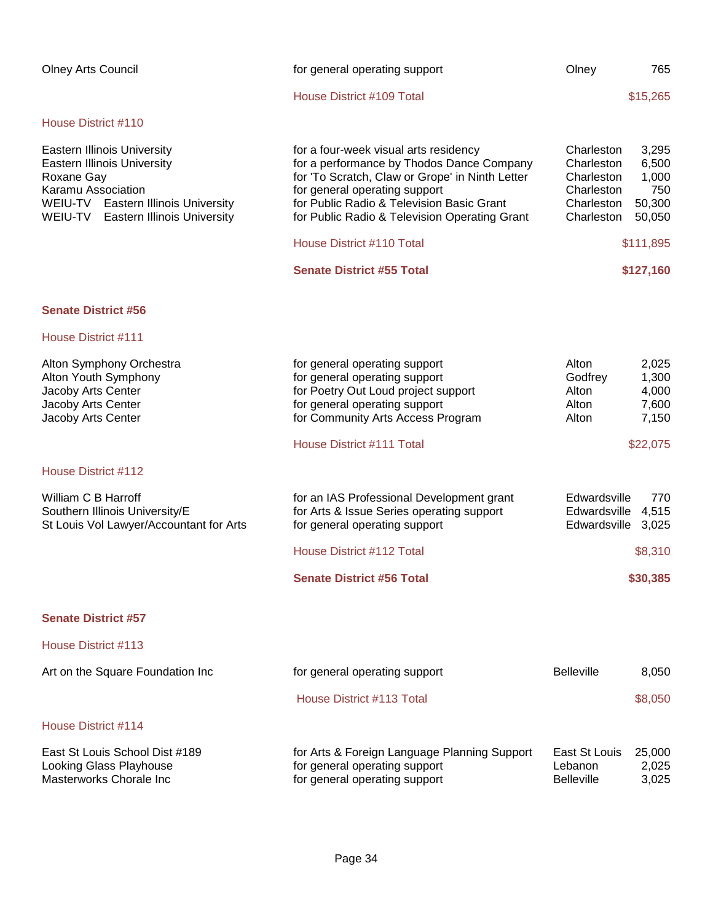| <b>Olney Arts Council</b>                                                                                                                                                                            | for general operating support                                                                                                                                                                                                                                        | Olney                                                                            | 765                                                |
|------------------------------------------------------------------------------------------------------------------------------------------------------------------------------------------------------|----------------------------------------------------------------------------------------------------------------------------------------------------------------------------------------------------------------------------------------------------------------------|----------------------------------------------------------------------------------|----------------------------------------------------|
|                                                                                                                                                                                                      | House District #109 Total                                                                                                                                                                                                                                            |                                                                                  | \$15,265                                           |
| House District #110                                                                                                                                                                                  |                                                                                                                                                                                                                                                                      |                                                                                  |                                                    |
| <b>Eastern Illinois University</b><br><b>Eastern Illinois University</b><br>Roxane Gay<br>Karamu Association<br>WEIU-TV Eastern Illinois University<br>WEIU-TV<br><b>Eastern Illinois University</b> | for a four-week visual arts residency<br>for a performance by Thodos Dance Company<br>for 'To Scratch, Claw or Grope' in Ninth Letter<br>for general operating support<br>for Public Radio & Television Basic Grant<br>for Public Radio & Television Operating Grant | Charleston<br>Charleston<br>Charleston<br>Charleston<br>Charleston<br>Charleston | 3,295<br>6,500<br>1,000<br>750<br>50,300<br>50,050 |
|                                                                                                                                                                                                      | House District #110 Total                                                                                                                                                                                                                                            |                                                                                  | \$111,895                                          |
|                                                                                                                                                                                                      | <b>Senate District #55 Total</b>                                                                                                                                                                                                                                     |                                                                                  | \$127,160                                          |
| <b>Senate District #56</b>                                                                                                                                                                           |                                                                                                                                                                                                                                                                      |                                                                                  |                                                    |
| House District #111                                                                                                                                                                                  |                                                                                                                                                                                                                                                                      |                                                                                  |                                                    |
| Alton Symphony Orchestra<br>Alton Youth Symphony<br>Jacoby Arts Center<br>Jacoby Arts Center<br>Jacoby Arts Center                                                                                   | for general operating support<br>for general operating support<br>for Poetry Out Loud project support<br>for general operating support<br>for Community Arts Access Program                                                                                          | Alton<br>Godfrey<br>Alton<br>Alton<br>Alton                                      | 2,025<br>1,300<br>4,000<br>7,600<br>7,150          |
|                                                                                                                                                                                                      | House District #111 Total                                                                                                                                                                                                                                            |                                                                                  | \$22,075                                           |
| House District #112                                                                                                                                                                                  |                                                                                                                                                                                                                                                                      |                                                                                  |                                                    |
| William C B Harroff<br>Southern Illinois University/E<br>St Louis Vol Lawyer/Accountant for Arts                                                                                                     | for an IAS Professional Development grant<br>for Arts & Issue Series operating support<br>for general operating support                                                                                                                                              | Edwardsville<br>Edwardsville<br>Edwardsville                                     | 770<br>4,515<br>3,025                              |
|                                                                                                                                                                                                      | House District #112 Total                                                                                                                                                                                                                                            |                                                                                  | \$8,310                                            |
|                                                                                                                                                                                                      | <b>Senate District #56 Total</b>                                                                                                                                                                                                                                     |                                                                                  | \$30,385                                           |
| <b>Senate District #57</b>                                                                                                                                                                           |                                                                                                                                                                                                                                                                      |                                                                                  |                                                    |
| House District #113                                                                                                                                                                                  |                                                                                                                                                                                                                                                                      |                                                                                  |                                                    |
| Art on the Square Foundation Inc                                                                                                                                                                     | for general operating support                                                                                                                                                                                                                                        | <b>Belleville</b>                                                                | 8,050                                              |
|                                                                                                                                                                                                      | House District #113 Total                                                                                                                                                                                                                                            |                                                                                  | \$8,050                                            |
| House District #114                                                                                                                                                                                  |                                                                                                                                                                                                                                                                      |                                                                                  |                                                    |
| East St Louis School Dist #189<br>Looking Glass Playhouse<br>Masterworks Chorale Inc                                                                                                                 | for Arts & Foreign Language Planning Support<br>for general operating support<br>for general operating support                                                                                                                                                       | East St Louis<br>Lebanon<br><b>Belleville</b>                                    | 25,000<br>2,025<br>3,025                           |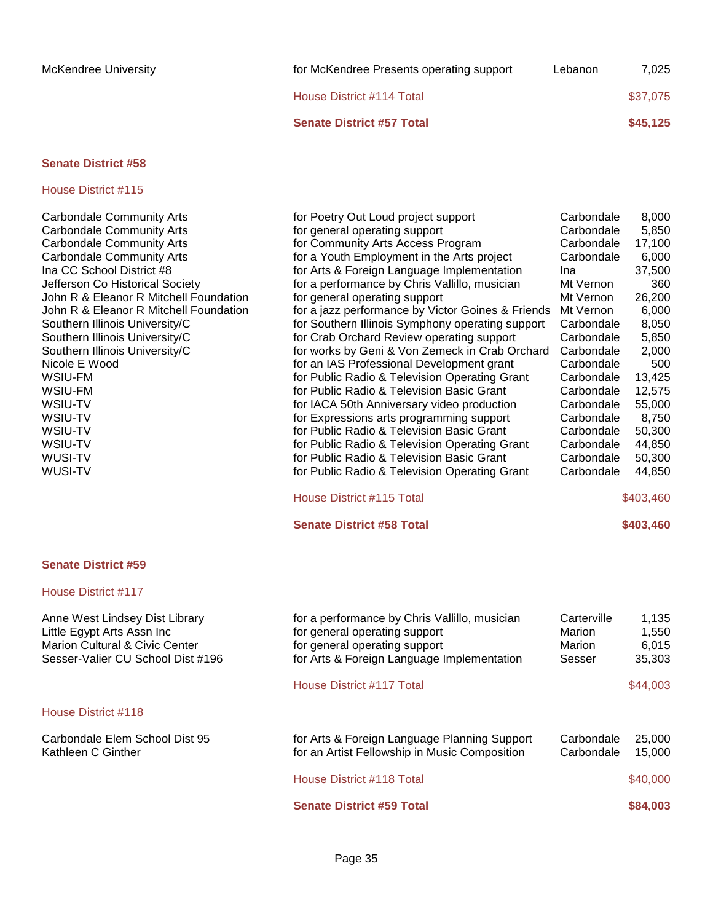House District #115

### Carbondale Community Arts **for Poetry Out Loud project support** Carbondale 8,000 Carbondale Community Arts **for general operating support** Carbondale 5,850 Carbondale Community Arts **For Community Arts Access Program** Carbondale 17,100<br>Carbondale Community Arts **For a Youth Employment in the Arts project** Carbondale 6.000 Carbondale Community Arts **For a Youth Employment in the Arts project** Carbondale 6,000 Ina CC School District #8 **included in the SC School District #8** for Arts & Foreign Language Implementation Ina 37,500 Jefferson Co Historical Society for a performance by Chris Vallillo, musician Mt Vernon 360 John R & Eleanor R Mitchell Foundation for general operating support The Mt Vernon 26,200 John R & Eleanor R Mitchell Foundation for a jazz performance by Victor Goines & Friends Mt Vernon 6,000 Southern Illinois University/C for Southern Illinois Symphony operating support Carbondale 8,050 Southern Illinois University/C for Crab Orchard Review operating support Carbondale 5,850 Southern Illinois University/C for works by Geni & Von Zemeck in Crab Orchard Carbondale 2,000 Nicole E Wood **For an IAS Professional Development grant** Carbondale 500 WSIU-FM **how it is a constructed as a constructed and the Carbondale 13,425** metal of Public Radio & Television Operating Grant Carbondale 13,425 WSIU-FM **For Public Radio & Television Basic Grant** Carbondale 12,575 WSIU-TV **for IACA 50th Anniversary video production** Carbondale 55,000 WSIU-TV **for Expressions arts programming support** Carbondale 8,750 WSIU-TV **for Public Radio & Television Basic Grant** Carbondale 50,300 WSIU-TV **for Public Radio & Television Operating Grant** Carbondale 44,850 WUSI-TV **for Public Radio & Television Basic Grant** Carbondale 50,300 WUSI-TV **For Public Radio & Television Operating Grant** Carbondale 44,850

### House District #115 Total \$403,460

#### **Senate District #58 Total \$403,460**

#### **Senate District #59**

#### House District #117

Anne West Lindsey Dist Library **for a performance by Chris Vallillo, musician** Carterville 1,135 Little Egypt Arts Assn Inc for general operating support Marion 1,550 Marion Cultural & Civic Center for general operating support Marion 6,015 Sesser-Valier CU School Dist #196 for Arts & Foreign Language Implementation Sesser 35,303 House District #117 Total \$44,003 House District #118 Carbondale Elem School Dist 95 for Arts & Foreign Language Planning Support Carbondale 25,000 Kathleen C Ginther **For an Artist Fellowship in Music Composition** Carbondale 15,000 House District #118 Total **\$40,000** \$40,000 **Senate District #59 Total 884,003**